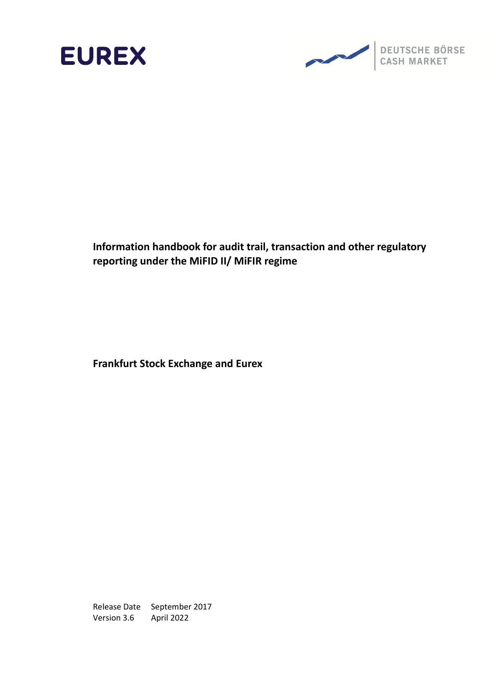



**Frankfurt Stock Exchange and Eurex**

Release Date September 2017 Version 3.6 April 2022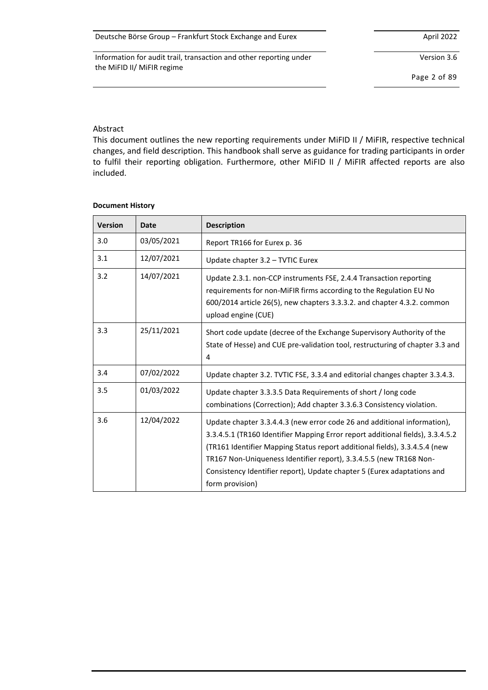Version 3.6

Page 2 of 89

#### Abstract

This document outlines the new reporting requirements under MiFID II / MiFIR, respective technical changes, and field description. This handbook shall serve as guidance for trading participants in order to fulfil their reporting obligation. Furthermore, other MiFID II / MiFIR affected reports are also included.

#### **Document History**

| <b>Version</b> | <b>Date</b> | <b>Description</b>                                                                                                                                                                                                                                                                                                                                                                                           |
|----------------|-------------|--------------------------------------------------------------------------------------------------------------------------------------------------------------------------------------------------------------------------------------------------------------------------------------------------------------------------------------------------------------------------------------------------------------|
| 3.0            | 03/05/2021  | Report TR166 for Eurex p. 36                                                                                                                                                                                                                                                                                                                                                                                 |
| 3.1            | 12/07/2021  | Update chapter 3.2 - TVTIC Eurex                                                                                                                                                                                                                                                                                                                                                                             |
| 3.2            | 14/07/2021  | Update 2.3.1. non-CCP instruments FSE, 2.4.4 Transaction reporting<br>requirements for non-MiFIR firms according to the Regulation EU No<br>600/2014 article 26(5), new chapters 3.3.3.2. and chapter 4.3.2. common<br>upload engine (CUE)                                                                                                                                                                   |
| 3.3            | 25/11/2021  | Short code update (decree of the Exchange Supervisory Authority of the<br>State of Hesse) and CUE pre-validation tool, restructuring of chapter 3.3 and<br>4                                                                                                                                                                                                                                                 |
| 3.4            | 07/02/2022  | Update chapter 3.2. TVTIC FSE, 3.3.4 and editorial changes chapter 3.3.4.3.                                                                                                                                                                                                                                                                                                                                  |
| 3.5            | 01/03/2022  | Update chapter 3.3.3.5 Data Requirements of short / long code<br>combinations (Correction); Add chapter 3.3.6.3 Consistency violation.                                                                                                                                                                                                                                                                       |
| 3.6            | 12/04/2022  | Update chapter 3.3.4.4.3 (new error code 26 and additional information),<br>3.3.4.5.1 (TR160 Identifier Mapping Error report additional fields), 3.3.4.5.2<br>(TR161 Identifier Mapping Status report additional fields), 3.3.4.5.4 (new<br>TR167 Non-Uniqueness Identifier report), 3.3.4.5.5 (new TR168 Non-<br>Consistency Identifier report), Update chapter 5 (Eurex adaptations and<br>form provision) |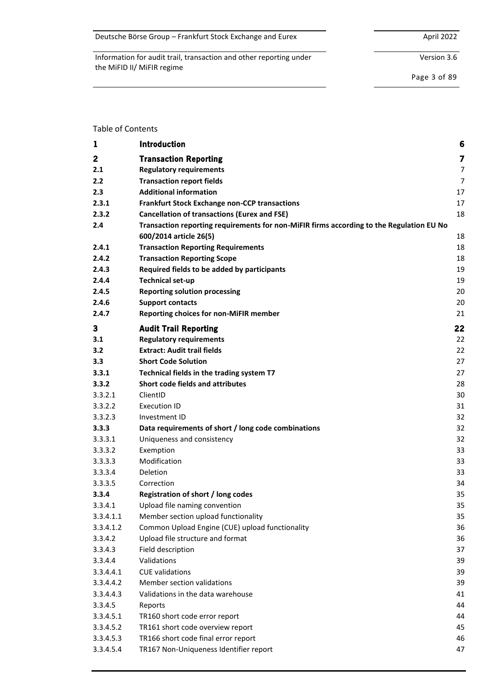| Deutsche Börse Group - Frankfurt Stock Exchange and Eurex | April 2022 |
|-----------------------------------------------------------|------------|
|-----------------------------------------------------------|------------|

Version 3.6

Page 3 of 89

#### Table of Contents

| 1         | Introduction                                                                             | 6  |
|-----------|------------------------------------------------------------------------------------------|----|
| 2         | <b>Transaction Reporting</b>                                                             | 7  |
| 2.1       | <b>Regulatory requirements</b>                                                           | 7  |
| 2.2       | <b>Transaction report fields</b>                                                         | 7  |
| 2.3       | <b>Additional information</b>                                                            | 17 |
| 2.3.1     | <b>Frankfurt Stock Exchange non-CCP transactions</b>                                     | 17 |
| 2.3.2     | <b>Cancellation of transactions (Eurex and FSE)</b>                                      | 18 |
| 2.4       | Transaction reporting requirements for non-MiFIR firms according to the Regulation EU No |    |
|           | 600/2014 article 26(5)                                                                   | 18 |
| 2.4.1     | <b>Transaction Reporting Requirements</b>                                                | 18 |
| 2.4.2     | <b>Transaction Reporting Scope</b>                                                       | 18 |
| 2.4.3     | Required fields to be added by participants                                              | 19 |
| 2.4.4     | <b>Technical set-up</b>                                                                  | 19 |
| 2.4.5     | <b>Reporting solution processing</b>                                                     | 20 |
| 2.4.6     | <b>Support contacts</b>                                                                  | 20 |
| 2.4.7     | <b>Reporting choices for non-MiFIR member</b>                                            | 21 |
| 3         | <b>Audit Trail Reporting</b>                                                             | 22 |
| 3.1       | <b>Regulatory requirements</b>                                                           | 22 |
| 3.2       | <b>Extract: Audit trail fields</b>                                                       | 22 |
| 3.3       | <b>Short Code Solution</b>                                                               | 27 |
| 3.3.1     | Technical fields in the trading system T7                                                | 27 |
| 3.3.2     | Short code fields and attributes                                                         | 28 |
| 3.3.2.1   | ClientID                                                                                 | 30 |
| 3.3.2.2   | <b>Execution ID</b>                                                                      | 31 |
| 3.3.2.3   | Investment ID                                                                            | 32 |
| 3.3.3     | Data requirements of short / long code combinations                                      | 32 |
| 3.3.3.1   | Uniqueness and consistency                                                               | 32 |
| 3.3.3.2   | Exemption                                                                                | 33 |
| 3.3.3.3   | Modification                                                                             | 33 |
| 3.3.3.4   | Deletion                                                                                 | 33 |
| 3.3.3.5   | Correction                                                                               | 34 |
| 3.3.4     | <b>Registration of short / long codes</b>                                                | 35 |
| 3.3.4.1   | Upload file naming convention                                                            | 35 |
| 3.3.4.1.1 | Member section upload functionality                                                      | 35 |
| 3.3.4.1.2 | Common Upload Engine (CUE) upload functionality                                          | 36 |
| 3.3.4.2   | Upload file structure and format                                                         | 36 |
| 3.3.4.3   | Field description                                                                        | 37 |
| 3.3.4.4   | Validations                                                                              | 39 |
| 3.3.4.4.1 | <b>CUE</b> validations                                                                   | 39 |
| 3.3.4.4.2 | Member section validations                                                               | 39 |
| 3.3.4.4.3 | Validations in the data warehouse                                                        | 41 |
| 3.3.4.5   | Reports                                                                                  | 44 |
| 3.3.4.5.1 | TR160 short code error report                                                            | 44 |
| 3.3.4.5.2 | TR161 short code overview report                                                         | 45 |
| 3.3.4.5.3 | TR166 short code final error report                                                      | 46 |
| 3.3.4.5.4 | TR167 Non-Uniqueness Identifier report                                                   | 47 |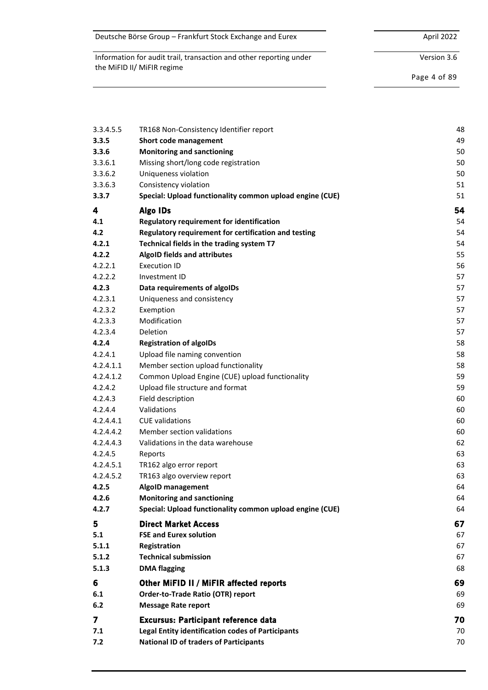| Deutsche Börse Group – Frankfurt Stock Exchange and Eurex | April 2022 |
|-----------------------------------------------------------|------------|
|-----------------------------------------------------------|------------|

Version 3.6

Page 4 of 89

| 3.3.4.5.5 | TR168 Non-Consistency Identifier report                  | 48 |
|-----------|----------------------------------------------------------|----|
| 3.3.5     | <b>Short code management</b>                             | 49 |
| 3.3.6     | <b>Monitoring and sanctioning</b>                        | 50 |
| 3.3.6.1   | Missing short/long code registration                     | 50 |
| 3.3.6.2   | Uniqueness violation                                     | 50 |
| 3.3.6.3   | Consistency violation                                    | 51 |
| 3.3.7     | Special: Upload functionality common upload engine (CUE) | 51 |
| 4         | <b>Algo IDs</b>                                          | 54 |
| 4.1       | <b>Regulatory requirement for identification</b>         | 54 |
| 4.2       | Regulatory requirement for certification and testing     | 54 |
| 4.2.1     | Technical fields in the trading system T7                | 54 |
| 4.2.2     | <b>AlgoID fields and attributes</b>                      | 55 |
| 4.2.2.1   | <b>Execution ID</b>                                      | 56 |
| 4.2.2.2   | Investment ID                                            | 57 |
| 4.2.3     | Data requirements of algoIDs                             | 57 |
| 4.2.3.1   | Uniqueness and consistency                               | 57 |
| 4.2.3.2   | Exemption                                                | 57 |
| 4.2.3.3   | Modification                                             | 57 |
| 4.2.3.4   | Deletion                                                 | 57 |
| 4.2.4     | <b>Registration of algoIDs</b>                           | 58 |
| 4.2.4.1   | Upload file naming convention                            | 58 |
| 4.2.4.1.1 | Member section upload functionality                      | 58 |
| 4.2.4.1.2 | Common Upload Engine (CUE) upload functionality          | 59 |
| 4.2.4.2   | Upload file structure and format                         | 59 |
| 4.2.4.3   | Field description                                        | 60 |
| 4.2.4.4   | Validations                                              | 60 |
| 4.2.4.4.1 | <b>CUE</b> validations                                   | 60 |
| 4.2.4.4.2 | Member section validations                               | 60 |
| 4.2.4.4.3 | Validations in the data warehouse                        | 62 |
| 4.2.4.5   | Reports                                                  | 63 |
| 4.2.4.5.1 | TR162 algo error report                                  | 63 |
| 4.2.4.5.2 | TR163 algo overview report                               | 63 |
| 4.2.5     | AlgoID management                                        | 64 |
| 4.2.6     | <b>Monitoring and sanctioning</b>                        | 64 |
| 4.2.7     | Special: Upload functionality common upload engine (CUE) | 64 |
| 5         | <b>Direct Market Access</b>                              | 67 |
| 5.1       | <b>FSE and Eurex solution</b>                            | 67 |
| 5.1.1     | Registration                                             | 67 |
| 5.1.2     | <b>Technical submission</b>                              | 67 |
| 5.1.3     | <b>DMA flagging</b>                                      | 68 |
| 6         | Other MiFID II / MiFIR affected reports                  | 69 |
| 6.1       | Order-to-Trade Ratio (OTR) report                        | 69 |
| 6.2       | <b>Message Rate report</b>                               | 69 |
| 7         | <b>Excursus: Participant reference data</b>              | 70 |
| 7.1       | <b>Legal Entity identification codes of Participants</b> | 70 |
| 7.2       | <b>National ID of traders of Participants</b>            | 70 |
|           |                                                          |    |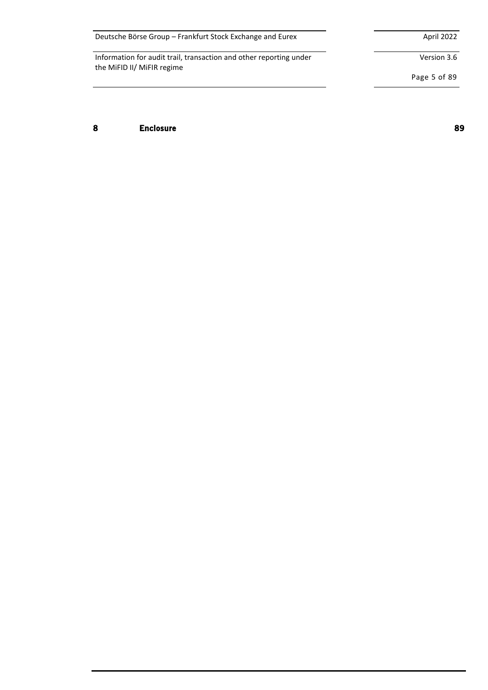| Deutsche Börse Group - Frankfurt Stock Exchange and Eurex | April 2022 |
|-----------------------------------------------------------|------------|
|-----------------------------------------------------------|------------|

Version 3.6

Page 5 of 89

**8 Enclosure 89**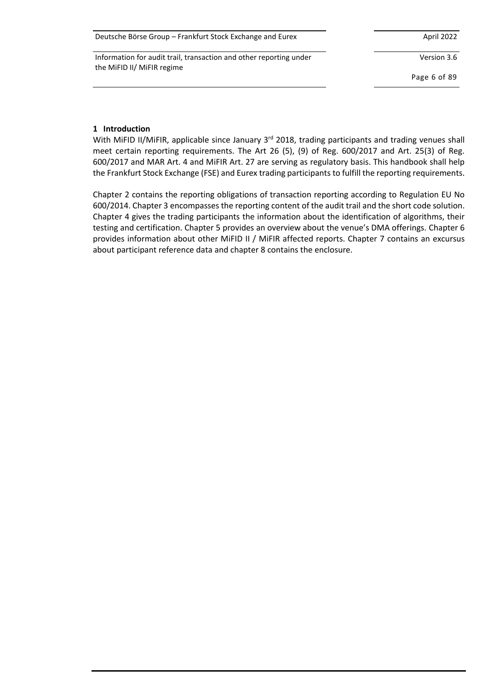| Deutsche Börse Group - Frankfurt Stock Exchange and Eurex | April 2022 |
|-----------------------------------------------------------|------------|
|-----------------------------------------------------------|------------|

Version 3.6

Page 6 of 89

### **1 Introduction**

With MiFID II/MiFIR, applicable since January 3<sup>rd</sup> 2018, trading participants and trading venues shall meet certain reporting requirements. The Art 26 (5), (9) of Reg. 600/2017 and Art. 25(3) of Reg. 600/2017 and MAR Art. 4 and MiFIR Art. 27 are serving as regulatory basis. This handbook shall help the Frankfurt Stock Exchange (FSE) and Eurex trading participants to fulfill the reporting requirements.

Chapter 2 contains the reporting obligations of transaction reporting according to Regulation EU No 600/2014. Chapter 3 encompasses the reporting content of the audit trail and the short code solution. Chapter 4 gives the trading participants the information about the identification of algorithms, their testing and certification. Chapter 5 provides an overview about the venue's DMA offerings. Chapter 6 provides information about other MiFID II / MiFIR affected reports. Chapter 7 contains an excursus about participant reference data and chapter 8 contains the enclosure.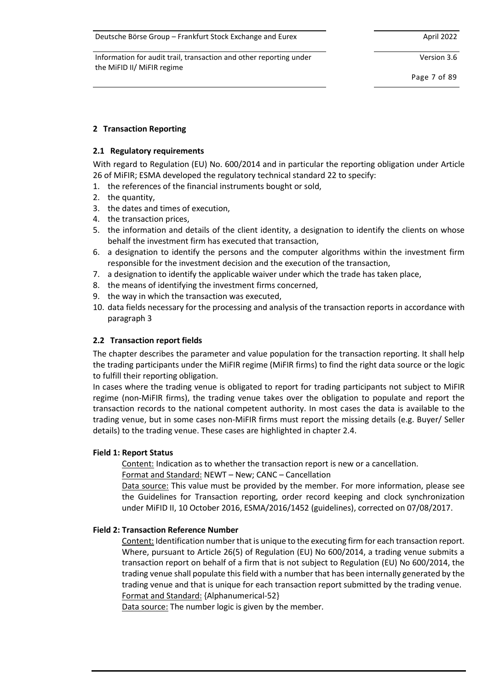Information for audit trail, transaction and other reporting under the MiFID II/ MiFIR regime

Version 3.6

Page 7 of 89

### **2 Transaction Reporting**

### **2.1 Regulatory requirements**

With regard to Regulation (EU) No. 600/2014 and in particular the reporting obligation under Article 26 of MiFIR; ESMA developed the regulatory technical standard 22 to specify:

- 1. the references of the financial instruments bought or sold,
- 2. the quantity,
- 3. the dates and times of execution,
- 4. the transaction prices,
- 5. the information and details of the client identity, a designation to identify the clients on whose behalf the investment firm has executed that transaction,
- 6. a designation to identify the persons and the computer algorithms within the investment firm responsible for the investment decision and the execution of the transaction,
- 7. a designation to identify the applicable waiver under which the trade has taken place,
- 8. the means of identifying the investment firms concerned,
- 9. the way in which the transaction was executed,
- 10. data fields necessary for the processing and analysis of the transaction reports in accordance with paragraph 3

### **2.2 Transaction report fields**

The chapter describes the parameter and value population for the transaction reporting. It shall help the trading participants under the MiFIR regime (MiFIR firms) to find the right data source or the logic to fulfill their reporting obligation.

In cases where the trading venue is obligated to report for trading participants not subject to MiFIR regime (non-MiFIR firms), the trading venue takes over the obligation to populate and report the transaction records to the national competent authority. In most cases the data is available to the trading venue, but in some cases non-MiFIR firms must report the missing details (e.g. Buyer/ Seller details) to the trading venue. These cases are highlighted in chapte[r 2.4.](#page-17-0)

### **Field 1: Report Status**

Content: Indication as to whether the transaction report is new or a cancellation.

Format and Standard: NEWT – New; CANC – Cancellation

Data source: This value must be provided by the member. For more information, please see the Guidelines for Transaction reporting, order record keeping and clock synchronization under MiFID II, 10 October 2016, ESMA/2016/1452 (guidelines), corrected on 07/08/2017.

### **Field 2: Transaction Reference Number**

Content: Identification number that is unique to the executing firm for each transaction report. Where, pursuant to Article 26(5) of Regulation (EU) No 600/2014, a trading venue submits a transaction report on behalf of a firm that is not subject to Regulation (EU) No 600/2014, the trading venue shall populate this field with a number that has been internally generated by the trading venue and that is unique for each transaction report submitted by the trading venue. Format and Standard: {Alphanumerical-52}

Data source: The number logic is given by the member.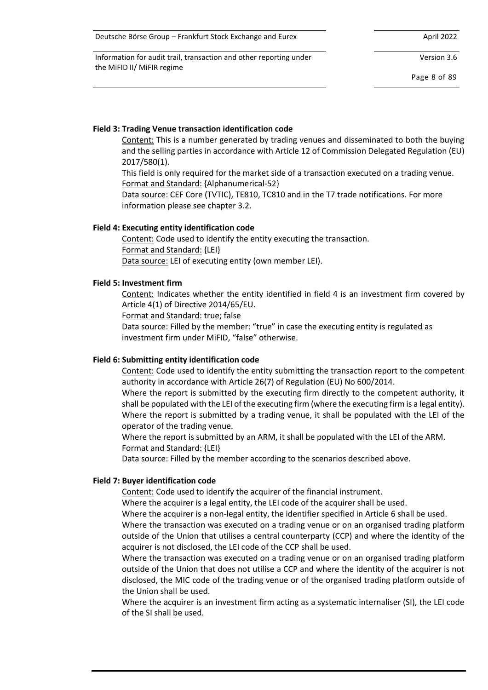| Deutsche Börse Group – Frankfurt Stock Exchange and Eurex | April 2022 |
|-----------------------------------------------------------|------------|
|-----------------------------------------------------------|------------|

Version 3.6

Page 8 of 89

# **Field 3: Trading Venue transaction identification code**

Content: This is a number generated by trading venues and disseminated to both the buying and the selling parties in accordance with Article 12 of Commission Delegated Regulation (EU) 2017/580(1).

This field is only required for the market side of a transaction executed on a trading venue. Format and Standard: {Alphanumerical-52}

Data source: CEF Core (TVTIC), TE810, TC810 and in the T7 trade notifications. For more information please see chapter 3.2.

# **Field 4: Executing entity identification code**

Content: Code used to identify the entity executing the transaction. Format and Standard: {LEI} Data source: LEI of executing entity (own member LEI).

### **Field 5: Investment firm**

Content: Indicates whether the entity identified in field 4 is an investment firm covered by Article 4(1) of Directive 2014/65/EU.

Format and Standard: true; false

Data source: Filled by the member: "true" in case the executing entity is regulated as investment firm under MiFID, "false" otherwise.

# **Field 6: Submitting entity identification code**

Content: Code used to identify the entity submitting the transaction report to the competent authority in accordance with Article 26(7) of Regulation (EU) No 600/2014.

Where the report is submitted by the executing firm directly to the competent authority, it shall be populated with the LEI of the executing firm (where the executing firm is a legal entity). Where the report is submitted by a trading venue, it shall be populated with the LEI of the operator of the trading venue.

Where the report is submitted by an ARM, it shall be populated with the LEI of the ARM. Format and Standard: {LEI}

Data source: Filled by the member according to the scenarios described above.

# **Field 7: Buyer identification code**

Content: Code used to identify the acquirer of the financial instrument.

Where the acquirer is a legal entity, the LEI code of the acquirer shall be used.

Where the acquirer is a non-legal entity, the identifier specified in Article 6 shall be used.

Where the transaction was executed on a trading venue or on an organised trading platform outside of the Union that utilises a central counterparty (CCP) and where the identity of the acquirer is not disclosed, the LEI code of the CCP shall be used.

Where the transaction was executed on a trading venue or on an organised trading platform outside of the Union that does not utilise a CCP and where the identity of the acquirer is not disclosed, the MIC code of the trading venue or of the organised trading platform outside of the Union shall be used.

Where the acquirer is an investment firm acting as a systematic internaliser (SI), the LEI code of the SI shall be used.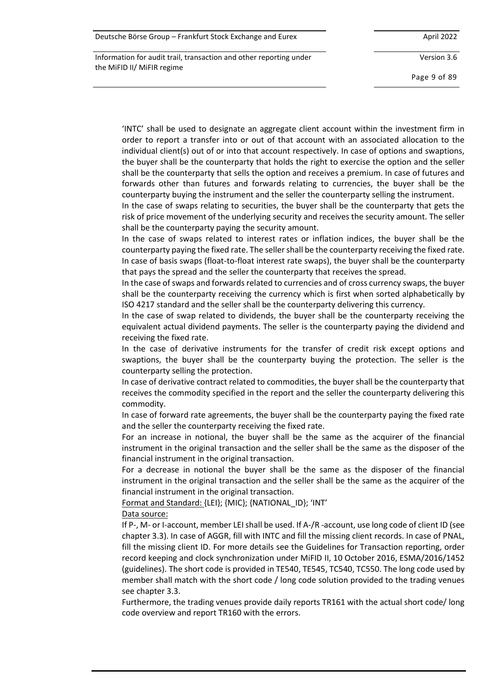| Deutsche Börse Group – Frankfurt Stock Exchange and Eurex | April 2022 |
|-----------------------------------------------------------|------------|
|-----------------------------------------------------------|------------|

Version 3.6

Page 9 of 89

'INTC' shall be used to designate an aggregate client account within the investment firm in order to report a transfer into or out of that account with an associated allocation to the individual client(s) out of or into that account respectively. In case of options and swaptions, the buyer shall be the counterparty that holds the right to exercise the option and the seller shall be the counterparty that sells the option and receives a premium. In case of futures and forwards other than futures and forwards relating to currencies, the buyer shall be the counterparty buying the instrument and the seller the counterparty selling the instrument.

In the case of swaps relating to securities, the buyer shall be the counterparty that gets the risk of price movement of the underlying security and receives the security amount. The seller shall be the counterparty paying the security amount.

In the case of swaps related to interest rates or inflation indices, the buyer shall be the counterparty paying the fixed rate. The seller shall be the counterparty receiving the fixed rate. In case of basis swaps (float-to-float interest rate swaps), the buyer shall be the counterparty that pays the spread and the seller the counterparty that receives the spread.

In the case of swaps and forwards related to currencies and of cross currency swaps, the buyer shall be the counterparty receiving the currency which is first when sorted alphabetically by ISO 4217 standard and the seller shall be the counterparty delivering this currency.

In the case of swap related to dividends, the buyer shall be the counterparty receiving the equivalent actual dividend payments. The seller is the counterparty paying the dividend and receiving the fixed rate.

In the case of derivative instruments for the transfer of credit risk except options and swaptions, the buyer shall be the counterparty buying the protection. The seller is the counterparty selling the protection.

In case of derivative contract related to commodities, the buyer shall be the counterparty that receives the commodity specified in the report and the seller the counterparty delivering this commodity.

In case of forward rate agreements, the buyer shall be the counterparty paying the fixed rate and the seller the counterparty receiving the fixed rate.

For an increase in notional, the buyer shall be the same as the acquirer of the financial instrument in the original transaction and the seller shall be the same as the disposer of the financial instrument in the original transaction.

For a decrease in notional the buyer shall be the same as the disposer of the financial instrument in the original transaction and the seller shall be the same as the acquirer of the financial instrument in the original transaction.

Format and Standard: {LEI}; {MIC}; {NATIONAL\_ID}; 'INT'

Data source:

If P-, M- or I-account, member LEI shall be used. If A-/R -account, use long code of client ID (see chapter [3.3\)](#page-26-0). In case of AGGR, fill with INTC and fill the missing client records. In case of PNAL, fill the missing client ID. For more details see the Guidelines for Transaction reporting, order record keeping and clock synchronization under MiFID II, 10 October 2016, ESMA/2016/1452 (guidelines). The short code is provided in TE540, TE545, TC540, TC550. The long code used by member shall match with the short code / long code solution provided to the trading venues see chapte[r 3.3.](#page-26-0)

Furthermore, the trading venues provide daily reports TR161 with the actual short code/ long code overview and report TR160 with the errors.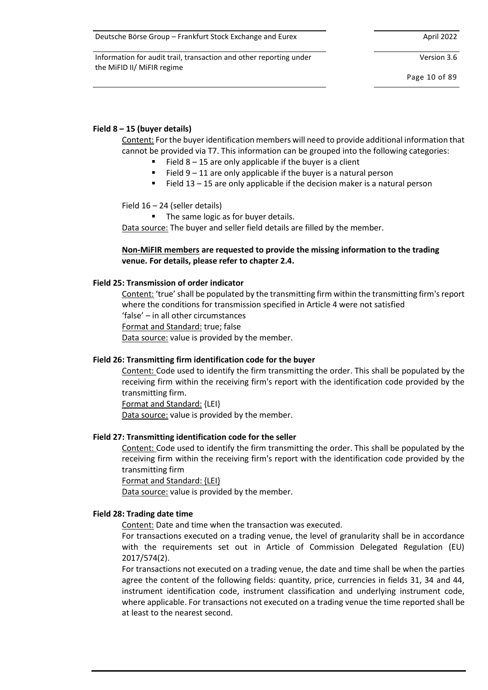Information for audit trail, transaction and other reporting under the MiFID II/ MiFIR regime

Version 3.6

Page 10 of 89

### **Field 8 – 15 (buyer details)**

Content: For the buyer identification members will need to provide additional information that cannot be provided via T7. This information can be grouped into the following categories:

- Field  $8 15$  are only applicable if the buyer is a client
- $\blacksquare$  Field 9 11 are only applicable if the buyer is a natural person
- Field 13 15 are only applicable if the decision maker is a natural person

Field 16 – 24 (seller details)

■ The same logic as for buyer details.

Data source: The buyer and seller field details are filled by the member.

### **Non-MiFIR members are requested to provide the missing information to the trading venue. For details, please refer to chapter [2.4.](#page-17-0)**

#### **Field 25: Transmission of order indicator**

Content: 'true' shall be populated by the transmitting firm within the transmitting firm's report where the conditions for transmission specified in Article 4 were not satisfied 'false' – in all other circumstances Format and Standard: true; false Data source: value is provided by the member.

### **Field 26: Transmitting firm identification code for the buyer**

Content: Code used to identify the firm transmitting the order. This shall be populated by the receiving firm within the receiving firm's report with the identification code provided by the transmitting firm.

Format and Standard: {LEI} Data source: value is provided by the member.

#### **Field 27: Transmitting identification code for the seller**

Content: Code used to identify the firm transmitting the order. This shall be populated by the receiving firm within the receiving firm's report with the identification code provided by the transmitting firm

Format and Standard: {LEI}

Data source: value is provided by the member.

#### **Field 28: Trading date time**

Content: Date and time when the transaction was executed.

For transactions executed on a trading venue, the level of granularity shall be in accordance with the requirements set out in Article of Commission Delegated Regulation (EU) 2017/574(2).

For transactions not executed on a trading venue, the date and time shall be when the parties agree the content of the following fields: quantity, price, currencies in fields 31, 34 and 44, instrument identification code, instrument classification and underlying instrument code, where applicable. For transactions not executed on a trading venue the time reported shall be at least to the nearest second.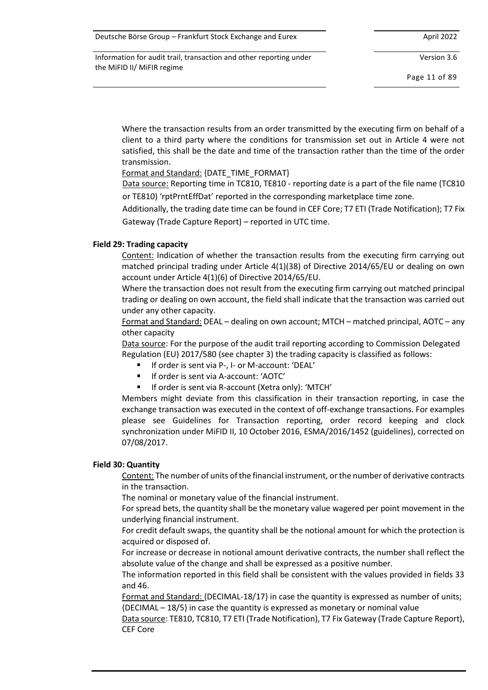| Deutsche Börse Group – Frankfurt Stock Exchange and Eurex | April 2022 |
|-----------------------------------------------------------|------------|
|-----------------------------------------------------------|------------|

Version 3.6

Page 11 of 89

Where the transaction results from an order transmitted by the executing firm on behalf of a client to a third party where the conditions for transmission set out in Article 4 were not satisfied, this shall be the date and time of the transaction rather than the time of the order transmission.

Format and Standard: {DATE\_TIME\_FORMAT}

Data source: Reporting time in TC810, TE810 - reporting date is a part of the file name (TC810 or TE810) 'rptPrntEffDat' reported in the corresponding marketplace time zone.

Additionally, the trading date time can be found in CEF Core; T7 ETI (Trade Notification); T7 Fix Gateway (Trade Capture Report) – reported in UTC time.

### **Field 29: Trading capacity**

Content: Indication of whether the transaction results from the executing firm carrying out matched principal trading under Article 4(1)(38) of Directive 2014/65/EU or dealing on own account under Article 4(1)(6) of Directive 2014/65/EU.

Where the transaction does not result from the executing firm carrying out matched principal trading or dealing on own account, the field shall indicate that the transaction was carried out under any other capacity.

Format and Standard: DEAL – dealing on own account; MTCH – matched principal, AOTC – any other capacity

Data source: For the purpose of the audit trail reporting according to Commission Delegated Regulation (EU) 2017/580 (see chapter 3) the trading capacity is classified as follows:

- If order is sent via P-, I- or M-account: 'DEAL'
- If order is sent via A-account: 'AOTC'
- If order is sent via R-account (Xetra only): 'MTCH'

Members might deviate from this classification in their transaction reporting, in case the exchange transaction was executed in the context of off-exchange transactions. For examples please see Guidelines for Transaction reporting, order record keeping and clock synchronization under MiFID II, 10 October 2016, ESMA/2016/1452 (guidelines), corrected on 07/08/2017.

#### **Field 30: Quantity**

Content: The number of units of the financial instrument, or the number of derivative contracts in the transaction.

The nominal or monetary value of the financial instrument.

For spread bets, the quantity shall be the monetary value wagered per point movement in the underlying financial instrument.

For credit default swaps, the quantity shall be the notional amount for which the protection is acquired or disposed of.

For increase or decrease in notional amount derivative contracts, the number shall reflect the absolute value of the change and shall be expressed as a positive number.

The information reported in this field shall be consistent with the values provided in fields 33 and 46.

Format and Standard: {DECIMAL-18/17} in case the quantity is expressed as number of units; {DECIMAL – 18/5} in case the quantity is expressed as monetary or nominal value

Data source: TE810, TC810, T7 ETI (Trade Notification), T7 Fix Gateway (Trade Capture Report), CEF Core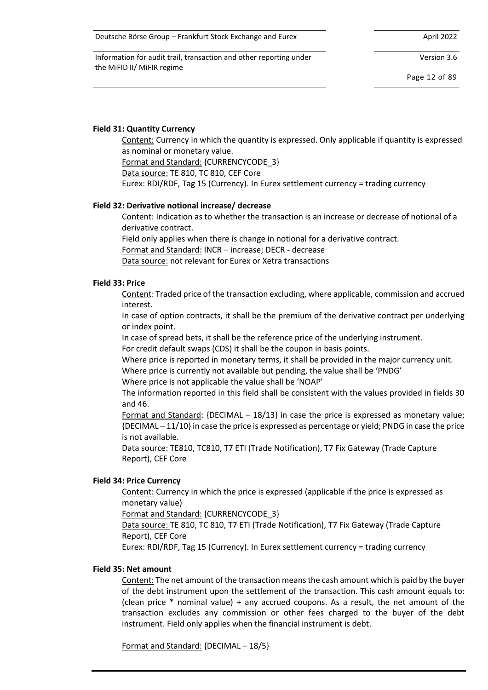Information for audit trail, transaction and other reporting under the MiFID II/ MiFIR regime

Version 3.6

Page 12 of 89

### **Field 31: Quantity Currency**

Content: Currency in which the quantity is expressed. Only applicable if quantity is expressed as nominal or monetary value.

Format and Standard: {CURRENCYCODE\_3}

Data source: TE 810, TC 810, CEF Core

Eurex: RDI/RDF, Tag 15 (Currency). In Eurex settlement currency = trading currency

### **Field 32: Derivative notional increase/ decrease**

Content: Indication as to whether the transaction is an increase or decrease of notional of a derivative contract.

Field only applies when there is change in notional for a derivative contract.

Format and Standard: INCR – increase; DECR - decrease

Data source: not relevant for Eurex or Xetra transactions

#### **Field 33: Price**

Content: Traded price of the transaction excluding, where applicable, commission and accrued interest.

In case of option contracts, it shall be the premium of the derivative contract per underlying or index point.

In case of spread bets, it shall be the reference price of the underlying instrument.

For credit default swaps (CDS) it shall be the coupon in basis points.

Where price is reported in monetary terms, it shall be provided in the major currency unit.

Where price is currently not available but pending, the value shall be 'PNDG'

Where price is not applicable the value shall be 'NOAP'

The information reported in this field shall be consistent with the values provided in fields 30 and 46.

Format and Standard:  ${DECIMAL - 18/13}$  in case the price is expressed as monetary value; {DECIMAL – 11/10} in case the price is expressed as percentage or yield; PNDG in case the price is not available.

Data source: TE810, TC810, T7 ETI (Trade Notification), T7 Fix Gateway (Trade Capture Report), CEF Core

### **Field 34: Price Currency**

Content: Currency in which the price is expressed (applicable if the price is expressed as monetary value)

Format and Standard: {CURRENCYCODE\_3}

Data source: TE 810, TC 810, T7 ETI (Trade Notification), T7 Fix Gateway (Trade Capture Report), CEF Core

Eurex: RDI/RDF, Tag 15 (Currency). In Eurex settlement currency = trading currency

#### **Field 35: Net amount**

Content: The net amount of the transaction means the cash amount which is paid by the buyer of the debt instrument upon the settlement of the transaction. This cash amount equals to: (clean price \* nominal value) + any accrued coupons. As a result, the net amount of the transaction excludes any commission or other fees charged to the buyer of the debt instrument. Field only applies when the financial instrument is debt.

Format and Standard: {DECIMAL – 18/5}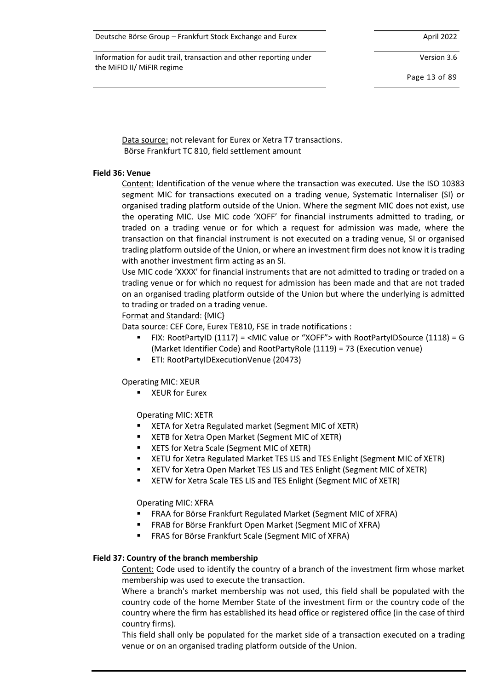Information for audit trail, transaction and other reporting under the MiFID II/ MiFIR regime

Version 3.6

Page 13 of 89

Data source: not relevant for Eurex or Xetra T7 transactions. Börse Frankfurt TC 810, field settlement amount

#### **Field 36: Venue**

Content: Identification of the venue where the transaction was executed. Use the ISO 10383 segment MIC for transactions executed on a trading venue, Systematic Internaliser (SI) or organised trading platform outside of the Union. Where the segment MIC does not exist, use the operating MIC. Use MIC code 'XOFF' for financial instruments admitted to trading, or traded on a trading venue or for which a request for admission was made, where the transaction on that financial instrument is not executed on a trading venue, SI or organised trading platform outside of the Union, or where an investment firm does not know it is trading with another investment firm acting as an SI.

Use MIC code 'XXXX' for financial instruments that are not admitted to trading or traded on a trading venue or for which no request for admission has been made and that are not traded on an organised trading platform outside of the Union but where the underlying is admitted to trading or traded on a trading venue.

### Format and Standard: {MIC}

Data source: CEF Core, Eurex TE810, FSE in trade notifications :

- FIX: RootPartyID (1117) = <MIC value or "XOFF"> with RootPartyIDSource (1118) = G (Market Identifier Code) and RootPartyRole (1119) = 73 (Execution venue)
- ETI: RootPartyIDExecutionVenue (20473)

Operating MIC: XEUR

■ XEUR for Eurex

Operating MIC: XETR

- XETA for Xetra Regulated market (Segment MIC of XETR)
- XETB for Xetra Open Market (Segment MIC of XETR)
- XETS for Xetra Scale (Segment MIC of XETR)
- **EXECT AT A KETU for Xetra Regulated Market TES LIS and TES Enlight (Segment MIC of XETR)**
- XETV for Xetra Open Market TES LIS and TES Enlight (Segment MIC of XETR)
- XETW for Xetra Scale TES LIS and TES Enlight (Segment MIC of XETR)

Operating MIC: XFRA

- FRAA for Börse Frankfurt Regulated Market (Segment MIC of XFRA)
- FRAB for Börse Frankfurt Open Market (Segment MIC of XFRA)
- FRAS for Börse Frankfurt Scale (Segment MIC of XFRA)

### **Field 37: Country of the branch membership**

Content: Code used to identify the country of a branch of the investment firm whose market membership was used to execute the transaction.

Where a branch's market membership was not used, this field shall be populated with the country code of the home Member State of the investment firm or the country code of the country where the firm has established its head office or registered office (in the case of third country firms).

This field shall only be populated for the market side of a transaction executed on a trading venue or on an organised trading platform outside of the Union.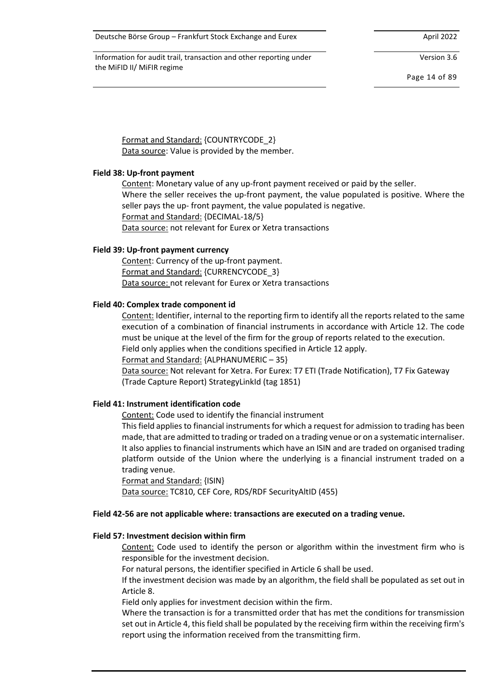Information for audit trail, transaction and other reporting under the MiFID II/ MiFIR regime

Version 3.6

Page 14 of 89

Format and Standard: {COUNTRYCODE\_2} Data source: Value is provided by the member.

#### **Field 38: Up-front payment**

Content: Monetary value of any up-front payment received or paid by the seller.

Where the seller receives the up-front payment, the value populated is positive. Where the seller pays the up- front payment, the value populated is negative. Format and Standard: {DECIMAL-18/5}

Data source: not relevant for Eurex or Xetra transactions

#### **Field 39: Up-front payment currency**

Content: Currency of the up-front payment. Format and Standard: {CURRENCYCODE\_3} Data source: not relevant for Eurex or Xetra transactions

#### **Field 40: Complex trade component id**

Content: Identifier, internal to the reporting firm to identify all the reports related to the same execution of a combination of financial instruments in accordance with Article 12. The code must be unique at the level of the firm for the group of reports related to the execution.

Field only applies when the conditions specified in Article 12 apply.

Format and Standard: {ALPHANUMERIC – 35}

Data source: Not relevant for Xetra. For Eurex: T7 ETI (Trade Notification), T7 Fix Gateway (Trade Capture Report) StrategyLinkId (tag 1851)

#### **Field 41: Instrument identification code**

Content: Code used to identify the financial instrument

This field applies to financial instruments for which a request for admission to trading has been made, that are admitted to trading or traded on a trading venue or on a systematic internaliser. It also applies to financial instruments which have an ISIN and are traded on organised trading platform outside of the Union where the underlying is a financial instrument traded on a trading venue.

Format and Standard: {ISIN}

Data source: TC810, CEF Core, RDS/RDF SecurityAltID (455)

#### **Field 42-56 are not applicable where: transactions are executed on a trading venue.**

#### **Field 57: Investment decision within firm**

Content: Code used to identify the person or algorithm within the investment firm who is responsible for the investment decision.

For natural persons, the identifier specified in Article 6 shall be used.

If the investment decision was made by an algorithm, the field shall be populated as set out in Article 8.

Field only applies for investment decision within the firm.

Where the transaction is for a transmitted order that has met the conditions for transmission set out in Article 4, this field shall be populated by the receiving firm within the receiving firm's report using the information received from the transmitting firm.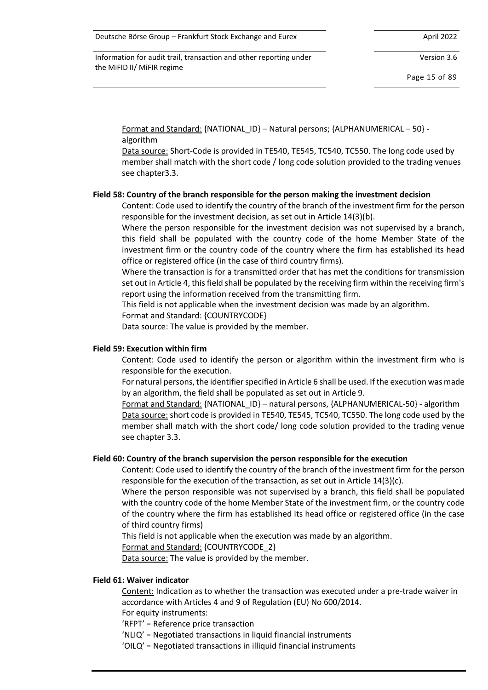Information for audit trail, transaction and other reporting under the MiFID II/ MiFIR regime

Version 3.6

Page 15 of 89

Format and Standard: {NATIONAL\_ID} – Natural persons; {ALPHANUMERICAL – 50} algorithm

Data source: Short-Code is provided in TE540, TE545, TC540, TC550. The long code used by member shall match with the short code / long code solution provided to the trading venues see chapte[r3.3.](#page-26-0)

#### **Field 58: Country of the branch responsible for the person making the investment decision**

Content: Code used to identify the country of the branch of the investment firm for the person responsible for the investment decision, as set out in Article 14(3)(b).

Where the person responsible for the investment decision was not supervised by a branch, this field shall be populated with the country code of the home Member State of the investment firm or the country code of the country where the firm has established its head office or registered office (in the case of third country firms).

Where the transaction is for a transmitted order that has met the conditions for transmission set out in Article 4, this field shall be populated by the receiving firm within the receiving firm's report using the information received from the transmitting firm.

This field is not applicable when the investment decision was made by an algorithm.

Format and Standard: {COUNTRYCODE}

Data source: The value is provided by the member.

#### **Field 59: Execution within firm**

Content: Code used to identify the person or algorithm within the investment firm who is responsible for the execution.

For natural persons, the identifier specified in Article 6 shall be used. If the execution was made by an algorithm, the field shall be populated as set out in Article 9.

Format and Standard: {NATIONAL\_ID} – natural persons, {ALPHANUMERICAL-50} - algorithm Data source: short code is provided in TE540, TE545, TC540, TC550. The long code used by the member shall match with the short code/ long code solution provided to the trading venue see chapter [3.3.](#page-26-0)

#### **Field 60: Country of the branch supervision the person responsible for the execution**

Content: Code used to identify the country of the branch of the investment firm for the person responsible for the execution of the transaction, as set out in Article 14(3)(c).

Where the person responsible was not supervised by a branch, this field shall be populated with the country code of the home Member State of the investment firm, or the country code of the country where the firm has established its head office or registered office (in the case of third country firms)

This field is not applicable when the execution was made by an algorithm.

Format and Standard: {COUNTRYCODE\_2}

Data source: The value is provided by the member.

#### **Field 61: Waiver indicator**

Content: Indication as to whether the transaction was executed under a pre-trade waiver in accordance with Articles 4 and 9 of Regulation (EU) No 600/2014.

For equity instruments:

- 'RFPT' = Reference price transaction
- 'NLIQ' = Negotiated transactions in liquid financial instruments
- 'OILQ' = Negotiated transactions in illiquid financial instruments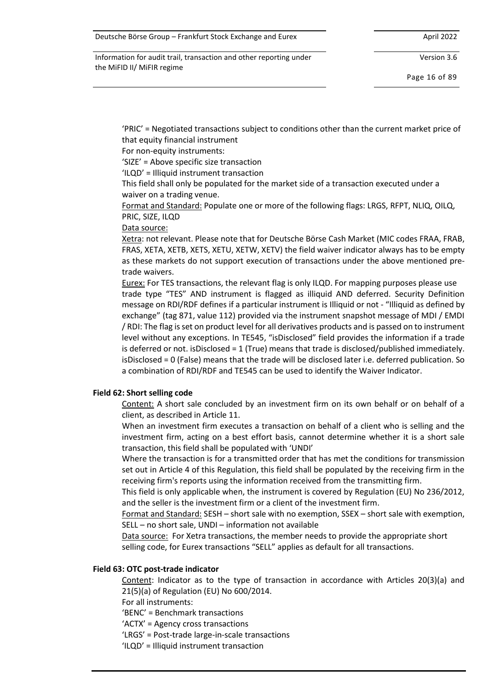Version 3.6

Page 16 of 89

'PRIC' = Negotiated transactions subject to conditions other than the current market price of that equity financial instrument

For non-equity instruments:

'SIZE' = Above specific size transaction

'ILQD' = Illiquid instrument transaction

This field shall only be populated for the market side of a transaction executed under a waiver on a trading venue.

Format and Standard: Populate one or more of the following flags: LRGS, RFPT, NLIQ, OILQ, PRIC, SIZE, ILQD

Data source:

Xetra: not relevant. Please note that for Deutsche Börse Cash Market (MIC codes FRAA, FRAB, FRAS, XETA, XETB, XETS, XETU, XETW, XETV) the field waiver indicator always has to be empty as these markets do not support execution of transactions under the above mentioned pretrade waivers.

Eurex: For TES transactions, the relevant flag is only ILQD. For mapping purposes please use trade type "TES" AND instrument is flagged as illiquid AND deferred. Security Definition message on RDI/RDF defines if a particular instrument is Illiquid or not - "Illiquid as defined by exchange" (tag 871, value 112) provided via the instrument snapshot message of MDI / EMDI / RDI: The flag is set on product level for all derivatives products and is passed on to instrument level without any exceptions. In TE545, "isDisclosed" field provides the information if a trade is deferred or not. isDisclosed = 1 (True) means that trade is disclosed/published immediately. isDisclosed = 0 (False) means that the trade will be disclosed later i.e. deferred publication. So a combination of RDI/RDF and TE545 can be used to identify the Waiver Indicator.

#### **Field 62: Short selling code**

Content: A short sale concluded by an investment firm on its own behalf or on behalf of a client, as described in Article 11.

When an investment firm executes a transaction on behalf of a client who is selling and the investment firm, acting on a best effort basis, cannot determine whether it is a short sale transaction, this field shall be populated with 'UNDI'

Where the transaction is for a transmitted order that has met the conditions for transmission set out in Article 4 of this Regulation, this field shall be populated by the receiving firm in the receiving firm's reports using the information received from the transmitting firm.

This field is only applicable when, the instrument is covered by Regulation (EU) No 236/2012, and the seller is the investment firm or a client of the investment firm.

Format and Standard: SESH – short sale with no exemption, SSEX – short sale with exemption, SELL – no short sale, UNDI – information not available

Data source: For Xetra transactions, the member needs to provide the appropriate short selling code, for Eurex transactions "SELL" applies as default for all transactions.

#### **Field 63: OTC post-trade indicator**

Content: Indicator as to the type of transaction in accordance with Articles 20(3)(a) and 21(5)(a) of Regulation (EU) No 600/2014.

For all instruments:

'BENC' = Benchmark transactions

'ACTX' = Agency cross transactions

'LRGS' = Post-trade large-in-scale transactions

'ILQD' = Illiquid instrument transaction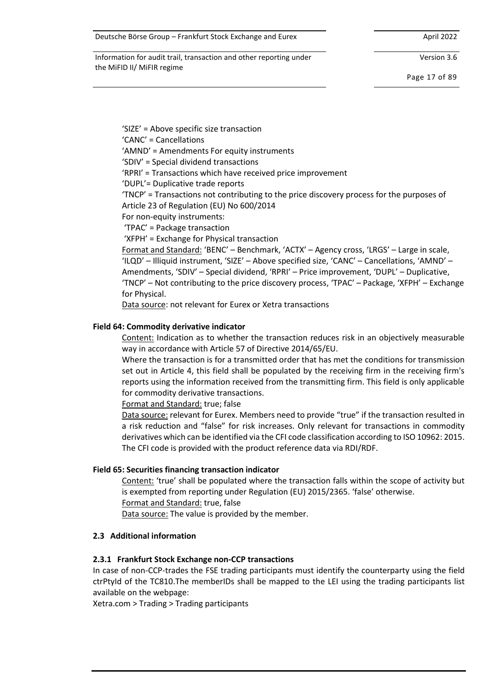Version 3.6

Page 17 of 89

'SIZE' = Above specific size transaction

'CANC' = Cancellations

'AMND' = Amendments For equity instruments

'SDIV' = Special dividend transactions

'RPRI' = Transactions which have received price improvement

'DUPL'= Duplicative trade reports

'TNCP' = Transactions not contributing to the price discovery process for the purposes of Article 23 of Regulation (EU) No 600/2014

For non-equity instruments:

'TPAC' = Package transaction

'XFPH' = Exchange for Physical transaction

Format and Standard: 'BENC' – Benchmark, 'ACTX' – Agency cross, 'LRGS' – Large in scale, 'ILQD' – Illiquid instrument, 'SIZE' – Above specified size, 'CANC' – Cancellations, 'AMND' – Amendments, 'SDIV' – Special dividend, 'RPRI' – Price improvement, 'DUPL' – Duplicative, 'TNCP' – Not contributing to the price discovery process, 'TPAC' – Package, 'XFPH' – Exchange for Physical.

Data source: not relevant for Eurex or Xetra transactions

#### **Field 64: Commodity derivative indicator**

Content: Indication as to whether the transaction reduces risk in an objectively measurable way in accordance with Article 57 of Directive 2014/65/EU.

Where the transaction is for a transmitted order that has met the conditions for transmission set out in Article 4, this field shall be populated by the receiving firm in the receiving firm's reports using the information received from the transmitting firm. This field is only applicable for commodity derivative transactions.

Format and Standard: true; false

Data source: relevant for Eurex. Members need to provide "true" if the transaction resulted in a risk reduction and "false" for risk increases. Only relevant for transactions in commodity derivatives which can be identified via the CFI code classification according to ISO 10962: 2015. The CFI code is provided with the product reference data via RDI/RDF.

#### **Field 65: Securities financing transaction indicator**

Content: 'true' shall be populated where the transaction falls within the scope of activity but is exempted from reporting under Regulation (EU) 2015/2365. 'false' otherwise.

Format and Standard: true, false

Data source: The value is provided by the member.

### **2.3 Additional information**

### **2.3.1 Frankfurt Stock Exchange non-CCP transactions**

In case of non-CCP-trades the FSE trading participants must identify the counterparty using the field ctrPtyId of the TC810.The memberIDs shall be mapped to the LEI using the trading participants list available on the webpage:

Xetra.com > Trading > Trading participants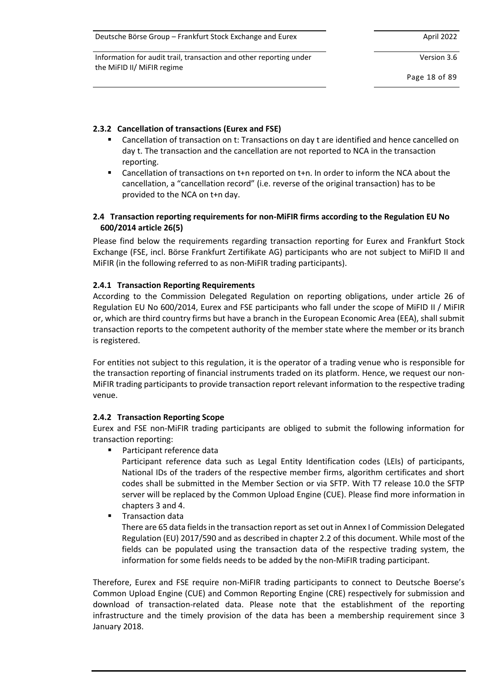Information for audit trail, transaction and other reporting under the MiFID II/ MiFIR regime

Version 3.6

Page 18 of 89

# **2.3.2 Cancellation of transactions (Eurex and FSE)**

- Cancellation of transaction on t: Transactions on day t are identified and hence cancelled on day t. The transaction and the cancellation are not reported to NCA in the transaction reporting.
- Cancellation of transactions on t+n reported on t+n. In order to inform the NCA about the cancellation, a "cancellation record" (i.e. reverse of the original transaction) has to be provided to the NCA on t+n day.

# <span id="page-17-0"></span>**2.4 Transaction reporting requirements for non-MiFIR firms according to the Regulation EU No 600/2014 article 26(5)**

Please find below the requirements regarding transaction reporting for Eurex and Frankfurt Stock Exchange (FSE, incl. Börse Frankfurt Zertifikate AG) participants who are not subject to MiFID II and MiFIR (in the following referred to as non-MiFIR trading participants).

### **2.4.1 Transaction Reporting Requirements**

According to the Commission Delegated Regulation on reporting obligations, under article 26 of Regulation EU No 600/2014, Eurex and FSE participants who fall under the scope of MiFID II / MiFIR or, which are third country firms but have a branch in the European Economic Area (EEA), shall submit transaction reports to the competent authority of the member state where the member or its branch is registered.

For entities not subject to this regulation, it is the operator of a trading venue who is responsible for the transaction reporting of financial instruments traded on its platform. Hence, we request our non-MiFIR trading participants to provide transaction report relevant information to the respective trading venue.

# **2.4.2 Transaction Reporting Scope**

Eurex and FSE non-MiFIR trading participants are obliged to submit the following information for transaction reporting:

Participant reference data

Participant reference data such as Legal Entity Identification codes (LEIs) of participants, National IDs of the traders of the respective member firms, algorithm certificates and short codes shall be submitted in the Member Section or via SFTP. With T7 release 10.0 the SFTP server will be replaced by the Common Upload Engine (CUE). Please find more information in chapters [3](#page-21-0) an[d 4.](#page-53-0)

**Transaction data** 

There are 65 data fields in the transaction report as set out in Annex I of Commission Delegated Regulation (EU) 2017/590 and as described in chapter 2.2 of this document. While most of the fields can be populated using the transaction data of the respective trading system, the information for some fields needs to be added by the non-MiFIR trading participant.

Therefore, Eurex and FSE require non-MiFIR trading participants to connect to Deutsche Boerse's Common Upload Engine (CUE) and Common Reporting Engine (CRE) respectively for submission and download of transaction-related data. Please note that the establishment of the reporting infrastructure and the timely provision of the data has been a membership requirement since 3 January 2018.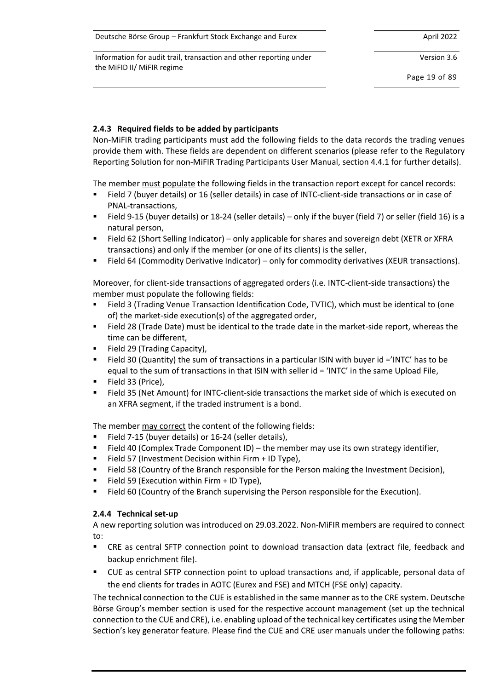Information for audit trail, transaction and other reporting under the MiFID II/ MiFIR regime

Version 3.6

Page 19 of 89

# <span id="page-18-0"></span>**2.4.3 Required fields to be added by participants**

Non-MiFIR trading participants must add the following fields to the data records the trading venues provide them with. These fields are dependent on different scenarios (please refer to the Regulatory Reporting Solution for non-MiFIR Trading Participants User Manual, section 4.4.1 for further details).

The member must populate the following fields in the transaction report except for cancel records:

- Field 7 (buyer details) or 16 (seller details) in case of INTC-client-side transactions or in case of PNAL-transactions,
- Field 9-15 (buyer details) or 18-24 (seller details) only if the buyer (field 7) or seller (field 16) is a natural person,
- Field 62 (Short Selling Indicator) only applicable for shares and sovereign debt (XETR or XFRA transactions) and only if the member (or one of its clients) is the seller,
- Field 64 (Commodity Derivative Indicator) only for commodity derivatives (XEUR transactions).

Moreover, for client-side transactions of aggregated orders (i.e. INTC-client-side transactions) the member must populate the following fields:

- Field 3 (Trading Venue Transaction Identification Code, TVTIC), which must be identical to (one of) the market-side execution(s) of the aggregated order,
- Field 28 (Trade Date) must be identical to the trade date in the market-side report, whereas the time can be different,
- Field 29 (Trading Capacity),
- Field 30 (Quantity) the sum of transactions in a particular ISIN with buyer id ='INTC' has to be equal to the sum of transactions in that ISIN with seller id = 'INTC' in the same Upload File,
- Field 33 (Price),
- Field 35 (Net Amount) for INTC-client-side transactions the market side of which is executed on an XFRA segment, if the traded instrument is a bond.

The member may correct the content of the following fields:

- Field 7-15 (buyer details) or 16-24 (seller details),
- Field 40 (Complex Trade Component ID) the member may use its own strategy identifier,
- Field 57 (Investment Decision within Firm + ID Type),
- Field 58 (Country of the Branch responsible for the Person making the Investment Decision),
- Field 59 (Execution within Firm + ID Type),
- Field 60 (Country of the Branch supervising the Person responsible for the Execution).

### **2.4.4 Technical set-up**

A new reporting solution was introduced on 29.03.2022. Non-MiFIR members are required to connect to:

- CRE as central SFTP connection point to download transaction data (extract file, feedback and backup enrichment file).
- CUE as central SFTP connection point to upload transactions and, if applicable, personal data of the end clients for trades in AOTC (Eurex and FSE) and MTCH (FSE only) capacity.

The technical connection to the CUE is established in the same manner as to the CRE system. Deutsche Börse Group's member section is used for the respective account management (set up the technical connection to the CUE and CRE), i.e. enabling upload of the technical key certificates using the Member Section's key generator feature. Please find the CUE and CRE user manuals under the following paths: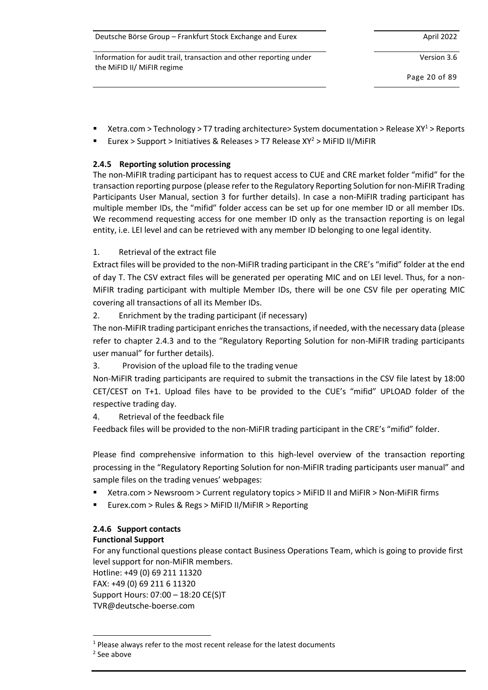| Deutsche Börse Group – Frankfurt Stock Exchange and Eurex          | April 2022    |
|--------------------------------------------------------------------|---------------|
| Information for audit trail, transaction and other reporting under | Version 3.6   |
| the MiFID II/ MiFIR regime                                         | Page 20 of 89 |

Xetra.com > Technology > T7 trading architecture> System documentation > Release  $XY<sup>1</sup>$  > Reports

Eurex > Support > Initiatives & Releases > T7 Release  $XY^2$  > MiFID II/MiFIR

# **2.4.5 Reporting solution processing**

The non-MiFIR trading participant has to request access to CUE and CRE market folder "mifid" for the transaction reporting purpose (please refer to the Regulatory Reporting Solution for non-MiFIR Trading Participants User Manual, section 3 for further details). In case a non-MiFIR trading participant has multiple member IDs, the "mifid" folder access can be set up for one member ID or all member IDs. We recommend requesting access for one member ID only as the transaction reporting is on legal entity, i.e. LEI level and can be retrieved with any member ID belonging to one legal identity.

# 1. Retrieval of the extract file

Extract files will be provided to the non-MiFIR trading participant in the CRE's "mifid" folder at the end of day T. The CSV extract files will be generated per operating MIC and on LEI level. Thus, for a non-MiFIR trading participant with multiple Member IDs, there will be one CSV file per operating MIC covering all transactions of all its Member IDs.

2. Enrichment by the trading participant (if necessary)

The non-MiFIR trading participant enriches the transactions, if needed, with the necessary data (please refer to chapter [2.4.3](#page-18-0) and to the "Regulatory Reporting Solution for non-MiFIR trading participants user manual" for further details).

3. Provision of the upload file to the trading venue

Non-MiFIR trading participants are required to submit the transactions in the CSV file latest by 18:00 CET/CEST on T+1. Upload files have to be provided to the CUE's "mifid" UPLOAD folder of the respective trading day.

4. Retrieval of the feedback file

Feedback files will be provided to the non-MiFIR trading participant in the CRE's "mifid" folder.

Please find comprehensive information to this high-level overview of the transaction reporting processing in the "Regulatory Reporting Solution for non-MiFIR trading participants user manual" and sample files on the trading venues' webpages:

- Xetra.com > Newsroom > Current regulatory topics > MiFID II and MiFIR > Non-MiFIR firms
- Eurex.com > Rules & Regs > MiFID II/MiFIR > Reporting

### **2.4.6 Support contacts Functional Support**

For any functional questions please contact Business Operations Team, which is going to provide first level support for non-MiFIR members.

Hotline: +49 (0) 69 211 11320 FAX: +49 (0) 69 211 6 11320 Support Hours: 07:00 – 18:20 CE(S)T TVR@deutsche-boerse.com

 $1$  Please always refer to the most recent release for the latest documents

<sup>2</sup> See above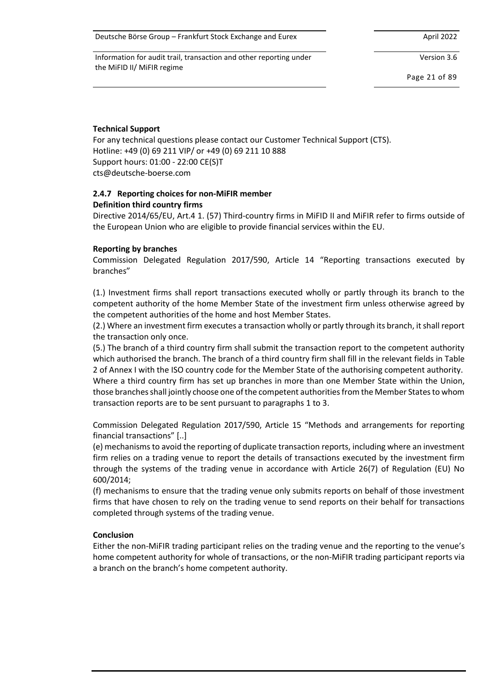Information for audit trail, transaction and other reporting under the MiFID II/ MiFIR regime

Version 3.6

Page 21 of 89

#### **Technical Support**

For any technical questions please contact our Customer Technical Support (CTS). Hotline: +49 (0) 69 211 VIP/ or +49 (0) 69 211 10 888 Support hours: 01:00 - 22:00 CE(S)T cts@deutsche-boerse.com

#### **2.4.7 Reporting choices for non-MiFIR member Definition third country firms**

Directive 2014/65/EU, Art.4 1. (57) Third-country firms in MiFID II and MiFIR refer to firms outside of the European Union who are eligible to provide financial services within the EU.

#### **Reporting by branches**

Commission Delegated Regulation 2017/590, Article 14 "Reporting transactions executed by branches"

(1.) Investment firms shall report transactions executed wholly or partly through its branch to the competent authority of the home Member State of the investment firm unless otherwise agreed by the competent authorities of the home and host Member States.

(2.) Where an investment firm executes a transaction wholly or partly through its branch, it shall report the transaction only once.

(5.) The branch of a third country firm shall submit the transaction report to the competent authority which authorised the branch. The branch of a third country firm shall fill in the relevant fields in Table 2 of Annex I with the ISO country code for the Member State of the authorising competent authority. Where a third country firm has set up branches in more than one Member State within the Union, those branches shall jointly choose one of the competent authorities from the Member States to whom transaction reports are to be sent pursuant to paragraphs 1 to 3.

Commission Delegated Regulation 2017/590, Article 15 "Methods and arrangements for reporting financial transactions" [..]

(e) mechanisms to avoid the reporting of duplicate transaction reports, including where an investment firm relies on a trading venue to report the details of transactions executed by the investment firm through the systems of the trading venue in accordance with Article 26(7) of Regulation (EU) No 600/2014;

(f) mechanisms to ensure that the trading venue only submits reports on behalf of those investment firms that have chosen to rely on the trading venue to send reports on their behalf for transactions completed through systems of the trading venue.

#### **Conclusion**

Either the non-MiFIR trading participant relies on the trading venue and the reporting to the venue's home competent authority for whole of transactions, or the non-MiFIR trading participant reports via a branch on the branch's home competent authority.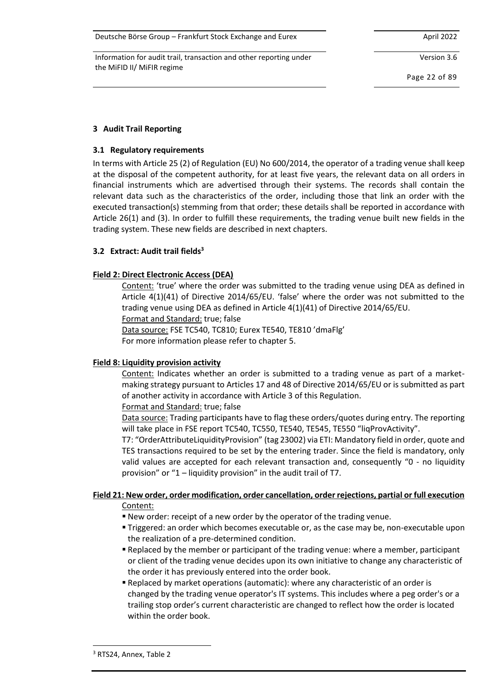Information for audit trail, transaction and other reporting under the MiFID II/ MiFIR regime

Version 3.6

Page 22 of 89

# <span id="page-21-0"></span>**3 Audit Trail Reporting**

### **3.1 Regulatory requirements**

In terms with Article 25 (2) of Regulation (EU) No 600/2014, the operator of a trading venue shall keep at the disposal of the competent authority, for at least five years, the relevant data on all orders in financial instruments which are advertised through their systems. The records shall contain the relevant data such as the characteristics of the order, including those that link an order with the executed transaction(s) stemming from that order; these details shall be reported in accordance with Article 26(1) and (3). In order to fulfill these requirements, the trading venue built new fields in the trading system. These new fields are described in next chapters.

### **3.2 Extract: Audit trail fields<sup>3</sup>**

### **Field 2: Direct Electronic Access (DEA)**

Content: 'true' where the order was submitted to the trading venue using DEA as defined in Article 4(1)(41) of Directive 2014/65/EU. 'false' where the order was not submitted to the trading venue using DEA as defined in Article 4(1)(41) of Directive 2014/65/EU.

Format and Standard: true; false

Data source: FSE TC540, TC810; Eurex TE540, TE810 'dmaFlg'

For more information please refer to chapter [5.](#page-66-0)

# **Field 8: Liquidity provision activity**

Content: Indicates whether an order is submitted to a trading venue as part of a marketmaking strategy pursuant to Articles 17 and 48 of Directive 2014/65/EU or is submitted as part of another activity in accordance with Article 3 of this Regulation.

Format and Standard: true; false

Data source: Trading participants have to flag these orders/quotes during entry. The reporting will take place in FSE report TC540, TC550, TE540, TE545, TE550 "liqProvActivity".

T7: "OrderAttributeLiquidityProvision" (tag 23002) via ETI: Mandatory field in order, quote and TES transactions required to be set by the entering trader. Since the field is mandatory, only valid values are accepted for each relevant transaction and, consequently "0 - no liquidity provision" or "1 – liquidity provision" in the audit trail of T7.

# **Field 21: New order, order modification, order cancellation, order rejections, partial or full execution**

Content:

- New order: receipt of a new order by the operator of the trading venue.
- **Triggered: an order which becomes executable or, as the case may be, non-executable upon** the realization of a pre-determined condition.
- **Replaced by the member or participant of the trading venue: where a member, participant** or client of the trading venue decides upon its own initiative to change any characteristic of the order it has previously entered into the order book.
- Replaced by market operations (automatic): where any characteristic of an order is changed by the trading venue operator's IT systems. This includes where a peg order's or a trailing stop order's current characteristic are changed to reflect how the order is located within the order book.

<sup>&</sup>lt;sup>3</sup> RTS24, Annex, Table 2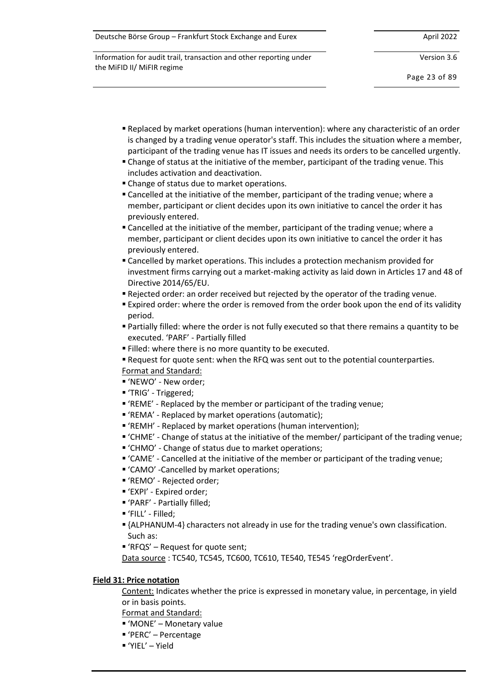| Deutsche Börse Group - Frankfurt Stock Exchange and Eurex | April 2022 |
|-----------------------------------------------------------|------------|
|-----------------------------------------------------------|------------|

Version 3.6

Page 23 of 89

- Replaced by market operations (human intervention): where any characteristic of an order is changed by a trading venue operator's staff. This includes the situation where a member, participant of the trading venue has IT issues and needs its orders to be cancelled urgently.
- Change of status at the initiative of the member, participant of the trading venue. This includes activation and deactivation.
- **Example of status due to market operations.**
- **Example 2** Cancelled at the initiative of the member, participant of the trading venue; where a member, participant or client decides upon its own initiative to cancel the order it has previously entered.
- Cancelled at the initiative of the member, participant of the trading venue; where a member, participant or client decides upon its own initiative to cancel the order it has previously entered.
- Cancelled by market operations. This includes a protection mechanism provided for investment firms carrying out a market-making activity as laid down in Articles 17 and 48 of Directive 2014/65/EU.
- Rejected order: an order received but rejected by the operator of the trading venue.
- **Expired order: where the order is removed from the order book upon the end of its validity** period.
- **Partially filled: where the order is not fully executed so that there remains a quantity to be** executed. 'PARF' - Partially filled
- Filled: where there is no more quantity to be executed.
- **Example 1** Request for quote sent: when the RFQ was sent out to the potential counterparties.
- Format and Standard:
- 'NEWO' New order;
- 'TRIG' Triggered;
- 'REME' Replaced by the member or participant of the trading venue;
- 'REMA' Replaced by market operations (automatic);
- 'REMH' Replaced by market operations (human intervention);
- 'CHME' Change of status at the initiative of the member/ participant of the trading venue;
- 'CHMO' Change of status due to market operations;
- 'CAME' Cancelled at the initiative of the member or participant of the trading venue;
- 'CAMO' -Cancelled by market operations;
- 'REMO' Rejected order;
- 'EXPI' Expired order;
- 'PARF' Partially filled;
- 'FILL' Filled;
- {ALPHANUM-4} characters not already in use for the trading venue's own classification. Such as:
- $P^*$  'RFQS' Request for quote sent;
- Data source: TC540, TC545, TC600, TC610, TE540, TE545 'regOrderEvent'.

### **Field 31: Price notation**

Content: Indicates whether the price is expressed in monetary value, in percentage, in yield or in basis points.

Format and Standard:

- 'MONE' Monetary value
- 'PERC' Percentage
- 'YIEL' Yield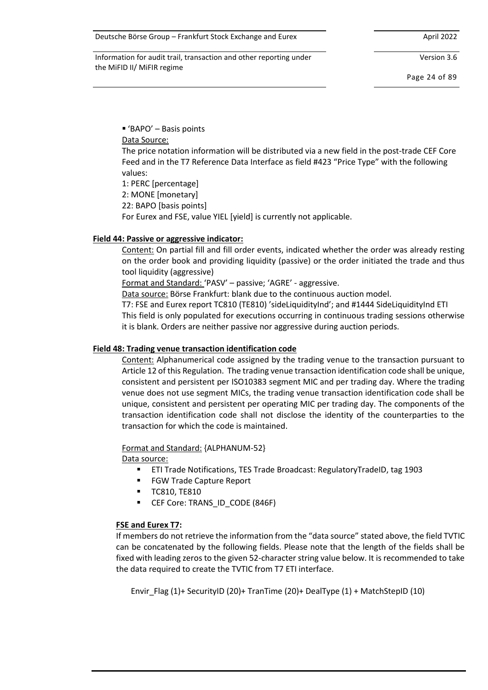Version 3.6

Page 24 of 89

 $P$  'BAPO' – Basis points

Data Source:

The price notation information will be distributed via a new field in the post-trade CEF Core Feed and in the T7 Reference Data Interface as field #423 "Price Type" with the following values:

1: PERC [percentage]

2: MONE [monetary]

22: BAPO [basis points]

For Eurex and FSE, value YIEL [yield] is currently not applicable.

### **Field 44: Passive or aggressive indicator:**

Content: On partial fill and fill order events, indicated whether the order was already resting on the order book and providing liquidity (passive) or the order initiated the trade and thus tool liquidity (aggressive)

Format and Standard: 'PASV' – passive; 'AGRE' - aggressive.

Data source: Börse Frankfurt: blank due to the continuous auction model.

T7: FSE and Eurex report TC810 (TE810) 'sideLiquidityInd'; and #1444 SideLiquidityInd ETI This field is only populated for executions occurring in continuous trading sessions otherwise it is blank. Orders are neither passive nor aggressive during auction periods.

### **Field 48: Trading venue transaction identification code**

Content: Alphanumerical code assigned by the trading venue to the transaction pursuant to Article 12 of this Regulation. The trading venue transaction identification code shall be unique, consistent and persistent per ISO10383 segment MIC and per trading day. Where the trading venue does not use segment MICs, the trading venue transaction identification code shall be unique, consistent and persistent per operating MIC per trading day. The components of the transaction identification code shall not disclose the identity of the counterparties to the transaction for which the code is maintained.

Format and Standard: {ALPHANUM-52}

Data source:

- ETI Trade Notifications, TES Trade Broadcast: RegulatoryTradeID, tag 1903
- FGW Trade Capture Report
- TC810, TE810
- **E** CEF Core: TRANS ID CODE (846F)

# **FSE and Eurex T7:**

If members do not retrieve the information from the "data source" stated above, the field TVTIC can be concatenated by the following fields. Please note that the length of the fields shall be fixed with leading zeros to the given 52-character string value below. It is recommended to take the data required to create the TVTIC from T7 ETI interface.

Envir\_Flag (1)+ SecurityID (20)+ TranTime (20)+ DealType (1) + MatchStepID (10)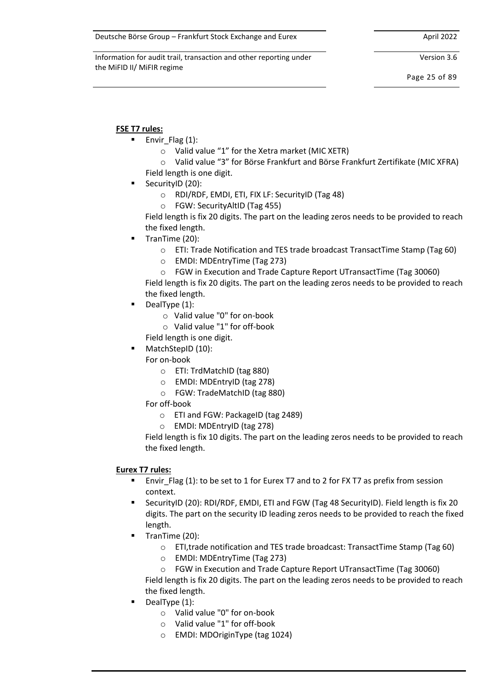Version 3.6

Page 25 of 89

# **FSE T7 rules:**

- Envir Flag  $(1)$ :
	- o Valid value "1" for the Xetra market (MIC XETR)
	- o Valid value "3" for Börse Frankfurt and Börse Frankfurt Zertifikate (MIC XFRA) Field length is one digit.
- SecurityID (20):
	- o RDI/RDF, EMDI, ETI, FIX LF: SecurityID (Tag 48)
	- o FGW: SecurityAltID (Tag 455)

Field length is fix 20 digits. The part on the leading zeros needs to be provided to reach the fixed length.

- TranTime (20):
	- o ETI: Trade Notification and TES trade broadcast TransactTime Stamp (Tag 60)
	- o EMDI: MDEntryTime (Tag 273)
	- o FGW in Execution and Trade Capture Report UTransactTime (Tag 30060)

Field length is fix 20 digits. The part on the leading zeros needs to be provided to reach the fixed length.

- DealType (1):
	- o Valid value "0" for on-book
	- o Valid value "1" for off-book

Field length is one digit.

MatchStepID (10):

For on-book

- o ETI: TrdMatchID (tag 880)
- o EMDI: MDEntryID (tag 278)
- o FGW: TradeMatchID (tag 880)

For off-book

- o ETI and FGW: PackageID (tag 2489)
- o EMDI: MDEntryID (tag 278)

Field length is fix 10 digits. The part on the leading zeros needs to be provided to reach the fixed length.

# **Eurex T7 rules:**

- Envir\_Flag (1): to be set to 1 for Eurex T7 and to 2 for FX T7 as prefix from session context.
- SecurityID (20): RDI/RDF, EMDI, ETI and FGW (Tag 48 SecurityID). Field length is fix 20 digits. The part on the security ID leading zeros needs to be provided to reach the fixed length.
- TranTime (20):
	- o ETI,trade notification and TES trade broadcast: TransactTime Stamp (Tag 60)
	- o EMDI: MDEntryTime (Tag 273)

o FGW in Execution and Trade Capture Report UTransactTime (Tag 30060) Field length is fix 20 digits. The part on the leading zeros needs to be provided to reach the fixed length.

- DealType  $(1)$ :
	- o Valid value "0" for on-book
	- o Valid value "1" for off-book
	- o EMDI: MDOriginType (tag 1024)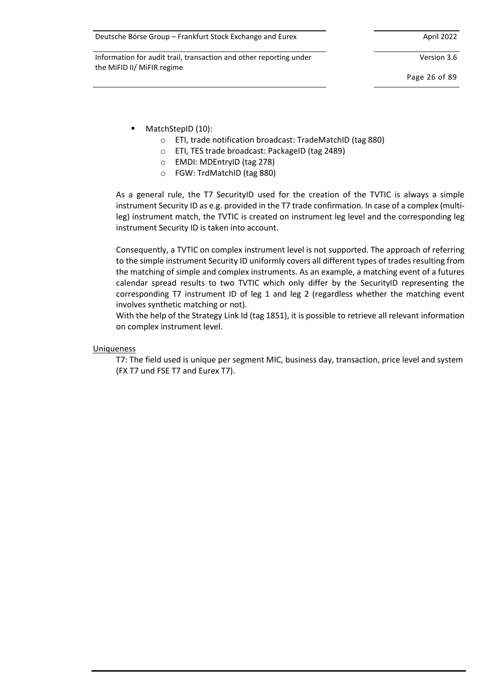Version 3.6

Page 26 of 89

- MatchStepID (10):
	- o ETI, trade notification broadcast: TradeMatchID (tag 880)
	- o ETI, TES trade broadcast: PackageID (tag 2489)
	- o EMDI: MDEntryID (tag 278)
	- o FGW: TrdMatchID (tag 880)

As a general rule, the T7 SecurityID used for the creation of the TVTIC is always a simple instrument Security ID as e.g. provided in the T7 trade confirmation. In case of a complex (multileg) instrument match, the TVTIC is created on instrument leg level and the corresponding leg instrument Security ID is taken into account.

Consequently, a TVTIC on complex instrument level is not supported. The approach of referring to the simple instrument Security ID uniformly covers all different types of trades resulting from the matching of simple and complex instruments. As an example, a matching event of a futures calendar spread results to two TVTIC which only differ by the SecurityID representing the corresponding T7 instrument ID of leg 1 and leg 2 (regardless whether the matching event involves synthetic matching or not).

With the help of the Strategy Link Id (tag 1851), it is possible to retrieve all relevant information on complex instrument level.

#### Uniqueness

T7: The field used is unique per segment MIC, business day, transaction, price level and system (FX T7 und FSE T7 and Eurex T7).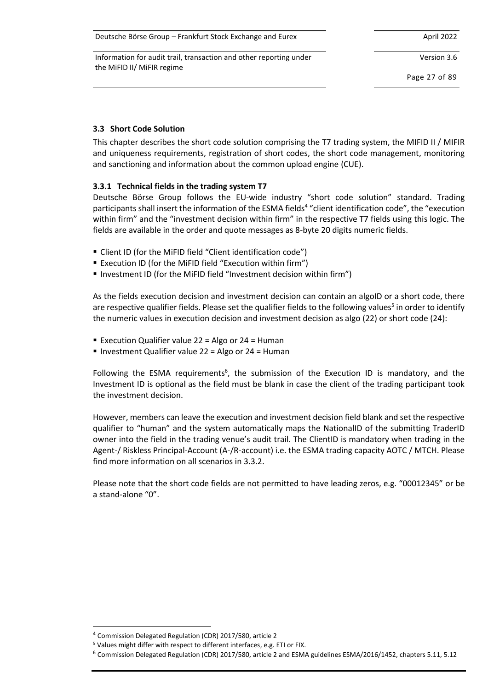| Deutsche Börse Group - Frankfurt Stock Exchange and Eurex | April 2022 |
|-----------------------------------------------------------|------------|
|-----------------------------------------------------------|------------|

Version 3.6

Page 27 of 89

# <span id="page-26-0"></span>**3.3 Short Code Solution**

This chapter describes the short code solution comprising the T7 trading system, the MIFID II / MIFIR and uniqueness requirements, registration of short codes, the short code management, monitoring and sanctioning and information about the common upload engine (CUE).

### **3.3.1 Technical fields in the trading system T7**

Deutsche Börse Group follows the EU-wide industry "short code solution" standard. Trading participants shall insert the information of the ESMA fields<sup>4</sup> "client identification code", the "execution within firm" and the "investment decision within firm" in the respective T7 fields using this logic. The fields are available in the order and quote messages as 8-byte 20 digits numeric fields.

- Client ID (for the MiFID field "Client identification code")
- Execution ID (for the MiFID field "Execution within firm")
- Investment ID (for the MiFID field "Investment decision within firm")

As the fields execution decision and investment decision can contain an algoID or a short code, there are respective qualifier fields. Please set the qualifier fields to the following values<sup>5</sup> in order to identify the numeric values in execution decision and investment decision as algo (22) or short code (24):

- Execution Qualifier value  $22$  = Algo or  $24$  = Human
- Investment Qualifier value 22 = Algo or 24 = Human

Following the ESMA requirements<sup>6</sup>, the submission of the Execution ID is mandatory, and the Investment ID is optional as the field must be blank in case the client of the trading participant took the investment decision.

However, members can leave the execution and investment decision field blank and set the respective qualifier to "human" and the system automatically maps the NationalID of the submitting TraderID owner into the field in the trading venue's audit trail. The ClientID is mandatory when trading in the Agent-/ Riskless Principal-Account (A-/R-account) i.e. the ESMA trading capacity AOTC / MTCH. Please find more information on all scenarios i[n 3.3.2.](#page-27-0)

Please note that the short code fields are not permitted to have leading zeros, e.g. "00012345" or be a stand-alone "0".

<sup>4</sup> Commission Delegated Regulation (CDR) 2017/580, article 2

<sup>5</sup> Values might differ with respect to different interfaces, e.g. ETI or FIX.

<sup>6</sup> Commission Delegated Regulation (CDR) 2017/580, article 2 and ESMA guidelines ESMA/2016/1452, chapters 5.11, 5.12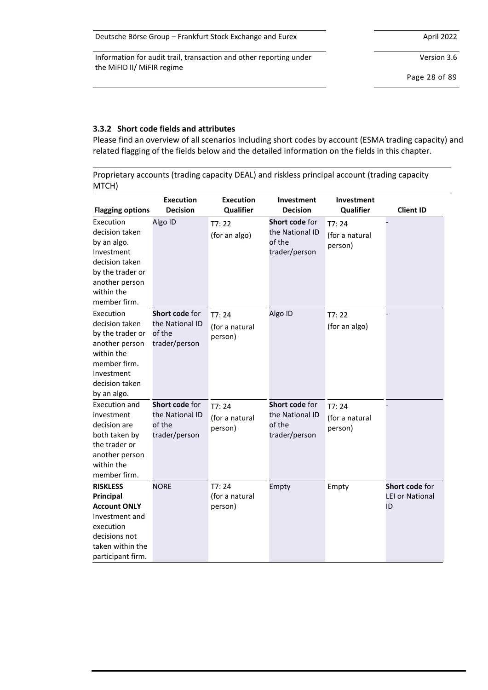| Deutsche Börse Group – Frankfurt Stock Exchange and Eurex | April 2022 |
|-----------------------------------------------------------|------------|
|-----------------------------------------------------------|------------|

Version 3.6

Page 28 of 89

### <span id="page-27-0"></span>**3.3.2 Short code fields and attributes**

Please find an overview of all scenarios including short codes by account (ESMA trading capacity) and related flagging of the fields below and the detailed information on the fields in this chapter.

Proprietary accounts (trading capacity DEAL) and riskless principal account (trading capacity MTCH)

| <b>Flagging options</b>                                                                                                                         | <b>Execution</b><br><b>Decision</b>                          | <b>Execution</b><br>Qualifier      | Investment<br><b>Decision</b>                                | Investment<br>Qualifier            | <b>Client ID</b>                               |
|-------------------------------------------------------------------------------------------------------------------------------------------------|--------------------------------------------------------------|------------------------------------|--------------------------------------------------------------|------------------------------------|------------------------------------------------|
| Execution<br>decision taken<br>by an algo.<br>Investment<br>decision taken<br>by the trader or<br>another person<br>within the                  | Algo ID                                                      | T7:22<br>(for an algo)             | Short code for<br>the National ID<br>of the<br>trader/person | T7:24<br>(for a natural<br>person) |                                                |
| member firm.<br>Execution<br>decision taken<br>by the trader or<br>another person<br>within the<br>member firm.<br>Investment<br>decision taken | Short code for<br>the National ID<br>of the<br>trader/person | T7:24<br>(for a natural<br>person) | Algo ID                                                      | T7:22<br>(for an algo)             |                                                |
| by an algo.<br>Execution and<br>investment<br>decision are<br>both taken by<br>the trader or<br>another person<br>within the<br>member firm.    | Short code for<br>the National ID<br>of the<br>trader/person | T7:24<br>(for a natural<br>person) | Short code for<br>the National ID<br>of the<br>trader/person | T7:24<br>(for a natural<br>person) |                                                |
| <b>RISKLESS</b><br>Principal<br><b>Account ONLY</b><br>Investment and<br>execution<br>decisions not<br>taken within the<br>participant firm.    | <b>NORE</b>                                                  | T7:24<br>(for a natural<br>person) | Empty                                                        | Empty                              | Short code for<br><b>LEI or National</b><br>ID |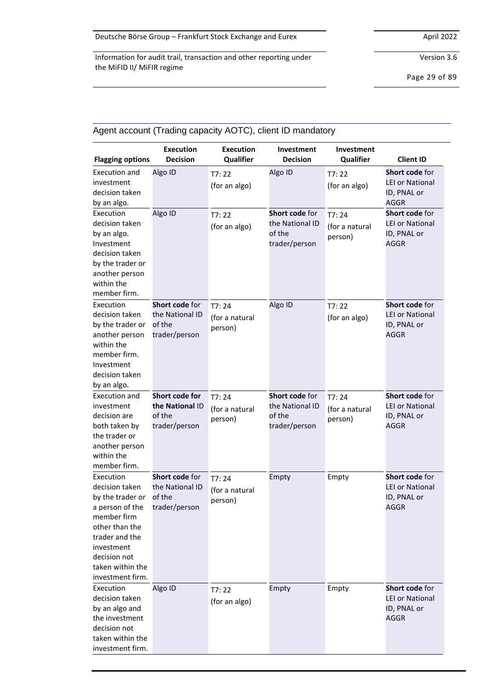Version 3.6

Page 29 of 89

| <b>Flagging options</b>                                                                                                                                                                     | <b>Execution</b><br><b>Decision</b>                          | <b>Execution</b><br>Qualifier      | Investment<br><b>Decision</b>                                       | Investment<br>Qualifier            | <b>Client ID</b>                                                       |
|---------------------------------------------------------------------------------------------------------------------------------------------------------------------------------------------|--------------------------------------------------------------|------------------------------------|---------------------------------------------------------------------|------------------------------------|------------------------------------------------------------------------|
| Execution and<br>investment<br>decision taken<br>by an algo.                                                                                                                                | Algo ID                                                      | T7:22<br>(for an algo)             | Algo ID                                                             | T7:22<br>(for an algo)             | Short code for<br><b>LEI or National</b><br>ID, PNAL or<br><b>AGGR</b> |
| Execution<br>decision taken<br>by an algo.<br>Investment<br>decision taken<br>by the trader or<br>another person<br>within the<br>member firm.                                              | Algo ID                                                      | T7:22<br>(for an algo)             | <b>Short code for</b><br>the National ID<br>of the<br>trader/person | T7:24<br>(for a natural<br>person) | Short code for<br><b>LEI or National</b><br>ID, PNAL or<br><b>AGGR</b> |
| Execution<br>decision taken<br>by the trader or<br>another person<br>within the<br>member firm.<br>Investment<br>decision taken<br>by an algo.                                              | Short code for<br>the National ID<br>of the<br>trader/person | T7:24<br>(for a natural<br>person) | Algo ID                                                             | T7:22<br>(for an algo)             | Short code for<br>LEI or National<br>ID, PNAL or<br><b>AGGR</b>        |
| Execution and<br>investment<br>decision are<br>both taken by<br>the trader or<br>another person<br>within the<br>member firm.                                                               | Short code for<br>the National ID<br>of the<br>trader/person | T7:24<br>(for a natural<br>person) | Short code for<br>the National ID<br>of the<br>trader/person        | T7:24<br>(for a natural<br>person) | Short code for<br><b>LEI or National</b><br>ID, PNAL or<br><b>AGGR</b> |
| Execution<br>decision taken<br>by the trader or<br>a person of the<br>member firm<br>other than the<br>trader and the<br>investment<br>decision not<br>taken within the<br>investment firm. | Short code for<br>the National ID<br>of the<br>trader/person | T7:24<br>(for a natural<br>person) | Empty                                                               | Empty                              | Short code for<br><b>LEI or National</b><br>ID, PNAL or<br>AGGR        |
| Execution<br>decision taken<br>by an algo and<br>the investment<br>decision not<br>taken within the<br>investment firm.                                                                     | Algo ID                                                      | T7:22<br>(for an algo)             | Empty                                                               | Empty                              | <b>Short code for</b><br><b>LEI or National</b><br>ID, PNAL or<br>AGGR |

# Agent account (Trading capacity AOTC), client ID mandatory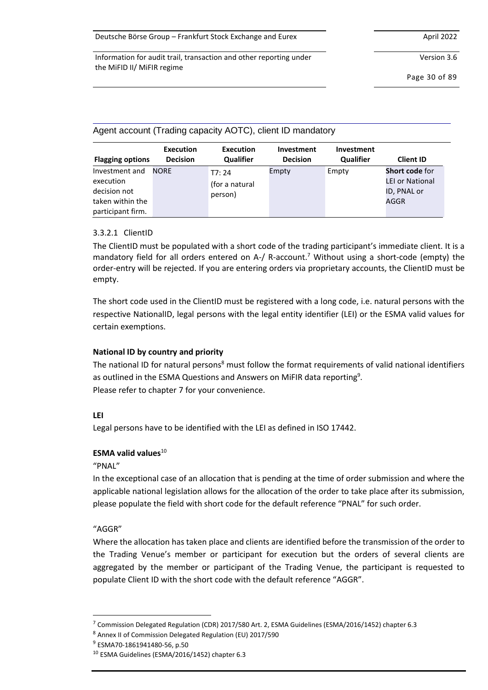Version 3.6

Page 30 of 89

| Agent account (Trading capacity AOTC), client ID mandatory                           |                              |                                    |                               |                                |                                                                 |  |
|--------------------------------------------------------------------------------------|------------------------------|------------------------------------|-------------------------------|--------------------------------|-----------------------------------------------------------------|--|
| <b>Flagging options</b>                                                              | Execution<br><b>Decision</b> | Execution<br><b>Qualifier</b>      | Investment<br><b>Decision</b> | Investment<br><b>Qualifier</b> | <b>Client ID</b>                                                |  |
| Investment and<br>execution<br>decision not<br>taken within the<br>participant firm. | <b>NORF</b>                  | T7:24<br>(for a natural<br>person) | Empty                         | Empty                          | <b>Short code for</b><br>LEI or National<br>ID, PNAL or<br>AGGR |  |

### 3.3.2.1 ClientID

The ClientID must be populated with a short code of the trading participant's immediate client. It is a mandatory field for all orders entered on A-/ R-account.<sup>7</sup> Without using a short-code (empty) the order-entry will be rejected. If you are entering orders via proprietary accounts, the ClientID must be empty.

The short code used in the ClientID must be registered with a long code, i.e. natural persons with the respective NationalID, legal persons with the legal entity identifier (LEI) or the ESMA valid values for certain exemptions.

# **National ID by country and priority**

The national ID for natural persons<sup>8</sup> must follow the format requirements of valid national identifiers as outlined in the ESMA Questions and Answers on MiFIR data reporting $^9$ . Please refer to chapter [7](#page-69-0) for your convenience.

### **LEI**

Legal persons have to be identified with the LEI as defined in ISO 17442.

### **ESMA valid values**<sup>10</sup>

"PNAL"

In the exceptional case of an allocation that is pending at the time of order submission and where the applicable national legislation allows for the allocation of the order to take place after its submission, please populate the field with short code for the default reference "PNAL" for such order.

# "AGGR"

Where the allocation has taken place and clients are identified before the transmission of the order to the Trading Venue's member or participant for execution but the orders of several clients are aggregated by the member or participant of the Trading Venue, the participant is requested to populate Client ID with the short code with the default reference "AGGR".

<sup>7</sup> Commission Delegated Regulation (CDR) 2017/580 Art. 2, ESMA Guidelines (ESMA/2016/1452) chapter 6.3

<sup>8</sup> Annex II of Commission Delegated Regulation (EU) 2017/590

<sup>9</sup> ESMA70-1861941480-56, p.50

<sup>10</sup> ESMA Guidelines (ESMA/2016/1452) chapter 6.3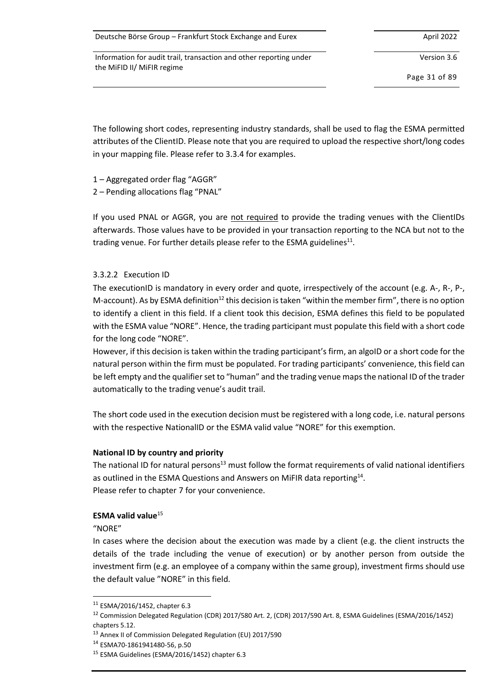Version 3.6

Page 31 of 89

The following short codes, representing industry standards, shall be used to flag the ESMA permitted attributes of the ClientID. Please note that you are required to upload the respective short/long codes in your mapping file. Please refer to [3.3.4](#page-34-0) for examples.

1 – Aggregated order flag "AGGR"

2 – Pending allocations flag "PNAL"

If you used PNAL or AGGR, you are not required to provide the trading venues with the ClientIDs afterwards. Those values have to be provided in your transaction reporting to the NCA but not to the trading venue. For further details please refer to the ESMA guidelines $^{\rm 11}.$ 

### 3.3.2.2 Execution ID

The executionID is mandatory in every order and quote, irrespectively of the account (e.g. A-, R-, P-, M-account). As by ESMA definition<sup>12</sup> this decision is taken "within the member firm", there is no option to identify a client in this field. If a client took this decision, ESMA defines this field to be populated with the ESMA value "NORE". Hence, the trading participant must populate this field with a short code for the long code "NORE".

However, if this decision is taken within the trading participant's firm, an algoID or a short code for the natural person within the firm must be populated. For trading participants' convenience, this field can be left empty and the qualifier set to "human" and the trading venue maps the national ID of the trader automatically to the trading venue's audit trail.

The short code used in the execution decision must be registered with a long code, i.e. natural persons with the respective NationalID or the ESMA valid value "NORE" for this exemption.

### **National ID by country and priority**

The national ID for natural persons $13$  must follow the format requirements of valid national identifiers as outlined in the ESMA Questions and Answers on MiFIR data reporting $^{14}$ . Please refer to chapter [7](#page-69-0) for your convenience.

# **ESMA valid value**<sup>15</sup>

"NORE"

In cases where the decision about the execution was made by a client (e.g. the client instructs the details of the trade including the venue of execution) or by another person from outside the investment firm (e.g. an employee of a company within the same group), investment firms should use the default value "NORE" in this field.

 $11$  ESMA/2016/1452, chapter 6.3

<sup>12</sup> Commission Delegated Regulation (CDR) 2017/580 Art. 2, (CDR) 2017/590 Art. 8, ESMA Guidelines (ESMA/2016/1452) chapters 5.12.

<sup>&</sup>lt;sup>13</sup> Annex II of Commission Delegated Regulation (EU) 2017/590

<sup>14</sup> ESMA70-1861941480-56, p.50

<sup>15</sup> ESMA Guidelines (ESMA/2016/1452) chapter 6.3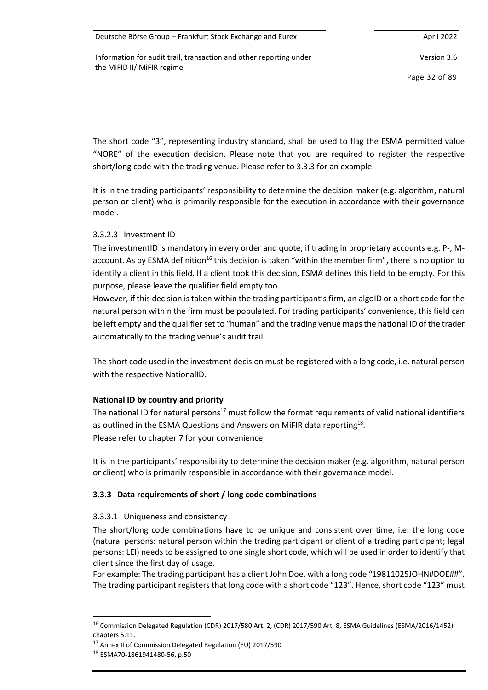Version 3.6

Page 32 of 89

The short code "3", representing industry standard, shall be used to flag the ESMA permitted value "NORE" of the execution decision. Please note that you are required to register the respective short/long code with the trading venue. Please refer to 3.3.3 for an example.

It is in the trading participants' responsibility to determine the decision maker (e.g. algorithm, natural person or client) who is primarily responsible for the execution in accordance with their governance model.

### 3.3.2.3 Investment ID

The investmentID is mandatory in every order and quote, if trading in proprietary accounts e.g. P-, Maccount. As by ESMA definition<sup>16</sup> this decision is taken "within the member firm", there is no option to identify a client in this field. If a client took this decision, ESMA defines this field to be empty. For this purpose, please leave the qualifier field empty too.

However, if this decision is taken within the trading participant's firm, an algoID or a short code for the natural person within the firm must be populated. For trading participants' convenience, this field can be left empty and the qualifier set to "human" and the trading venue maps the national ID of the trader automatically to the trading venue's audit trail.

The short code used in the investment decision must be registered with a long code, i.e. natural person with the respective NationalID.

# **National ID by country and priority**

The national ID for natural persons<sup>17</sup> must follow the format requirements of valid national identifiers as outlined in the ESMA Questions and Answers on MiFIR data reporting $^{18}$ . Please refer to chapter [7](#page-69-0) for your convenience.

It is in the participants' responsibility to determine the decision maker (e.g. algorithm, natural person or client) who is primarily responsible in accordance with their governance model.

# **3.3.3 Data requirements of short / long code combinations**

# <span id="page-31-0"></span>3.3.3.1 Uniqueness and consistency

The short/long code combinations have to be unique and consistent over time, i.e. the long code (natural persons: natural person within the trading participant or client of a trading participant; legal persons: LEI) needs to be assigned to one single short code, which will be used in order to identify that client since the first day of usage.

For example: The trading participant has a client John Doe, with a long code "19811025JOHN#DOE##". The trading participant registers that long code with a short code "123". Hence, short code "123" must

<sup>16</sup> Commission Delegated Regulation (CDR) 2017/580 Art. 2, (CDR) 2017/590 Art. 8, ESMA Guidelines (ESMA/2016/1452) chapters 5.11.

<sup>&</sup>lt;sup>17</sup> Annex II of Commission Delegated Regulation (EU) 2017/590

<sup>18</sup> ESMA70-1861941480-56, p.50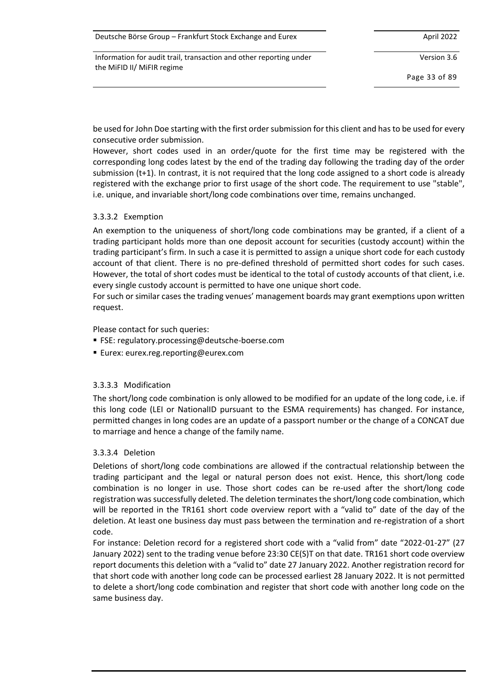| Deutsche Börse Group - Frankfurt Stock Exchange and Eurex | April 2022 |
|-----------------------------------------------------------|------------|
|-----------------------------------------------------------|------------|

Version 3.6

Page 33 of 89

be used for John Doe starting with the first order submission for this client and has to be used for every consecutive order submission.

However, short codes used in an order/quote for the first time may be registered with the corresponding long codes latest by the end of the trading day following the trading day of the order submission (t+1). In contrast, it is not required that the long code assigned to a short code is already registered with the exchange prior to first usage of the short code. The requirement to use "stable", i.e. unique, and invariable short/long code combinations over time, remains unchanged.

### 3.3.3.2 Exemption

An exemption to the uniqueness of short/long code combinations may be granted, if a client of a trading participant holds more than one deposit account for securities (custody account) within the trading participant's firm. In such a case it is permitted to assign a unique short code for each custody account of that client. There is no pre-defined threshold of permitted short codes for such cases. However, the total of short codes must be identical to the total of custody accounts of that client, i.e. every single custody account is permitted to have one unique short code.

For such or similar cases the trading venues' management boards may grant exemptions upon written request.

Please contact for such queries:

- FSE: regulatory.processing@deutsche-boerse.com
- Eurex: eurex.reg.reporting@eurex.com

# 3.3.3.3 Modification

The short/long code combination is only allowed to be modified for an update of the long code, i.e. if this long code (LEI or NationalID pursuant to the ESMA requirements) has changed. For instance, permitted changes in long codes are an update of a passport number or the change of a CONCAT due to marriage and hence a change of the family name.

### 3.3.3.4 Deletion

Deletions of short/long code combinations are allowed if the contractual relationship between the trading participant and the legal or natural person does not exist. Hence, this short/long code combination is no longer in use. Those short codes can be re-used after the short/long code registration was successfully deleted. The deletion terminates the short/long code combination, which will be reported in the TR161 short code overview report with a "valid to" date of the day of the deletion. At least one business day must pass between the termination and re-registration of a short code.

For instance: Deletion record for a registered short code with a "valid from" date "2022-01-27" (27 January 2022) sent to the trading venue before 23:30 CE(S)T on that date. TR161 short code overview report documents this deletion with a "valid to" date 27 January 2022. Another registration record for that short code with another long code can be processed earliest 28 January 2022. It is not permitted to delete a short/long code combination and register that short code with another long code on the same business day.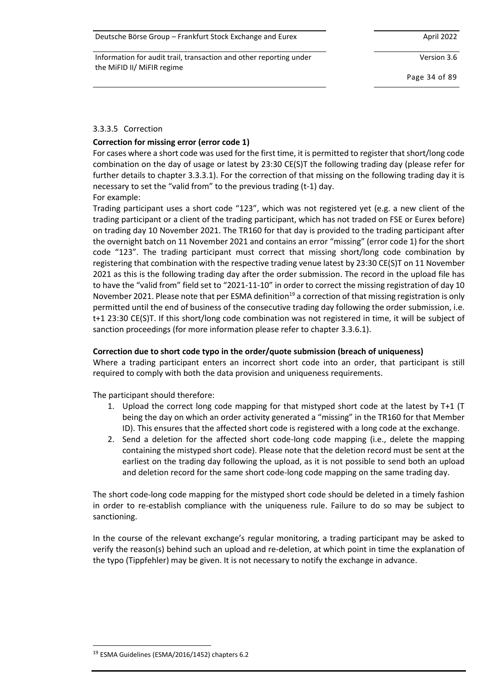Information for audit trail, transaction and other reporting under the MiFID II/ MiFIR regime

Version 3.6

Page 34 of 89

### 3.3.3.5 Correction

### **Correction for missing error (error code 1)**

For cases where a short code was used for the first time, it is permitted to register that short/long code combination on the day of usage or latest by 23:30 CE(S)T the following trading day (please refer for further details to chapter [3.3.3.1\)](#page-31-0). For the correction of that missing on the following trading day it is necessary to set the "valid from" to the previous trading (t-1) day. For example:

Trading participant uses a short code "123", which was not registered yet (e.g. a new client of the trading participant or a client of the trading participant, which has not traded on FSE or Eurex before) on trading day 10 November 2021. The TR160 for that day is provided to the trading participant after the overnight batch on 11 November 2021 and contains an error "missing" (error code 1) for the short code "123". The trading participant must correct that missing short/long code combination by registering that combination with the respective trading venue latest by 23:30 CE(S)T on 11 November 2021 as this is the following trading day after the order submission. The record in the upload file has to have the "valid from" field set to "2021-11-10" in order to correct the missing registration of day 10 November 2021. Please note that per ESMA definition<sup>19</sup> a correction of that missing registration is only permitted until the end of business of the consecutive trading day following the order submission, i.e. t+1 23:30 CE(S)T. If this short/long code combination was not registered in time, it will be subject of sanction proceedings (for more information please refer to chapter [3.3.6.1\)](#page-49-0).

### **Correction due to short code typo in the order/quote submission (breach of uniqueness)**

Where a trading participant enters an incorrect short code into an order, that participant is still required to comply with both the data provision and uniqueness requirements.

The participant should therefore:

- 1. Upload the correct long code mapping for that mistyped short code at the latest by T+1 (T being the day on which an order activity generated a "missing" in the TR160 for that Member ID). This ensures that the affected short code is registered with a long code at the exchange.
- 2. Send a deletion for the affected short code-long code mapping (i.e., delete the mapping containing the mistyped short code). Please note that the deletion record must be sent at the earliest on the trading day following the upload, as it is not possible to send both an upload and deletion record for the same short code-long code mapping on the same trading day.

The short code-long code mapping for the mistyped short code should be deleted in a timely fashion in order to re-establish compliance with the uniqueness rule. Failure to do so may be subject to sanctioning.

In the course of the relevant exchange's regular monitoring, a trading participant may be asked to verify the reason(s) behind such an upload and re-deletion, at which point in time the explanation of the typo (Tippfehler) may be given. It is not necessary to notify the exchange in advance.

<sup>&</sup>lt;sup>19</sup> ESMA Guidelines (ESMA/2016/1452) chapters 6.2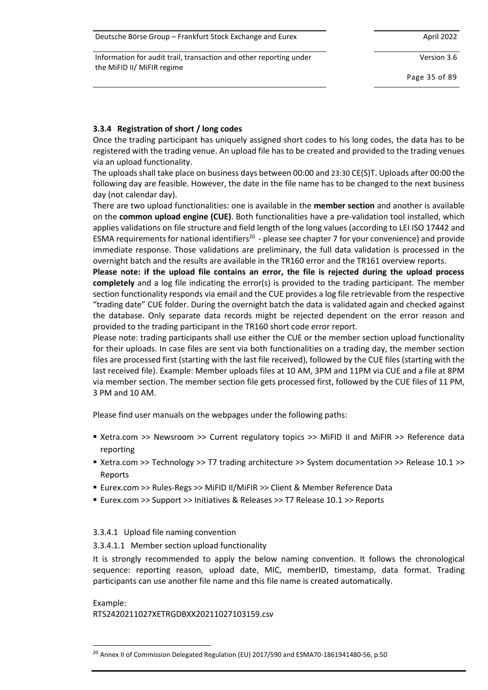| Deutsche Börse Group – Frankfurt Stock Exchange and Eurex | April 2022 |
|-----------------------------------------------------------|------------|
|-----------------------------------------------------------|------------|

Version 3.6

Page 35 of 89

### <span id="page-34-0"></span>**3.3.4 Registration of short / long codes**

Once the trading participant has uniquely assigned short codes to his long codes, the data has to be registered with the trading venue. An upload file has to be created and provided to the trading venues via an upload functionality.

The uploads shall take place on business days between 00:00 and 23:30 CE(S)T. Uploads after 00:00 the following day are feasible. However, the date in the file name has to be changed to the next business day (not calendar day).

There are two upload functionalities: one is available in the **member section** and another is available on the **common upload engine (CUE)**. Both functionalities have a pre-validation tool installed, which applies validations on file structure and field length of the long values (according to LEI ISO 17442 and ESMA requirements for national identifiers<sup>20</sup> - please see chapte[r 7](#page-69-0) for your convenience) and provide immediate response. Those validations are preliminary, the full data validation is processed in the overnight batch and the results are available in the TR160 error and the TR161 overview reports.

**Please note: if the upload file contains an error, the file is rejected during the upload process completely** and a log file indicating the error(s) is provided to the trading participant. The member section functionality responds via email and the CUE provides a log file retrievable from the respective "trading date" CUE folder. During the overnight batch the data is validated again and checked against the database. Only separate data records might be rejected dependent on the error reason and provided to the trading participant in the TR160 short code error report.

Please note: trading participants shall use either the CUE or the member section upload functionality for their uploads. In case files are sent via both functionalities on a trading day, the member section files are processed first (starting with the last file received), followed by the CUE files (starting with the last received file). Example: Member uploads files at 10 AM, 3PM and 11PM via CUE and a file at 8PM via member section. The member section file gets processed first, followed by the CUE files of 11 PM, 3 PM and 10 AM.

Please find user manuals on the webpages under the following paths:

- Xetra.com >> Newsroom >> Current regulatory topics >> MiFID II and MiFIR >> Reference data reporting
- Xetra.com >> Technology >> T7 trading architecture >> System documentation >> Release 10.1 >> Reports
- Eurex.com >> Rules-Regs >> MiFID II/MiFIR >> Client & Member Reference Data
- Eurex.com >> Support >> Initiatives & Releases >> T7 Release 10.1 >> Reports

### 3.3.4.1 Upload file naming convention

### 3.3.4.1.1 Member section upload functionality

It is strongly recommended to apply the below naming convention. It follows the chronological sequence: reporting reason, upload date, MIC, memberID, timestamp, data format. Trading participants can use another file name and this file name is created automatically.

Example: RTS2420211027XETRGDBXX20211027103159.csv

<sup>&</sup>lt;sup>20</sup> Annex II of Commission Delegated Regulation (EU) 2017/590 and ESMA70-1861941480-56, p.50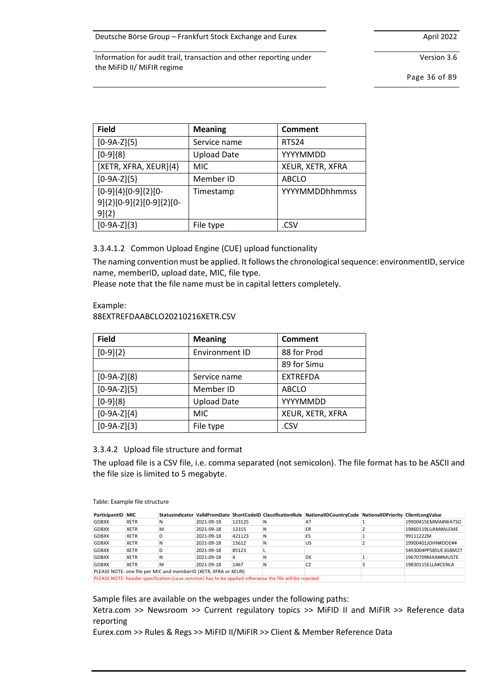Version 3.6

Page 36 of 89

| <b>Field</b>                                                     | <b>Meaning</b>     | <b>Comment</b>   |
|------------------------------------------------------------------|--------------------|------------------|
| $[0-9A-Z]\{5\}$                                                  | Service name       | <b>RTS24</b>     |
| $[0-9]\{8\}$                                                     | <b>Upload Date</b> | YYYYMMDD         |
| [XETR, XFRA, XEUR]{4}                                            | <b>MIC</b>         | XEUR, XETR, XFRA |
| $[0-9A-Z]\{5\}$                                                  | Member ID          | <b>ABCLO</b>     |
| $[0-9]{4}[0-9]{2}[0-$<br>9]{2}[0-9]{2}[0-9]{2}[0-<br>$9$ $\{2\}$ | Timestamp          | YYYYMMDDhhmmss   |
| $[0-9A-Z]\{3\}$                                                  | File type          | .CSV             |

### 3.3.4.1.2 Common Upload Engine (CUE) upload functionality

The naming convention must be applied. It followsthe chronological sequence: environmentID, service name, memberID, upload date, MIC, file type.

Please note that the file name must be in capital letters completely.

#### Example: 88EXTREFDAABCLO20210216XETR.CSV

| <b>Field</b>    | <b>Meaning</b>     | <b>Comment</b>   |
|-----------------|--------------------|------------------|
| $[0-9]\{2\}$    | Environment ID     | 88 for Prod      |
|                 |                    | 89 for Simu      |
| $[0-9A-Z]\{8\}$ | Service name       | <b>EXTREFDA</b>  |
| $[0-9A-Z]\{5\}$ | Member ID          | <b>ABCLO</b>     |
| $[0-9]\{8\}$    | <b>Upload Date</b> | YYYYMMDD         |
| $[0-9A-Z]\{4\}$ | <b>MIC</b>         | XEUR, XETR, XFRA |
| $[0-9A-Z]\{3\}$ | File type          | .CSV             |

### 3.3.4.2 Upload file structure and format

The upload file is a CSV file, i.e. comma separated (not semicolon). The file format has to be ASCII and the file size is limited to 5 megabyte.

|  |  |  | Table: Example file structure |
|--|--|--|-------------------------------|
|--|--|--|-------------------------------|

| ParticipantID | MIC         | <b>StatusIndicator</b>                                          |            |        |                                                                                                         | ValidFromDate ShortCodeID ClassificationRule NationalIDCountryCode NationalIDPriority ClientLongValue |                                                                                            |
|---------------|-------------|-----------------------------------------------------------------|------------|--------|---------------------------------------------------------------------------------------------------------|-------------------------------------------------------------------------------------------------------|--------------------------------------------------------------------------------------------|
| <b>GDBXX</b>  | <b>XETR</b> | N                                                               | 2021-09-18 | 123125 | IN.                                                                                                     | AT                                                                                                    | 19900415EMMA#WATSO                                                                         |
| <b>GDBXX</b>  | <b>XETR</b> | м                                                               | 2021-09-18 | 12315  | N                                                                                                       | ER                                                                                                    | 19860119LUAM#ALEME                                                                         |
| <b>GDBXX</b>  | <b>XETR</b> | D                                                               | 2021-09-18 | 421123 | N                                                                                                       | ES                                                                                                    | 99111222M                                                                                  |
| <b>GDBXX</b>  | <b>XETR</b> | Ν                                                               | 2021-09-18 | 15612  | N                                                                                                       | <b>US</b>                                                                                             | 19900401JOHN#DOE##                                                                         |
| <b>GDBXX</b>  | <b>XETR</b> | D                                                               | 2021-09-18 | 85123  |                                                                                                         |                                                                                                       | 5493004PP58SUE3G8M27                                                                       |
| <b>GDBXX</b>  | <b>XETR</b> | Ν                                                               | 2021-09-18 | 4      | N                                                                                                       | DE                                                                                                    | 19670709MAX##MUSTE                                                                         |
| <b>GDBXX</b>  | <b>XETR</b> | м                                                               | 2021-09-18 | 1467   | N                                                                                                       | CZ                                                                                                    | 19830115ELLA#CENLA                                                                         |
|               |             | PLEASE NOTE: one file per MIC and memberID (XETR, XFRA or XEUR) |            |        |                                                                                                         |                                                                                                       |                                                                                            |
|               |             |                                                                 |            |        | PLEASE NOTE: header specification (case senstive) has to be applied otherwise the file will be rejected |                                                                                                       |                                                                                            |
|               |             |                                                                 |            |        |                                                                                                         | Sample files are available on the webpages under the following paths:                                 |                                                                                            |
| reporting     |             |                                                                 |            |        |                                                                                                         |                                                                                                       | Xetra.com >> Newsroom >> Current regulatory topics >> MiFID II and MiFIR >> Reference data |
|               |             |                                                                 |            |        |                                                                                                         | Eurex.com >> Rules & Regs >> MiFID II/MiFIR >> Client & Member Reference Data                         |                                                                                            |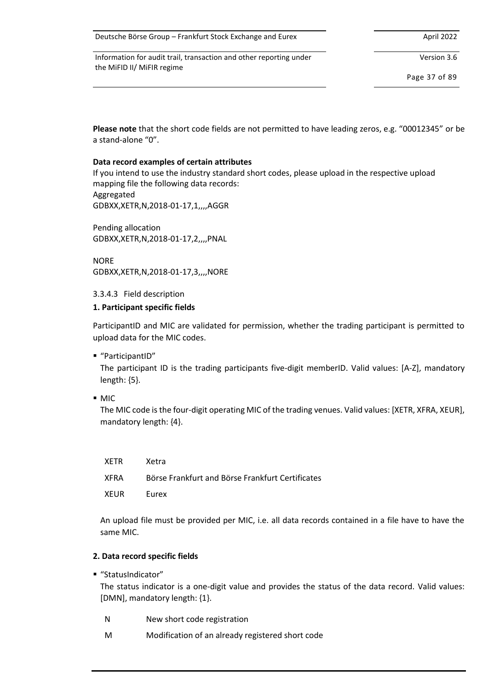| Deutsche Börse Group - Frankfurt Stock Exchange and Eurex | April 2022 |
|-----------------------------------------------------------|------------|
|-----------------------------------------------------------|------------|

Version 3.6

Page 37 of 89

**Please note** that the short code fields are not permitted to have leading zeros, e.g. "00012345" or be a stand-alone "0".

#### **Data record examples of certain attributes**

If you intend to use the industry standard short codes, please upload in the respective upload mapping file the following data records: Aggregated GDBXX,XETR,N,2018-01-17,1,,,,AGGR

Pending allocation GDBXX,XETR,N,2018-01-17,2,,,,PNAL

**NORF** GDBXX,XETR,N,2018-01-17,3,,,,NORE

#### <span id="page-36-0"></span>3.3.4.3 Field description

#### **1. Participant specific fields**

ParticipantID and MIC are validated for permission, whether the trading participant is permitted to upload data for the MIC codes.

■ "ParticipantID"

The participant ID is the trading participants five-digit memberID. Valid values: [A-Z], mandatory length: {5}.

■ MIC

The MIC code is the four-digit operating MIC of the trading venues. Valid values: [XETR, XFRA, XEUR], mandatory length: {4}.

| XETR | Xetra                                            |
|------|--------------------------------------------------|
| XFRA | Börse Frankfurt and Börse Frankfurt Certificates |
| XEUR | <b>Eurex</b>                                     |

An upload file must be provided per MIC, i.e. all data records contained in a file have to have the same MIC.

## **2. Data record specific fields**

■ "StatusIndicator"

The status indicator is a one-digit value and provides the status of the data record. Valid values: [DMN], mandatory length: {1}.

- N New short code registration
- M Modification of an already registered short code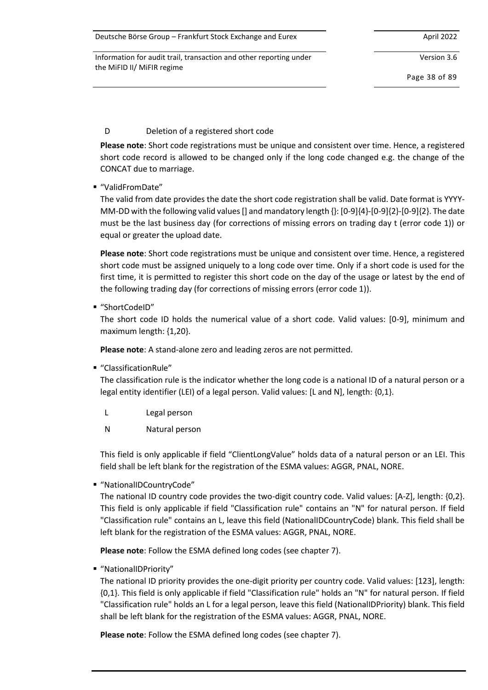| Deutsche Börse Group - Frankfurt Stock Exchange and Eurex | April 2022 |
|-----------------------------------------------------------|------------|
|-----------------------------------------------------------|------------|

Version 3.6

Page 38 of 89

# D Deletion of a registered short code

**Please note**: Short code registrations must be unique and consistent over time. Hence, a registered short code record is allowed to be changed only if the long code changed e.g. the change of the CONCAT due to marriage.

■ "ValidFromDate"

The valid from date provides the date the short code registration shall be valid. Date format is YYYY-MM-DD with the following valid values [] and mandatory length {}: [0-9]{4}-[0-9]{2}-[0-9]{2}. The date must be the last business day (for corrections of missing errors on trading day t (error code 1)) or equal or greater the upload date.

**Please note**: Short code registrations must be unique and consistent over time. Hence, a registered short code must be assigned uniquely to a long code over time. Only if a short code is used for the first time, it is permitted to register this short code on the day of the usage or latest by the end of the following trading day (for corrections of missing errors (error code 1)).

■ "ShortCodeID"

The short code ID holds the numerical value of a short code. Valid values: [0-9], minimum and maximum length: {1,20}.

**Please note**: A stand-alone zero and leading zeros are not permitted.

▪ "ClassificationRule"

The classification rule is the indicator whether the long code is a national ID of a natural person or a legal entity identifier (LEI) of a legal person. Valid values: [L and N], length: {0,1}.

- L Legal person
- N Natural person

This field is only applicable if field "ClientLongValue" holds data of a natural person or an LEI. This field shall be left blank for the registration of the ESMA values: AGGR, PNAL, NORE.

■ "NationalIDCountryCode"

The national ID country code provides the two-digit country code. Valid values: [A-Z], length: {0,2}. This field is only applicable if field "Classification rule" contains an "N" for natural person. If field "Classification rule" contains an L, leave this field (NationalIDCountryCode) blank. This field shall be left blank for the registration of the ESMA values: AGGR, PNAL, NORE.

**Please note**: Follow the ESMA defined long codes (see chapter [7\)](#page-69-0).

▪ "NationalIDPriority"

The national ID priority provides the one-digit priority per country code. Valid values: [123], length: {0,1}. This field is only applicable if field "Classification rule" holds an "N" for natural person. If field "Classification rule" holds an L for a legal person, leave this field (NationalIDPriority) blank. This field shall be left blank for the registration of the ESMA values: AGGR, PNAL, NORE.

**Please note**: Follow the ESMA defined long codes (see chapter [7\)](#page-69-0).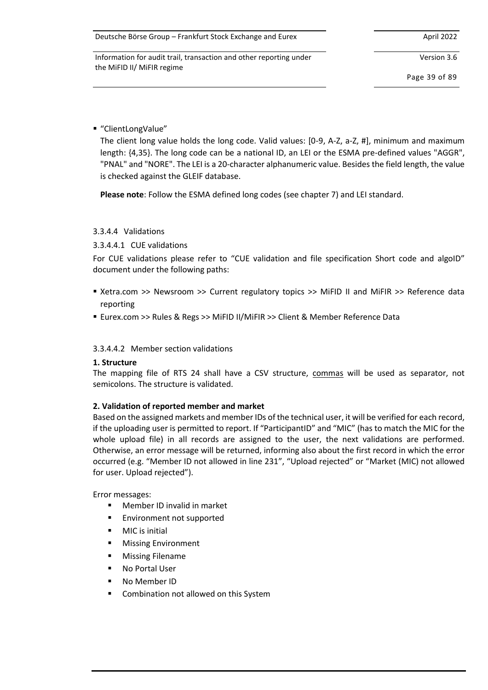Version 3.6

Page 39 of 89

■ "ClientLongValue"

The client long value holds the long code. Valid values: [0-9, A-Z, a-Z, #], minimum and maximum length: {4,35}. The long code can be a national ID, an LEI or the ESMA pre-defined values "AGGR", "PNAL" and "NORE". The LEI is a 20-character alphanumeric value. Besides the field length, the value is checked against the GLEIF database.

**Please note**: Follow the ESMA defined long codes (see chapter [7\)](#page-69-0) and LEI standard.

#### 3.3.4.4 Validations

#### 3.3.4.4.1 CUE validations

For CUE validations please refer to "CUE validation and file specification Short code and algoID" document under the following paths:

- Xetra.com >> Newsroom >> Current regulatory topics >> MiFID II and MiFIR >> Reference data reporting
- Eurex.com >> Rules & Regs >> MiFID II/MiFIR >> Client & Member Reference Data

#### 3.3.4.4.2 Member section validations

#### **1. Structure**

The mapping file of RTS 24 shall have a CSV structure, commas will be used as separator, not semicolons. The structure is validated.

## **2. Validation of reported member and market**

Based on the assigned markets and member IDs of the technical user, it will be verified for each record, if the uploading user is permitted to report. If "ParticipantID" and "MIC" (has to match the MIC for the whole upload file) in all records are assigned to the user, the next validations are performed. Otherwise, an error message will be returned, informing also about the first record in which the error occurred (e.g. "Member ID not allowed in line 231", "Upload rejected" or "Market (MIC) not allowed for user. Upload rejected").

Error messages:

- Member ID invalid in market
- Environment not supported
- **MIC** is initial
- **Missing Environment**
- **Missing Filename**
- No Portal User
- No Member ID
- Combination not allowed on this System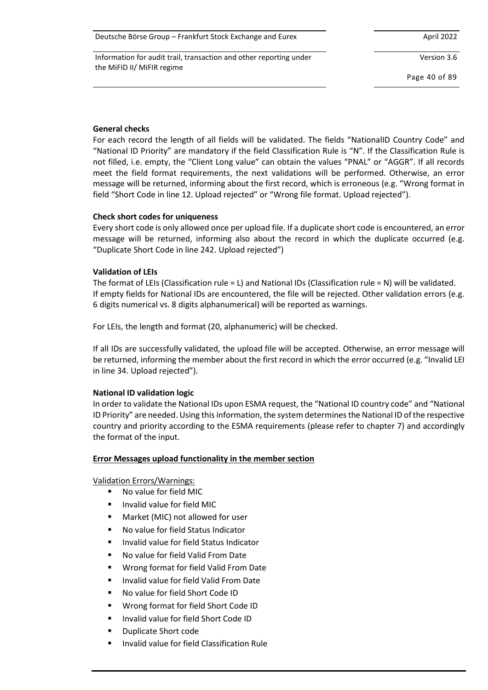| Deutsche Börse Group – Frankfurt Stock Exchange and Eurex | April 2022 |
|-----------------------------------------------------------|------------|
|-----------------------------------------------------------|------------|

Version 3.6

Page 40 of 89

## **General checks**

For each record the length of all fields will be validated. The fields "NationalID Country Code" and "National ID Priority" are mandatory if the field Classification Rule is "N". If the Classification Rule is not filled, i.e. empty, the "Client Long value" can obtain the values "PNAL" or "AGGR". If all records meet the field format requirements, the next validations will be performed. Otherwise, an error message will be returned, informing about the first record, which is erroneous (e.g. "Wrong format in field "Short Code in line 12. Upload rejected" or "Wrong file format. Upload rejected").

## **Check short codes for uniqueness**

Every short code is only allowed once per upload file. If a duplicate short code is encountered, an error message will be returned, informing also about the record in which the duplicate occurred (e.g. "Duplicate Short Code in line 242. Upload rejected")

# **Validation of LEIs**

The format of LEIs (Classification rule = L) and National IDs (Classification rule = N) will be validated. If empty fields for National IDs are encountered, the file will be rejected. Other validation errors (e.g. 6 digits numerical vs. 8 digits alphanumerical) will be reported as warnings.

For LEIs, the length and format (20, alphanumeric) will be checked.

If all IDs are successfully validated, the upload file will be accepted. Otherwise, an error message will be returned, informing the member about the first record in which the error occurred (e.g. "Invalid LEI in line 34. Upload rejected").

# **National ID validation logic**

In order to validate the National IDs upon ESMA request, the "National ID country code" and "National ID Priority" are needed. Using this information, the system determines the National ID of the respective country and priority according to the ESMA requirements (please refer to chapter [7\)](#page-69-0) and accordingly the format of the input.

## **Error Messages upload functionality in the member section**

Validation Errors/Warnings:

- No value for field MIC
- Invalid value for field MIC
- Market (MIC) not allowed for user
- No value for field Status Indicator
- Invalid value for field Status Indicator
- No value for field Valid From Date
- Wrong format for field Valid From Date
- Invalid value for field Valid From Date
- No value for field Short Code ID
- Wrong format for field Short Code ID
- Invalid value for field Short Code ID
- **Duplicate Short code**
- Invalid value for field Classification Rule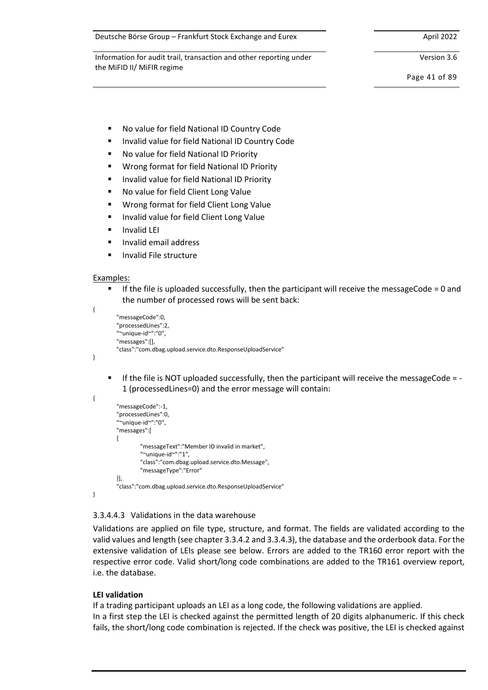Deutsche Börse Group – Frankfurt Stock Exchange and Eurex April 2022

Information for audit trail, transaction and other reporting under the MiFID II/ MiFIR regime

Version 3.6

Page 41 of 89

- No value for field National ID Country Code
- Invalid value for field National ID Country Code
- No value for field National ID Priority
- Wrong format for field National ID Priority
- Invalid value for field National ID Priority
- No value for field Client Long Value
- Wrong format for field Client Long Value
- Invalid value for field Client Long Value
- **Invalid LEI**
- Invalid email address
- Invalid File structure

#### Examples:

 $\blacksquare$  If the file is uploaded successfully, then the participant will receive the messageCode = 0 and the number of processed rows will be sent back:

```
{
          "messageCode":0,
          "processedLines":2,
          "~unique-id~":"0",
          "messages":[],
          "class":"com.dbag.upload.service.dto.ResponseUploadService"
}
```
■ If the file is NOT uploaded successfully, then the participant will receive the messageCode = -1 (processedLines=0) and the error message will contain:

```
{
          "messageCode":-1,
          "processedLines":0,
          "~unique-id~":"0",
          "messages":[
\overline{\mathcal{L}} "messageText":"Member ID invalid in market",
                    "~unique-id~":"1",
                   "class":"com.dbag.upload.service.dto.Message",
                   "messageType":"Error"
          }],
          "class":"com.dbag.upload.service.dto.ResponseUploadService"
}
```
## <span id="page-40-0"></span>3.3.4.4.3 Validations in the data warehouse

Validations are applied on file type, structure, and format. The fields are validated according to the valid values and length (see chapte[r 3.3.4.2](#page-35-0) and [3.3.4.3\)](#page-36-0), the database and the orderbook data. For the extensive validation of LEIs please see below. Errors are added to the TR160 error report with the respective error code. Valid short/long code combinations are added to the TR161 overview report, i.e. the database.

## **LEI validation**

If a trading participant uploads an LEI as a long code, the following validations are applied. In a first step the LEI is checked against the permitted length of 20 digits alphanumeric. If this check fails, the short/long code combination is rejected. If the check was positive, the LEI is checked against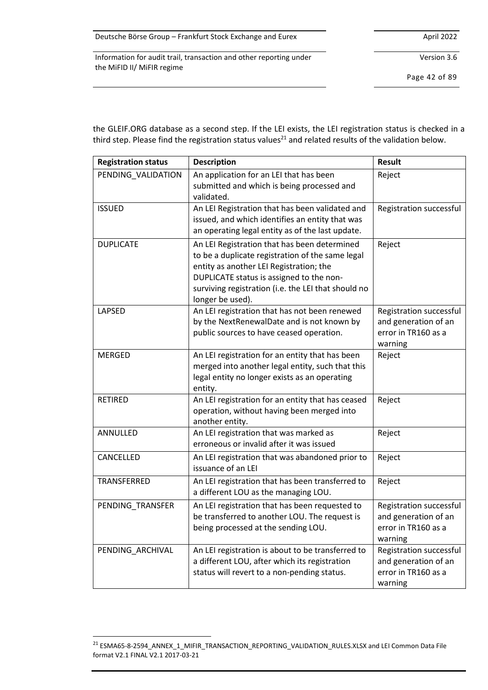| Deutsche Börse Group - Frankfurt Stock Exchange and Eurex | April 2022 |
|-----------------------------------------------------------|------------|
|-----------------------------------------------------------|------------|

Version 3.6

Page 42 of 89

the GLEIF.ORG database as a second step. If the LEI exists, the LEI registration status is checked in a third step. Please find the registration status values<sup>21</sup> and related results of the validation below.

| <b>Registration status</b> | <b>Description</b>                                                                                                                                                                                                                                                 | <b>Result</b>                                                                     |
|----------------------------|--------------------------------------------------------------------------------------------------------------------------------------------------------------------------------------------------------------------------------------------------------------------|-----------------------------------------------------------------------------------|
| PENDING_VALIDATION         | An application for an LEI that has been<br>submitted and which is being processed and<br>validated.                                                                                                                                                                | Reject                                                                            |
| <b>ISSUED</b>              | An LEI Registration that has been validated and<br>issued, and which identifies an entity that was<br>an operating legal entity as of the last update.                                                                                                             | Registration successful                                                           |
| <b>DUPLICATE</b>           | An LEI Registration that has been determined<br>to be a duplicate registration of the same legal<br>entity as another LEI Registration; the<br>DUPLICATE status is assigned to the non-<br>surviving registration (i.e. the LEI that should no<br>longer be used). | Reject                                                                            |
| LAPSED                     | An LEI registration that has not been renewed<br>by the NextRenewalDate and is not known by<br>public sources to have ceased operation.                                                                                                                            | Registration successful<br>and generation of an<br>error in TR160 as a<br>warning |
| <b>MERGED</b>              | An LEI registration for an entity that has been<br>merged into another legal entity, such that this<br>legal entity no longer exists as an operating<br>entity.                                                                                                    | Reject                                                                            |
| <b>RETIRED</b>             | An LEI registration for an entity that has ceased<br>operation, without having been merged into<br>another entity.                                                                                                                                                 | Reject                                                                            |
| ANNULLED                   | An LEI registration that was marked as<br>erroneous or invalid after it was issued                                                                                                                                                                                 | Reject                                                                            |
| CANCELLED                  | An LEI registration that was abandoned prior to<br>issuance of an LEI                                                                                                                                                                                              | Reject                                                                            |
| TRANSFERRED                | An LEI registration that has been transferred to<br>a different LOU as the managing LOU.                                                                                                                                                                           | Reject                                                                            |
| PENDING_TRANSFER           | An LEI registration that has been requested to<br>be transferred to another LOU. The request is<br>being processed at the sending LOU.                                                                                                                             | Registration successful<br>and generation of an<br>error in TR160 as a<br>warning |
| PENDING_ARCHIVAL           | An LEI registration is about to be transferred to<br>a different LOU, after which its registration<br>status will revert to a non-pending status.                                                                                                                  | Registration successful<br>and generation of an<br>error in TR160 as a<br>warning |

<sup>21</sup> ESMA65-8-2594\_ANNEX\_1\_MIFIR\_TRANSACTION\_REPORTING\_VALIDATION\_RULES.XLSX and LEI Common Data File format V2.1 FINAL V2.1 2017-03-21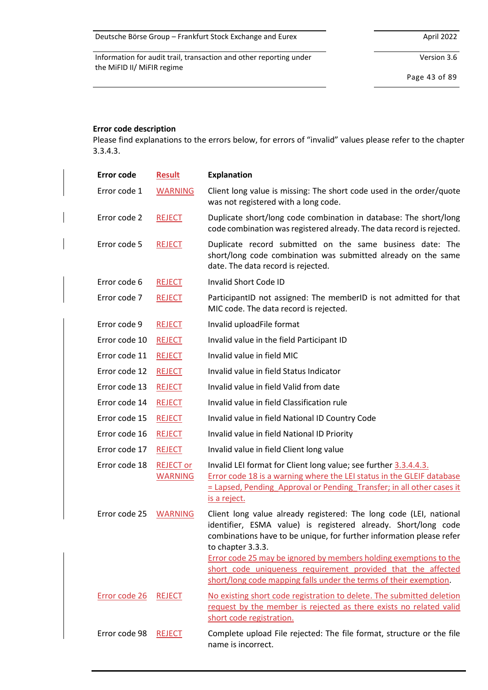Version 3.6

Page 43 of 89

# **Error code description**

Please find explanations to the errors below, for errors of "invalid" values please refer to the chapter [3.3.4.3.](#page-36-0)

| <b>Error code</b> | <b>Result</b>                      | <b>Explanation</b>                                                                                                                                                                                                                 |
|-------------------|------------------------------------|------------------------------------------------------------------------------------------------------------------------------------------------------------------------------------------------------------------------------------|
| Error code 1      | <b>WARNING</b>                     | Client long value is missing: The short code used in the order/quote<br>was not registered with a long code.                                                                                                                       |
| Error code 2      | <b>REJECT</b>                      | Duplicate short/long code combination in database: The short/long<br>code combination was registered already. The data record is rejected.                                                                                         |
| Error code 5      | <b>REJECT</b>                      | Duplicate record submitted on the same business date: The<br>short/long code combination was submitted already on the same<br>date. The data record is rejected.                                                                   |
| Error code 6      | <b>REJECT</b>                      | Invalid Short Code ID                                                                                                                                                                                                              |
| Error code 7      | <b>REJECT</b>                      | ParticipantID not assigned: The memberID is not admitted for that<br>MIC code. The data record is rejected.                                                                                                                        |
| Error code 9      | <b>REJECT</b>                      | Invalid uploadFile format                                                                                                                                                                                                          |
| Error code 10     | <b>REJECT</b>                      | Invalid value in the field Participant ID                                                                                                                                                                                          |
| Error code 11     | <b>REJECT</b>                      | Invalid value in field MIC                                                                                                                                                                                                         |
| Error code 12     | <b>REJECT</b>                      | Invalid value in field Status Indicator                                                                                                                                                                                            |
| Error code 13     | <b>REJECT</b>                      | Invalid value in field Valid from date                                                                                                                                                                                             |
| Error code 14     | <b>REJECT</b>                      | Invalid value in field Classification rule                                                                                                                                                                                         |
| Error code 15     | <b>REJECT</b>                      | Invalid value in field National ID Country Code                                                                                                                                                                                    |
| Error code 16     | <b>REJECT</b>                      | Invalid value in field National ID Priority                                                                                                                                                                                        |
| Error code 17     | <b>REJECT</b>                      | Invalid value in field Client long value                                                                                                                                                                                           |
| Error code 18     | <b>REJECT or</b><br><b>WARNING</b> | Invalid LEI format for Client long value; see further 3.3.4.4.3.<br>Error code 18 is a warning where the LEI status in the GLEIF database<br>= Lapsed, Pending Approval or Pending Transfer; in all other cases it<br>is a reject. |
| Error code 25     | <b>WARNING</b>                     | Client long value already registered: The long code (LEI, national<br>identifier, ESMA value) is registered already. Short/long code<br>combinations have to be unique, for further information please refer<br>to chapter 3.3.3.  |
|                   |                                    | Error code 25 may be ignored by members holding exemptions to the<br>short code uniqueness requirement provided that the affected<br>short/long code mapping falls under the terms of their exemption.                             |
| Error code 26     | <b>REJECT</b>                      | No existing short code registration to delete. The submitted deletion<br>request by the member is rejected as there exists no related valid<br>short code registration.                                                            |
| Error code 98     | <b>REJECT</b>                      | Complete upload File rejected: The file format, structure or the file<br>name is incorrect.                                                                                                                                        |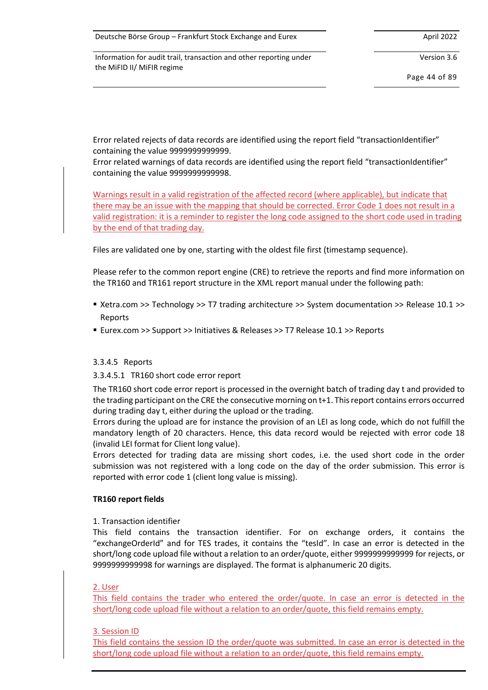Version 3.6

Page 44 of 89

Error related rejects of data records are identified using the report field "transactionIdentifier" containing the value 9999999999999.

Error related warnings of data records are identified using the report field "transactionIdentifier" containing the value 9999999999998.

Warnings result in a valid registration of the affected record (where applicable), but indicate that there may be an issue with the mapping that should be corrected. Error Code 1 does not result in a valid registration: it is a reminder to register the long code assigned to the short code used in trading by the end of that trading day.

Files are validated one by one, starting with the oldest file first (timestamp sequence).

Please refer to the common report engine (CRE) to retrieve the reports and find more information on the TR160 and TR161 report structure in the XML report manual under the following path:

- Xetra.com >> Technology >> T7 trading architecture >> System documentation >> Release 10.1 >> Reports
- Eurex.com >> Support >> Initiatives & Releases >> T7 Release 10.1 >> Reports

## <span id="page-43-0"></span>3.3.4.5 Reports

3.3.4.5.1 TR160 short code error report

The TR160 short code error report is processed in the overnight batch of trading day t and provided to the trading participant on the CRE the consecutive morning on t+1. This report contains errors occurred during trading day t, either during the upload or the trading.

Errors during the upload are for instance the provision of an LEI as long code, which do not fulfill the mandatory length of 20 characters. Hence, this data record would be rejected with error code 18 (invalid LEI format for Client long value).

Errors detected for trading data are missing short codes, i.e. the used short code in the order submission was not registered with a long code on the day of the order submission. This error is reported with error code 1 (client long value is missing).

#### **TR160 report fields**

#### 1. Transaction identifier

This field contains the transaction identifier. For on exchange orders, it contains the "exchangeOrderId" and for TES trades, it contains the "tesId". In case an error is detected in the short/long code upload file without a relation to an order/quote, either 9999999999999 for rejects, or 9999999999998 for warnings are displayed. The format is alphanumeric 20 digits.

## 2. User

This field contains the trader who entered the order/quote. In case an error is detected in the short/long code upload file without a relation to an order/quote, this field remains empty.

## 3. Session ID

This field contains the session ID the order/quote was submitted. In case an error is detected in the short/long code upload file without a relation to an order/quote, this field remains empty.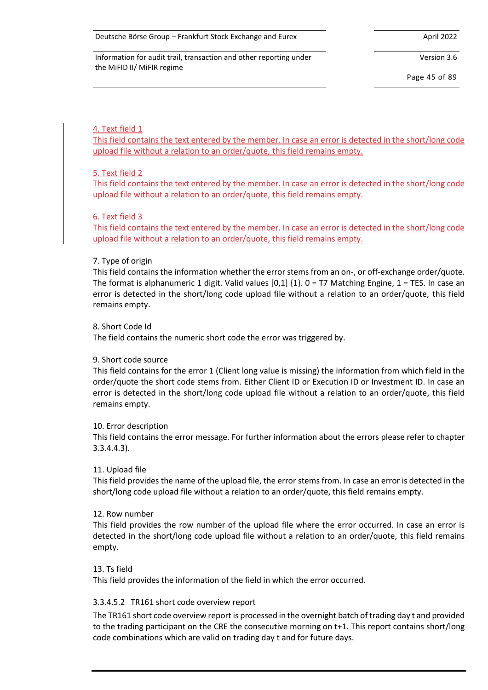Version 3.6

Page 45 of 89

#### 4. Text field 1

This field contains the text entered by the member. In case an error is detected in the short/long code upload file without a relation to an order/quote, this field remains empty.

#### 5. Text field 2

This field contains the text entered by the member. In case an error is detected in the short/long code upload file without a relation to an order/quote, this field remains empty.

#### 6. Text field 3

This field contains the text entered by the member. In case an error is detected in the short/long code upload file without a relation to an order/quote, this field remains empty.

#### 7. Type of origin

This field contains the information whether the error stems from an on-, or off-exchange order/quote. The format is alphanumeric 1 digit. Valid values  $[0,1]$   $\{1\}$ . 0 = T7 Matching Engine, 1 = TES. In case an error is detected in the short/long code upload file without a relation to an order/quote, this field remains empty.

#### 8. Short Code Id

The field contains the numeric short code the error was triggered by.

#### 9. Short code source

This field contains for the error 1 (Client long value is missing) the information from which field in the order/quote the short code stems from. Either Client ID or Execution ID or Investment ID. In case an error is detected in the short/long code upload file without a relation to an order/quote, this field remains empty.

#### 10. Error description

This field contains the error message. For further information about the errors please refer to chapter [3.3.4.4.3\)](#page-40-0).

#### 11. Upload file

This field provides the name of the upload file, the error stems from. In case an error is detected in the short/long code upload file without a relation to an order/quote, this field remains empty.

#### 12. Row number

This field provides the row number of the upload file where the error occurred. In case an error is detected in the short/long code upload file without a relation to an order/quote, this field remains empty.

#### 13. Ts field

This field provides the information of the field in which the error occurred.

#### 3.3.4.5.2 TR161 short code overview report

The TR161 short code overview report is processed in the overnight batch of trading day t and provided to the trading participant on the CRE the consecutive morning on t+1. This report contains short/long code combinations which are valid on trading day t and for future days.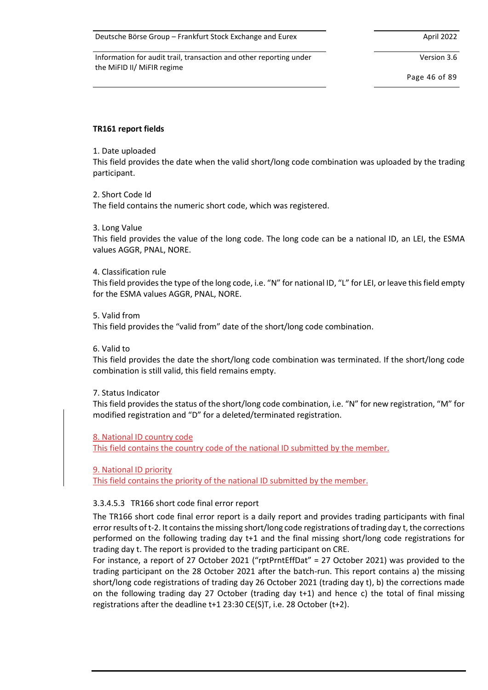Deutsche Börse Group – Frankfurt Stock Exchange and Eurex April 2022 April 2022

Information for audit trail, transaction and other reporting under the MiFID II/ MiFIR regime

Version 3.6

Page 46 of 89

## **TR161 report fields**

## 1. Date uploaded

This field provides the date when the valid short/long code combination was uploaded by the trading participant.

#### 2. Short Code Id

The field contains the numeric short code, which was registered.

3. Long Value

This field provides the value of the long code. The long code can be a national ID, an LEI, the ESMA values AGGR, PNAL, NORE.

#### 4. Classification rule

This field provides the type of the long code, i.e. "N" for national ID, "L" for LEI, or leave this field empty for the ESMA values AGGR, PNAL, NORE.

#### 5. Valid from

This field provides the "valid from" date of the short/long code combination.

#### 6. Valid to

This field provides the date the short/long code combination was terminated. If the short/long code combination is still valid, this field remains empty.

## 7. Status Indicator

This field provides the status of the short/long code combination, i.e. "N" for new registration, "M" for modified registration and "D" for a deleted/terminated registration.

## 8. National ID country code

This field contains the country code of the national ID submitted by the member.

9. National ID priority

This field contains the priority of the national ID submitted by the member.

## 3.3.4.5.3 TR166 short code final error report

The TR166 short code final error report is a daily report and provides trading participants with final errorresults of t-2. It contains the missing short/long code registrations of trading day t, the corrections performed on the following trading day t+1 and the final missing short/long code registrations for trading day t. The report is provided to the trading participant on CRE.

For instance, a report of 27 October 2021 ("rptPrntEffDat" = 27 October 2021) was provided to the trading participant on the 28 October 2021 after the batch-run. This report contains a) the missing short/long code registrations of trading day 26 October 2021 (trading day t), b) the corrections made on the following trading day 27 October (trading day t+1) and hence c) the total of final missing registrations after the deadline t+1 23:30 CE(S)T, i.e. 28 October (t+2).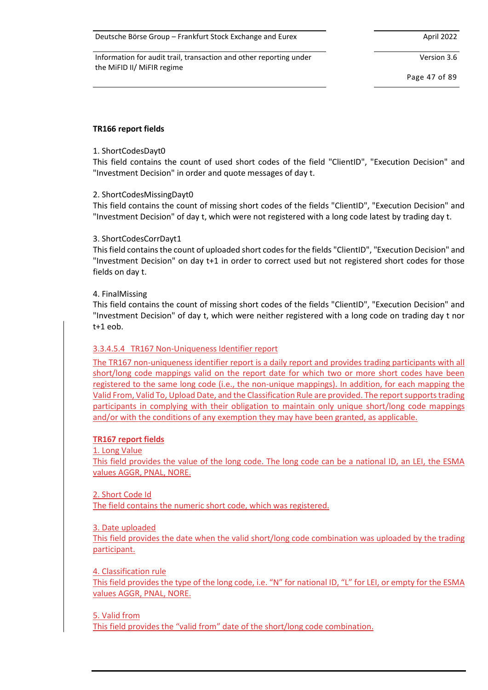Deutsche Börse Group – Frankfurt Stock Exchange and Eurex April 2022

Information for audit trail, transaction and other reporting under the MiFID II/ MiFIR regime

Version 3.6

Page 47 of 89

## **TR166 report fields**

## 1. ShortCodesDayt0

This field contains the count of used short codes of the field "ClientID", "Execution Decision" and "Investment Decision" in order and quote messages of day t.

## 2. ShortCodesMissingDayt0

This field contains the count of missing short codes of the fields "ClientID", "Execution Decision" and "Investment Decision" of day t, which were not registered with a long code latest by trading day t.

#### 3. ShortCodesCorrDayt1

This field contains the count of uploaded short codes for the fields "ClientID", "Execution Decision" and "Investment Decision" on day t+1 in order to correct used but not registered short codes for those fields on day t.

#### 4. FinalMissing

This field contains the count of missing short codes of the fields "ClientID", "Execution Decision" and "Investment Decision" of day t, which were neither registered with a long code on trading day t nor t+1 eob.

## 3.3.4.5.4 TR167 Non-Uniqueness Identifier report

The TR167 non-uniqueness identifier report is a daily report and provides trading participants with all short/long code mappings valid on the report date for which two or more short codes have been registered to the same long code (i.e., the non-unique mappings). In addition, for each mapping the Valid From, Valid To, Upload Date, and the Classification Rule are provided. The report supports trading participants in complying with their obligation to maintain only unique short/long code mappings and/or with the conditions of any exemption they may have been granted, as applicable.

#### **TR167 report fields**

1. Long Value

This field provides the value of the long code. The long code can be a national ID, an LEI, the ESMA values AGGR, PNAL, NORE.

2. Short Code Id The field contains the numeric short code, which was registered.

#### 3. Date uploaded

This field provides the date when the valid short/long code combination was uploaded by the trading participant.

## 4. Classification rule

This field provides the type of the long code, i.e. "N" for national ID, "L" for LEI, or empty for the ESMA values AGGR, PNAL, NORE.

#### 5. Valid from

This field provides the "valid from" date of the short/long code combination.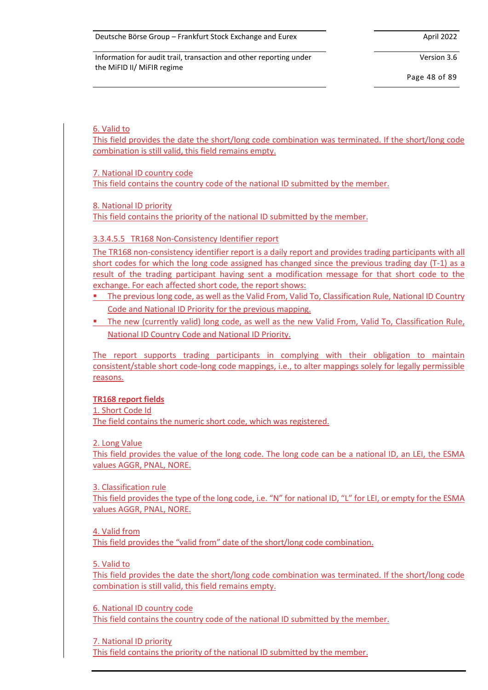Version 3.6

Page 48 of 89

## 6. Valid to

This field provides the date the short/long code combination was terminated. If the short/long code combination is still valid, this field remains empty.

7. National ID country code

This field contains the country code of the national ID submitted by the member.

8. National ID priority

This field contains the priority of the national ID submitted by the member.

## 3.3.4.5.5 TR168 Non-Consistency Identifier report

The TR168 non-consistency identifier report is a daily report and provides trading participants with all short codes for which the long code assigned has changed since the previous trading day (T-1) as a result of the trading participant having sent a modification message for that short code to the exchange. For each affected short code, the report shows:

- **E** The previous long code, as well as the Valid From, Valid To, Classification Rule, National ID Country Code and National ID Priority for the previous mapping.
- **•** The new (currently valid) long code, as well as the new Valid From, Valid To, Classification Rule, National ID Country Code and National ID Priority.

The report supports trading participants in complying with their obligation to maintain consistent/stable short code-long code mappings, i.e., to alter mappings solely for legally permissible reasons.

**TR168 report fields**

1. Short Code Id

The field contains the numeric short code, which was registered.

2. Long Value

This field provides the value of the long code. The long code can be a national ID, an LEI, the ESMA values AGGR, PNAL, NORE.

3. Classification rule

This field provides the type of the long code, i.e. "N" for national ID, "L" for LEI, or empty for the ESMA values AGGR, PNAL, NORE.

4. Valid from

This field provides the "valid from" date of the short/long code combination.

## 5. Valid to

This field provides the date the short/long code combination was terminated. If the short/long code combination is still valid, this field remains empty.

6. National ID country code

This field contains the country code of the national ID submitted by the member.

7. National ID priority

This field contains the priority of the national ID submitted by the member.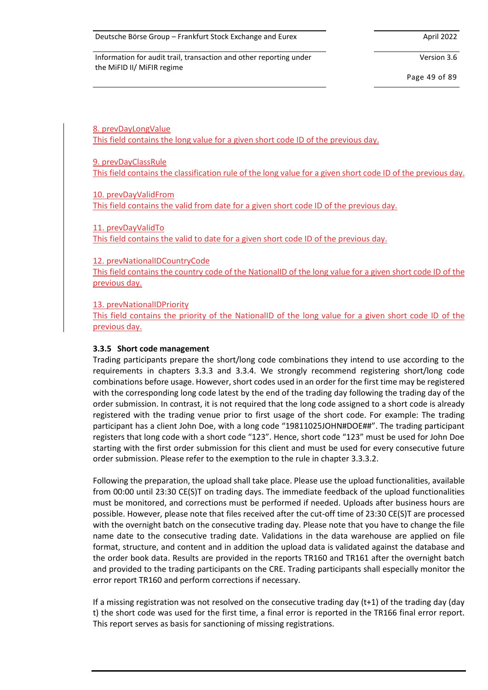Version 3.6

Page 49 of 89

8. prevDayLongValue This field contains the long value for a given short code ID of the previous day.

9. prevDayClassRule This field contains the classification rule of the long value for a given short code ID of the previous day.

10. prevDayValidFrom This field contains the valid from date for a given short code ID of the previous day.

11. prevDayValidTo This field contains the valid to date for a given short code ID of the previous day.

12. prevNationalIDCountryCode

This field contains the country code of the NationalID of the long value for a given short code ID of the previous day.

13. prevNationalIDPriority

This field contains the priority of the NationalID of the long value for a given short code ID of the previous day.

## **3.3.5 Short code management**

Trading participants prepare the short/long code combinations they intend to use according to the requirements in chapters [3.3.3](#page-31-0) and [3.3.4.](#page-34-0) We strongly recommend registering short/long code combinations before usage. However, short codes used in an order for the first time may be registered with the corresponding long code latest by the end of the trading day following the trading day of the order submission. In contrast, it is not required that the long code assigned to a short code is already registered with the trading venue prior to first usage of the short code. For example: The trading participant has a client John Doe, with a long code "19811025JOHN#DOE##". The trading participant registers that long code with a short code "123". Hence, short code "123" must be used for John Doe starting with the first order submission for this client and must be used for every consecutive future order submission. Please refer to the exemption to the rule in chapte[r 3.3.3.2.](#page-32-0)

Following the preparation, the upload shall take place. Please use the upload functionalities, available from 00:00 until 23:30 CE(S)T on trading days. The immediate feedback of the upload functionalities must be monitored, and corrections must be performed if needed. Uploads after business hours are possible. However, please note that files received after the cut-off time of 23:30 CE(S)T are processed with the overnight batch on the consecutive trading day. Please note that you have to change the file name date to the consecutive trading date. Validations in the data warehouse are applied on file format, structure, and content and in addition the upload data is validated against the database and the order book data. Results are provided in the reports TR160 and TR161 after the overnight batch and provided to the trading participants on the CRE. Trading participants shall especially monitor the error report TR160 and perform corrections if necessary.

If a missing registration was not resolved on the consecutive trading day (t+1) of the trading day (day t) the short code was used for the first time, a final error is reported in the TR166 final error report. This report serves as basis for sanctioning of missing registrations.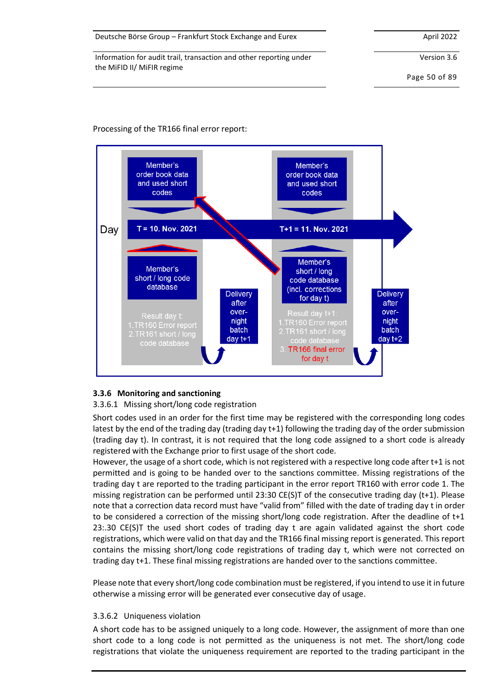#### Deutsche Börse Group – Frankfurt Stock Exchange and Eurex April 2022

Information for audit trail, transaction and other reporting under the MiFID II/ MiFIR regime

Version 3.6

Page 50 of 89

## Processing of the TR166 final error report:



## **3.3.6 Monitoring and sanctioning**

## 3.3.6.1 Missing short/long code registration

Short codes used in an order for the first time may be registered with the corresponding long codes latest by the end of the trading day (trading day t+1) following the trading day of the order submission (trading day t). In contrast, it is not required that the long code assigned to a short code is already registered with the Exchange prior to first usage of the short code.

However, the usage of a short code, which is not registered with a respective long code after t+1 is not permitted and is going to be handed over to the sanctions committee. Missing registrations of the trading day t are reported to the trading participant in the error report TR160 with error code 1. The missing registration can be performed until 23:30 CE(S)T of the consecutive trading day (t+1). Please note that a correction data record must have "valid from" filled with the date of trading day t in order to be considered a correction of the missing short/long code registration. After the deadline of t+1 23:.30 CE(S)T the used short codes of trading day t are again validated against the short code registrations, which were valid on that day and the TR166 final missing report is generated. This report contains the missing short/long code registrations of trading day t, which were not corrected on trading day t+1. These final missing registrations are handed over to the sanctions committee.

Please note that every short/long code combination must be registered, if you intend to use it in future otherwise a missing error will be generated ever consecutive day of usage.

## 3.3.6.2 Uniqueness violation

A short code has to be assigned uniquely to a long code. However, the assignment of more than one short code to a long code is not permitted as the uniqueness is not met. The short/long code registrations that violate the uniqueness requirement are reported to the trading participant in the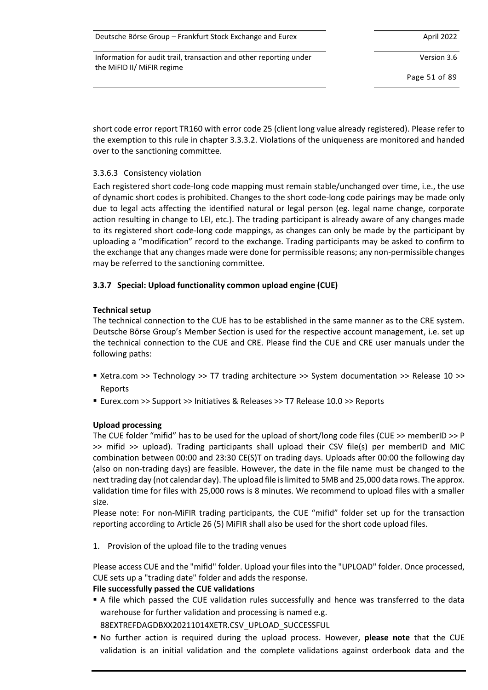| Deutsche Börse Group - Frankfurt Stock Exchange and Eurex | April 2022 |
|-----------------------------------------------------------|------------|
|-----------------------------------------------------------|------------|

Version 3.6

Page 51 of 89

short code error report TR160 with error code 25 (client long value already registered). Please refer to the exemption to this rule in chapte[r 3.3.3.2.](#page-32-0) Violations of the uniqueness are monitored and handed over to the sanctioning committee.

# 3.3.6.3 Consistency violation

Each registered short code-long code mapping must remain stable/unchanged over time, i.e., the use of dynamic short codes is prohibited. Changes to the short code-long code pairings may be made only due to legal acts affecting the identified natural or legal person (eg. legal name change, corporate action resulting in change to LEI, etc.). The trading participant is already aware of any changes made to its registered short code-long code mappings, as changes can only be made by the participant by uploading a "modification" record to the exchange. Trading participants may be asked to confirm to the exchange that any changes made were done for permissible reasons; any non-permissible changes may be referred to the sanctioning committee.

# **3.3.7 Special: Upload functionality common upload engine (CUE)**

# **Technical setup**

The technical connection to the CUE has to be established in the same manner as to the CRE system. Deutsche Börse Group's Member Section is used for the respective account management, i.e. set up the technical connection to the CUE and CRE. Please find the CUE and CRE user manuals under the following paths:

- Xetra.com >> Technology >> T7 trading architecture >> System documentation >> Release 10 >> Reports
- Eurex.com >> Support >> Initiatives & Releases >> T7 Release 10.0 >> Reports

## **Upload processing**

The CUE folder "mifid" has to be used for the upload of short/long code files (CUE >> memberID >> P >> mifid >> upload). Trading participants shall upload their CSV file(s) per memberID and MIC combination between 00:00 and 23:30 CE(S)T on trading days. Uploads after 00:00 the following day (also on non-trading days) are feasible. However, the date in the file name must be changed to the next trading day (not calendar day). The upload file is limited to 5MB and 25,000 data rows. The approx. validation time for files with 25,000 rows is 8 minutes. We recommend to upload files with a smaller size.

Please note: For non-MiFIR trading participants, the CUE "mifid" folder set up for the transaction reporting according to Article 26 (5) MiFIR shall also be used for the short code upload files.

1. Provision of the upload file to the trading venues

Please access CUE and the "mifid" folder. Upload your files into the "UPLOAD" folder. Once processed, CUE sets up a "trading date" folder and adds the response.

## **File successfully passed the CUE validations**

■ A file which passed the CUE validation rules successfully and hence was transferred to the data warehouse for further validation and processing is named e.g.

88EXTREFDAGDBXX20211014XETR.CSV\_UPLOAD\_SUCCESSFUL

▪ No further action is required during the upload process. However, **please note** that the CUE validation is an initial validation and the complete validations against orderbook data and the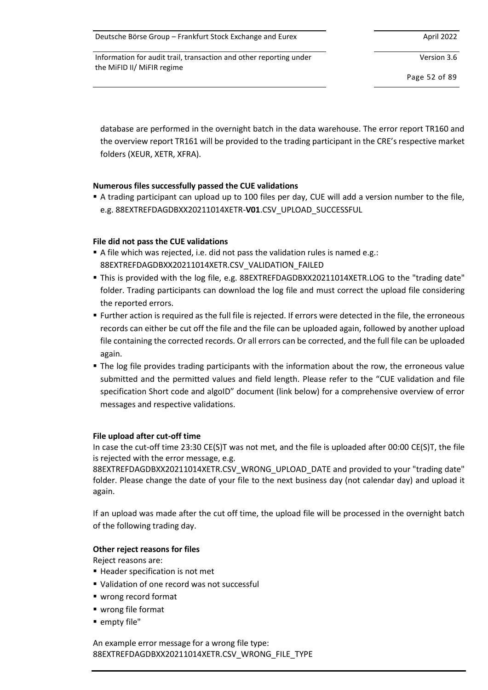| Deutsche Börse Group - Frankfurt Stock Exchange and Eurex | April 2022 |
|-----------------------------------------------------------|------------|
|-----------------------------------------------------------|------------|

Version 3.6

Page 52 of 89

database are performed in the overnight batch in the data warehouse. The error report TR160 and the overview report TR161 will be provided to the trading participant in the CRE's respective market folders (XEUR, XETR, XFRA).

# **Numerous files successfully passed the CUE validations**

■ A trading participant can upload up to 100 files per day, CUE will add a version number to the file, e.g. 88EXTREFDAGDBXX20211014XETR-**V01**.CSV\_UPLOAD\_SUCCESSFUL

# **File did not pass the CUE validations**

- A file which was rejected, i.e. did not pass the validation rules is named e.g.: 88EXTREFDAGDBXX20211014XETR.CSV\_VALIDATION\_FAILED
- This is provided with the log file, e.g. 88EXTREFDAGDBXX20211014XETR.LOG to the "trading date" folder. Trading participants can download the log file and must correct the upload file considering the reported errors.
- Further action is required as the full file is rejected. If errors were detected in the file, the erroneous records can either be cut off the file and the file can be uploaded again, followed by another upload file containing the corrected records. Or all errors can be corrected, and the full file can be uploaded again.
- **The log file provides trading participants with the information about the row, the erroneous value** submitted and the permitted values and field length. Please refer to the "CUE validation and file specification Short code and algoID" document (link below) for a comprehensive overview of error messages and respective validations.

## **File upload after cut-off time**

In case the cut-off time 23:30 CE(S)T was not met, and the file is uploaded after 00:00 CE(S)T, the file is rejected with the error message, e.g.

88EXTREFDAGDBXX20211014XETR.CSV\_WRONG\_UPLOAD\_DATE and provided to your "trading date" folder. Please change the date of your file to the next business day (not calendar day) and upload it again.

If an upload was made after the cut off time, the upload file will be processed in the overnight batch of the following trading day.

## **Other reject reasons for files**

Reject reasons are:

- Header specification is not met
- Validation of one record was not successful
- wrong record format
- wrong file format
- empty file"

An example error message for a wrong file type: 88EXTREFDAGDBXX20211014XETR.CSV\_WRONG\_FILE\_TYPE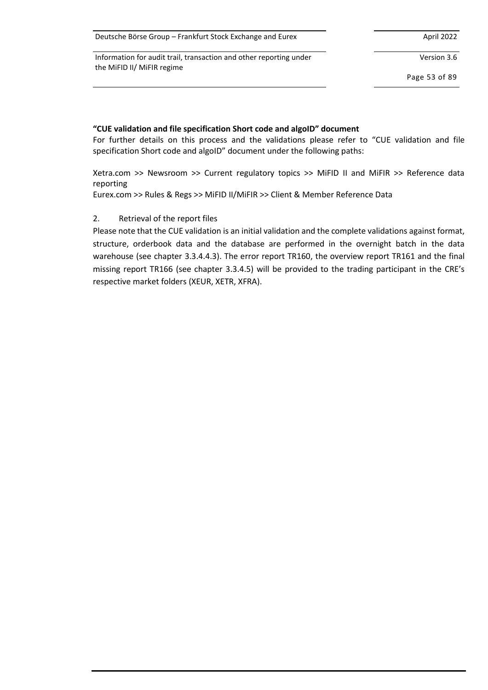| Deutsche Börse Group - Frankfurt Stock Exchange and Eurex | April 2022 |
|-----------------------------------------------------------|------------|
|-----------------------------------------------------------|------------|

Version 3.6

Page 53 of 89

#### **"CUE validation and file specification Short code and algoID" document**

For further details on this process and the validations please refer to "CUE validation and file specification Short code and algoID" document under the following paths:

Xetra.com >> Newsroom >> Current regulatory topics >> MiFID II and MiFIR >> Reference data reporting

Eurex.com >> Rules & Regs >> MiFID II/MiFIR >> Client & Member Reference Data

## 2. Retrieval of the report files

Please note that the CUE validation is an initial validation and the complete validations against format, structure, orderbook data and the database are performed in the overnight batch in the data warehouse (see chapter [3.3.4.4.3\)](#page-40-0). The error report TR160, the overview report TR161 and the final missing report TR166 (see chapter [3.3.4.5\)](#page-43-0) will be provided to the trading participant in the CRE's respective market folders (XEUR, XETR, XFRA).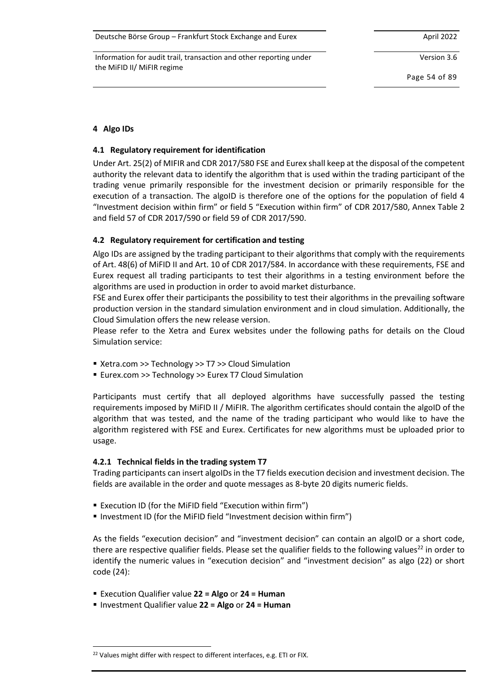| Deutsche Börse Group - Frankfurt Stock Exchange and Eurex | April 2022 |
|-----------------------------------------------------------|------------|
|-----------------------------------------------------------|------------|

Version 3.6

Page 54 of 89

# **4 Algo IDs**

## **4.1 Regulatory requirement for identification**

Under Art. 25(2) of MIFIR and CDR 2017/580 FSE and Eurex shall keep at the disposal of the competent authority the relevant data to identify the algorithm that is used within the trading participant of the trading venue primarily responsible for the investment decision or primarily responsible for the execution of a transaction. The algoID is therefore one of the options for the population of field 4 "Investment decision within firm" or field 5 "Execution within firm" of CDR 2017/580, Annex Table 2 and field 57 of CDR 2017/590 or field 59 of CDR 2017/590.

# **4.2 Regulatory requirement for certification and testing**

Algo IDs are assigned by the trading participant to their algorithms that comply with the requirements of Art. 48(6) of MiFID II and Art. 10 of CDR 2017/584. In accordance with these requirements, FSE and Eurex request all trading participants to test their algorithms in a testing environment before the algorithms are used in production in order to avoid market disturbance.

FSE and Eurex offer their participants the possibility to test their algorithms in the prevailing software production version in the standard simulation environment and in cloud simulation. Additionally, the Cloud Simulation offers the new release version.

Please refer to the Xetra and Eurex websites under the following paths for details on the Cloud Simulation service:

- Xetra.com >> Technology >> T7 >> Cloud Simulation
- Eurex.com >> Technology >> Eurex T7 Cloud Simulation

Participants must certify that all deployed algorithms have successfully passed the testing requirements imposed by MiFID II / MiFIR. The algorithm certificates should contain the algoID of the algorithm that was tested, and the name of the trading participant who would like to have the algorithm registered with FSE and Eurex. Certificates for new algorithms must be uploaded prior to usage.

## **4.2.1 Technical fields in the trading system T7**

Trading participants can insert algoIDs in the T7 fields execution decision and investment decision. The fields are available in the order and quote messages as 8-byte 20 digits numeric fields.

- Execution ID (for the MiFID field "Execution within firm")
- Investment ID (for the MiFID field "Investment decision within firm")

As the fields "execution decision" and "investment decision" can contain an algoID or a short code, there are respective qualifier fields. Please set the qualifier fields to the following values<sup>22</sup> in order to identify the numeric values in "execution decision" and "investment decision" as algo (22) or short code (24):

- Execution Qualifier value **22 = Algo** or **24 = Human**
- Investment Qualifier value **22 = Algo** or **24 = Human**

<sup>&</sup>lt;sup>22</sup> Values might differ with respect to different interfaces, e.g. ETI or FIX.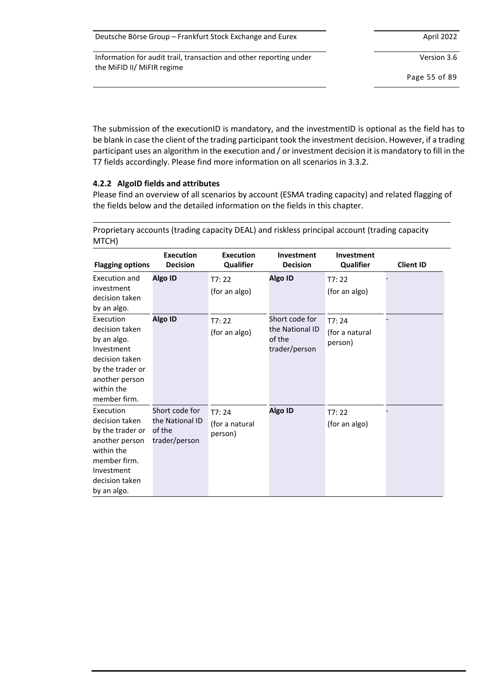| Deutsche Börse Group – Frankfurt Stock Exchange and Eurex | April 2022 |
|-----------------------------------------------------------|------------|
|-----------------------------------------------------------|------------|

Version 3.6

Page 55 of 89

The submission of the executionID is mandatory, and the investmentID is optional as the field has to be blank in case the client of the trading participant took the investment decision. However, if a trading participant uses an algorithm in the execution and / or investment decision it is mandatory to fill in the T7 fields accordingly. Please find more information on all scenarios i[n 3.3.2.](#page-27-0)

# **4.2.2 AlgoID fields and attributes**

Please find an overview of all scenarios by account (ESMA trading capacity) and related flagging of the fields below and the detailed information on the fields in this chapter.

| <b>Flagging options</b>                                                                                                                        | <b>Execution</b><br><b>Decision</b>                          | <b>Execution</b><br>Qualifier      | Investment<br><b>Decision</b>                                | Investment<br>Qualifier            | <b>Client ID</b> |
|------------------------------------------------------------------------------------------------------------------------------------------------|--------------------------------------------------------------|------------------------------------|--------------------------------------------------------------|------------------------------------|------------------|
| Execution and<br>investment<br>decision taken<br>by an algo.                                                                                   | <b>Algo ID</b>                                               | T7:22<br>(for an algo)             | Algo ID                                                      | T7:22<br>(for an algo)             |                  |
| Execution<br>decision taken<br>by an algo.<br>Investment<br>decision taken<br>by the trader or<br>another person<br>within the<br>member firm. | Algo ID                                                      | T7:22<br>(for an algo)             | Short code for<br>the National ID<br>of the<br>trader/person | T7:24<br>(for a natural<br>person) |                  |
| Execution<br>decision taken<br>by the trader or<br>another person<br>within the<br>member firm.<br>Investment<br>decision taken<br>by an algo. | Short code for<br>the National ID<br>of the<br>trader/person | T7:24<br>(for a natural<br>person) | Algo ID                                                      | T7:22<br>(for an algo)             |                  |

Proprietary accounts (trading capacity DEAL) and riskless principal account (trading capacity MTCH)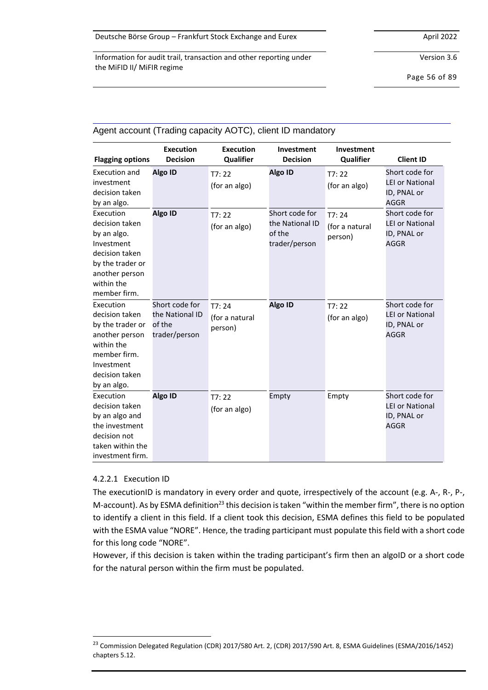Version 3.6

Page 56 of 89

| Agent account (Trading capacity AOTO), client ID mandatory                                                                                     |                                                              |                                    |                                                              |                                    |                                                                        |
|------------------------------------------------------------------------------------------------------------------------------------------------|--------------------------------------------------------------|------------------------------------|--------------------------------------------------------------|------------------------------------|------------------------------------------------------------------------|
| <b>Flagging options</b>                                                                                                                        | <b>Execution</b><br><b>Decision</b>                          | <b>Execution</b><br>Qualifier      | Investment<br><b>Decision</b>                                | Investment<br>Qualifier            | <b>Client ID</b>                                                       |
| Execution and<br>investment<br>decision taken<br>by an algo.                                                                                   | <b>Algo ID</b>                                               | T7:22<br>(for an algo)             | Algo ID                                                      | T7:22<br>(for an algo)             | Short code for<br><b>LEI or National</b><br>ID, PNAL or<br><b>AGGR</b> |
| Execution<br>decision taken<br>by an algo.<br>Investment<br>decision taken<br>by the trader or<br>another person<br>within the<br>member firm. | Algo ID                                                      | T7:22<br>(for an algo)             | Short code for<br>the National ID<br>of the<br>trader/person | T7:24<br>(for a natural<br>person) | Short code for<br><b>LEI or National</b><br>ID, PNAL or<br><b>AGGR</b> |
| Execution<br>decision taken<br>by the trader or<br>another person<br>within the<br>member firm.<br>Investment<br>decision taken<br>by an algo. | Short code for<br>the National ID<br>of the<br>trader/person | T7:24<br>(for a natural<br>person) | Algo ID                                                      | T7:22<br>(for an algo)             | Short code for<br><b>LEI or National</b><br>ID, PNAL or<br><b>AGGR</b> |
| Execution<br>decision taken<br>by an algo and<br>the investment<br>decision not<br>taken within the<br>investment firm.                        | Algo ID                                                      | T7:22<br>(for an algo)             | Empty                                                        | Empty                              | Short code for<br><b>LEI or National</b><br>ID, PNAL or<br><b>AGGR</b> |

# Agent account (Trading capacity AOTC), client ID mandatory

## 4.2.2.1 Execution ID

The executionID is mandatory in every order and quote, irrespectively of the account (e.g. A-, R-, P-, M-account). As by ESMA definition<sup>23</sup> this decision is taken "within the member firm", there is no option to identify a client in this field. If a client took this decision, ESMA defines this field to be populated with the ESMA value "NORE". Hence, the trading participant must populate this field with a short code for this long code "NORE".

However, if this decision is taken within the trading participant's firm then an algoID or a short code for the natural person within the firm must be populated.

<sup>&</sup>lt;sup>23</sup> Commission Delegated Regulation (CDR) 2017/580 Art. 2, (CDR) 2017/590 Art. 8, ESMA Guidelines (ESMA/2016/1452) chapters 5.12.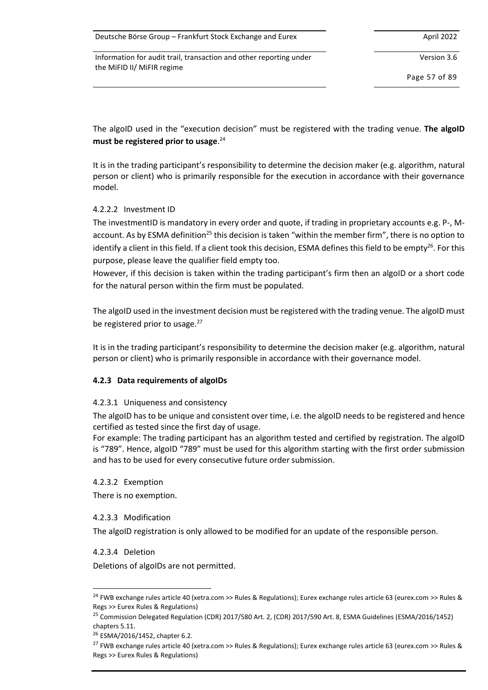| Deutsche Börse Group - Frankfurt Stock Exchange and Eurex | April 2022 |
|-----------------------------------------------------------|------------|
|-----------------------------------------------------------|------------|

Version 3.6

Page 57 of 89

The algoID used in the "execution decision" must be registered with the trading venue. **The algoID must be registered prior to usage**. 24

It is in the trading participant's responsibility to determine the decision maker (e.g. algorithm, natural person or client) who is primarily responsible for the execution in accordance with their governance model.

# 4.2.2.2 Investment ID

The investmentID is mandatory in every order and quote, if trading in proprietary accounts e.g. P-, Maccount. As by ESMA definition<sup>25</sup> this decision is taken "within the member firm", there is no option to identify a client in this field. If a client took this decision, ESMA defines this field to be empty<sup>26</sup>. For this purpose, please leave the qualifier field empty too.

However, if this decision is taken within the trading participant's firm then an algoID or a short code for the natural person within the firm must be populated.

The algoID used in the investment decision must be registered with the trading venue. The algoID must be registered prior to usage. $27$ 

It is in the trading participant's responsibility to determine the decision maker (e.g. algorithm, natural person or client) who is primarily responsible in accordance with their governance model.

## <span id="page-56-0"></span>**4.2.3 Data requirements of algoIDs**

## 4.2.3.1 Uniqueness and consistency

The algoID has to be unique and consistent over time, i.e. the algoID needs to be registered and hence certified as tested since the first day of usage.

For example: The trading participant has an algorithm tested and certified by registration. The algoID is "789". Hence, algoID "789" must be used for this algorithm starting with the first order submission and has to be used for every consecutive future order submission.

## 4.2.3.2 Exemption

There is no exemption.

## 4.2.3.3 Modification

The algoID registration is only allowed to be modified for an update of the responsible person.

## 4.2.3.4 Deletion

Deletions of algoIDs are not permitted.

<sup>&</sup>lt;sup>24</sup> FWB exchange rules article 40 (xetra.com >> Rules & Regulations); Eurex exchange rules article 63 (eurex.com >> Rules & Regs >> Eurex Rules & Regulations)

<sup>&</sup>lt;sup>25</sup> Commission Delegated Regulation (CDR) 2017/580 Art. 2, (CDR) 2017/590 Art. 8, ESMA Guidelines (ESMA/2016/1452) chapters 5.11.

<sup>26</sup> ESMA/2016/1452, chapter 6.2.

<sup>27</sup> FWB exchange rules article 40 (xetra.com >> Rules & Regulations); Eurex exchange rules article 63 (eurex.com >> Rules & Regs >> Eurex Rules & Regulations)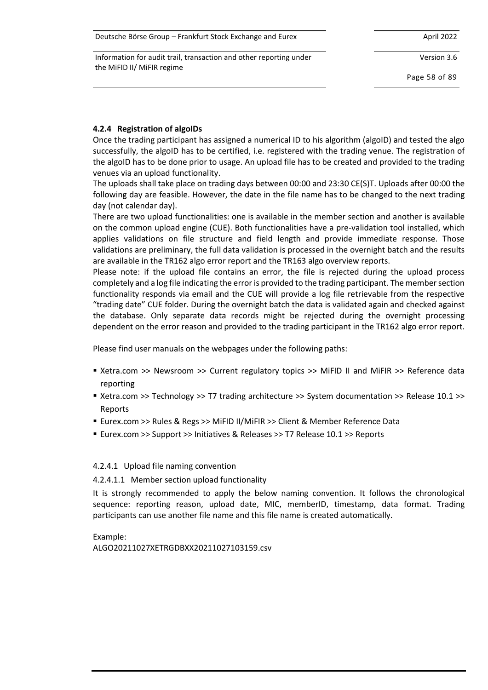| Deutsche Börse Group - Frankfurt Stock Exchange and Eurex | April 2022 |
|-----------------------------------------------------------|------------|
|-----------------------------------------------------------|------------|

Version 3.6

Page 58 of 89

# <span id="page-57-0"></span>**4.2.4 Registration of algoIDs**

Once the trading participant has assigned a numerical ID to his algorithm (algoID) and tested the algo successfully, the algoID has to be certified, i.e. registered with the trading venue. The registration of the algoID has to be done prior to usage. An upload file has to be created and provided to the trading venues via an upload functionality.

The uploads shall take place on trading days between 00:00 and 23:30 CE(S)T. Uploads after 00:00 the following day are feasible. However, the date in the file name has to be changed to the next trading day (not calendar day).

There are two upload functionalities: one is available in the member section and another is available on the common upload engine (CUE). Both functionalities have a pre-validation tool installed, which applies validations on file structure and field length and provide immediate response. Those validations are preliminary, the full data validation is processed in the overnight batch and the results are available in the TR162 algo error report and the TR163 algo overview reports.

Please note: if the upload file contains an error, the file is rejected during the upload process completely and a log file indicating the error is provided to the trading participant. The member section functionality responds via email and the CUE will provide a log file retrievable from the respective "trading date" CUE folder. During the overnight batch the data is validated again and checked against the database. Only separate data records might be rejected during the overnight processing dependent on the error reason and provided to the trading participant in the TR162 algo error report.

Please find user manuals on the webpages under the following paths:

- Xetra.com >> Newsroom >> Current regulatory topics >> MiFID II and MiFIR >> Reference data reporting
- Xetra.com >> Technology >> T7 trading architecture >> System documentation >> Release 10.1 >> Reports
- Eurex.com >> Rules & Regs >> MiFID II/MiFIR >> Client & Member Reference Data
- Eurex.com >> Support >> Initiatives & Releases >> T7 Release 10.1 >> Reports

## 4.2.4.1 Upload file naming convention

4.2.4.1.1 Member section upload functionality

It is strongly recommended to apply the below naming convention. It follows the chronological sequence: reporting reason, upload date, MIC, memberID, timestamp, data format. Trading participants can use another file name and this file name is created automatically.

Example: ALGO20211027XETRGDBXX20211027103159.csv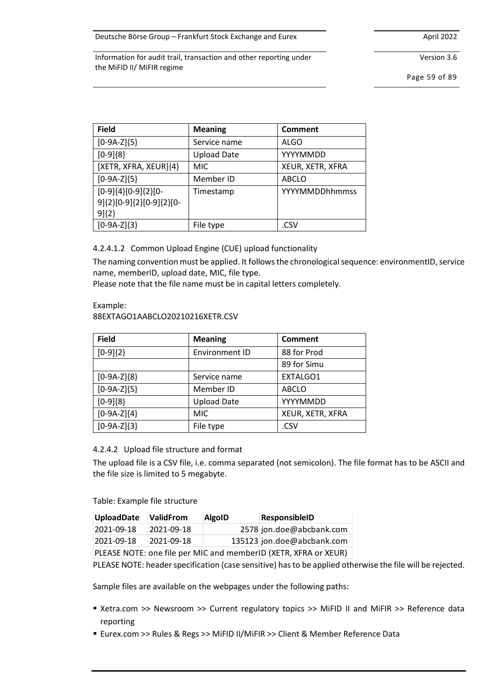Version 3.6

Information for audit trail, transaction and other reporting under the MiFID II/ MiFIR regime

Page 59 of 89

| <b>Field</b>                                                     | <b>Meaning</b>     | <b>Comment</b>   |
|------------------------------------------------------------------|--------------------|------------------|
| $[0-9A-Z]\{5\}$                                                  | Service name       | <b>ALGO</b>      |
| $[0-9]\{8\}$                                                     | <b>Upload Date</b> | YYYYMMDD         |
| [XETR, XFRA, XEUR]{4}                                            | <b>MIC</b>         | XEUR, XETR, XFRA |
| $[0-9A-Z]\{5\}$                                                  | Member ID          | <b>ABCLO</b>     |
| $[0-9]{4}[0-9]{2}[0-$<br>9]{2}[0-9]{2}[0-9]{2}[0-<br>$9$ $\{2\}$ | Timestamp          | YYYYMMDDhhmmss   |
| $[0-9A-Z]\{3\}$                                                  | File type          | .CSV             |

4.2.4.1.2 Common Upload Engine (CUE) upload functionality

The naming convention must be applied. It followsthe chronological sequence: environmentID, service name, memberID, upload date, MIC, file type.

Please note that the file name must be in capital letters completely.

#### Example: 88EXTAGO1AABCLO20210216XETR.CSV

| <b>Field</b>    | <b>Meaning</b>     | <b>Comment</b>   |
|-----------------|--------------------|------------------|
| $[0-9]\{2\}$    | Environment ID     | 88 for Prod      |
|                 |                    | 89 for Simu      |
| $[0-9A-Z]\{8\}$ | Service name       | EXTALGO1         |
| $[0-9A-Z]\{5\}$ | Member ID          | <b>ABCLO</b>     |
| $[0-9]\{8\}$    | <b>Upload Date</b> | YYYYMMDD         |
| $[0-9A-Z]\{4\}$ | <b>MIC</b>         | XEUR, XETR, XFRA |
| $[0-9A-Z]\{3\}$ | File type          | .CSV             |

# <span id="page-58-0"></span>4.2.4.2 Upload file structure and format

The upload file is a CSV file, i.e. comma separated (not semicolon). The file format has to be ASCII and the file size is limited to 5 megabyte.

Table: Example file structure

| <b>UploadDate</b> | <b>ValidFrom</b> | <b>AlgoID</b> | ResponsibleID                                                                         |  |
|-------------------|------------------|---------------|---------------------------------------------------------------------------------------|--|
| 2021-09-18        | 2021-09-18       |               | 2578 jon.doe@abcbank.com                                                              |  |
| 2021-09-18        | 2021-09-18       |               | 135123 jon.doe@abcbank.com                                                            |  |
|                   |                  |               | PLEASE NOTE: one file per MIC and memberID (XETR, XFRA or XEUR)                       |  |
|                   |                  |               | PLEASE NOTE: header specification (case sensitive) has to be applied otherwise the fi |  |
|                   |                  |               | Sample files are available on the webpages under the following paths:                 |  |
| reporting         |                  |               | Setra.com >> Newsroom >> Current regulatory topics >> MiFID II and MiFIR >            |  |
|                   |                  |               | ■ Eurex.com >> Rules & Regs >> MiFID II/MiFIR >> Client & Member Reference Data       |  |

PLEASE NOTE: header specification (case sensitive) has to be applied otherwise the file will be rejected.

- Xetra.com >> Newsroom >> Current regulatory topics >> MiFID II and MiFIR >> Reference data reporting
-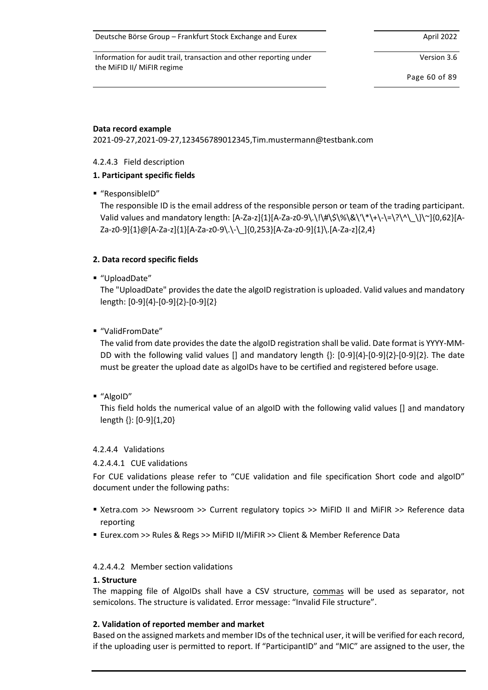Deutsche Börse Group – Frankfurt Stock Exchange and Eurex April 2022 April 2022

Information for audit trail, transaction and other reporting under the MiFID II/ MiFIR regime

Version 3.6

Page 60 of 89

## **Data record example**

2021-09-27,2021-09-27,123456789012345,Tim.mustermann@testbank.com

# <span id="page-59-0"></span>4.2.4.3 Field description

# **1. Participant specific fields**

■ "ResponsibleID"

The responsible ID is the email address of the responsible person or team of the trading participant. Valid values and mandatory length: [A-Za-z]{1}[A-Za-z0-9\.\!\#\\$\%\&\'\\*\+\-\=\?\^\\_\}\~]{0,62}[A-Za-z0-9]{1}@[A-Za-z]{1}[A-Za-z0-9\.\-\\_]{0,253}[A-Za-z0-9]{1}\.[A-Za-z]{2,4}

# **2. Data record specific fields**

■ "UploadDate"

The "UploadDate" provides the date the algoID registration is uploaded. Valid values and mandatory length: [0-9]{4}-[0-9]{2}-[0-9]{2}

■ "ValidFromDate"

The valid from date provides the date the algoID registration shall be valid. Date format is YYYY-MM-DD with the following valid values [] and mandatory length {}: [0-9]{4}-[0-9]{2}-[0-9]{2}. The date must be greater the upload date as algoIDs have to be certified and registered before usage.

■ "AlgoID"

This field holds the numerical value of an algoID with the following valid values [] and mandatory length {}: [0-9]{1,20}

## 4.2.4.4 Validations

## 4.2.4.4.1 CUE validations

For CUE validations please refer to "CUE validation and file specification Short code and algoID" document under the following paths:

- Xetra.com >> Newsroom >> Current regulatory topics >> MiFID II and MiFIR >> Reference data reporting
- Eurex.com >> Rules & Regs >> MiFID II/MiFIR >> Client & Member Reference Data

## 4.2.4.4.2 Member section validations

## **1. Structure**

The mapping file of AlgoIDs shall have a CSV structure, commas will be used as separator, not semicolons. The structure is validated. Error message: "Invalid File structure".

## **2. Validation of reported member and market**

Based on the assigned markets and member IDs of the technical user, it will be verified for each record, if the uploading user is permitted to report. If "ParticipantID" and "MIC" are assigned to the user, the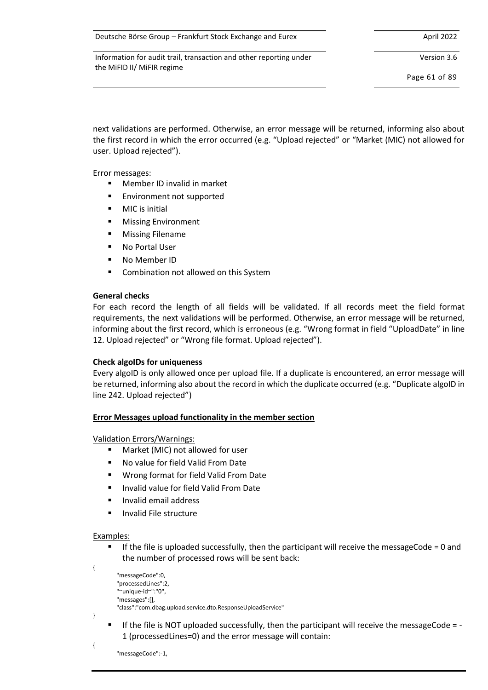| Deutsche Börse Group - Frankfurt Stock Exchange and Eurex | April 2022 |
|-----------------------------------------------------------|------------|
|-----------------------------------------------------------|------------|

Version 3.6

Page 61 of 89

next validations are performed. Otherwise, an error message will be returned, informing also about the first record in which the error occurred (e.g. "Upload rejected" or "Market (MIC) not allowed for user. Upload rejected").

Error messages:

- Member ID invalid in market
- Environment not supported
- MIC is initial
- **Missing Environment**
- **Missing Filename**
- No Portal User
- No Member ID
- Combination not allowed on this System

## **General checks**

For each record the length of all fields will be validated. If all records meet the field format requirements, the next validations will be performed. Otherwise, an error message will be returned, informing about the first record, which is erroneous (e.g. "Wrong format in field "UploadDate" in line 12. Upload rejected" or "Wrong file format. Upload rejected").

## **Check algoIDs for uniqueness**

Every algoID is only allowed once per upload file. If a duplicate is encountered, an error message will be returned, informing also about the record in which the duplicate occurred (e.g. "Duplicate algoID in line 242. Upload rejected")

## **Error Messages upload functionality in the member section**

Validation Errors/Warnings:

- Market (MIC) not allowed for user
- No value for field Valid From Date
- Wrong format for field Valid From Date
- Invalid value for field Valid From Date
- Invalid email address
- Invalid File structure

## Examples:

{

}

{

If the file is uploaded successfully, then the participant will receive the messageCode = 0 and the number of processed rows will be sent back:

```
 "messageCode":0,
 "processedLines":2,
 "~unique-id~":"0",
 "messages":[],
 "class":"com.dbag.upload.service.dto.ResponseUploadService"
```
If the file is NOT uploaded successfully, then the participant will receive the messageCode = -1 (processedLines=0) and the error message will contain:

"messageCode":-1,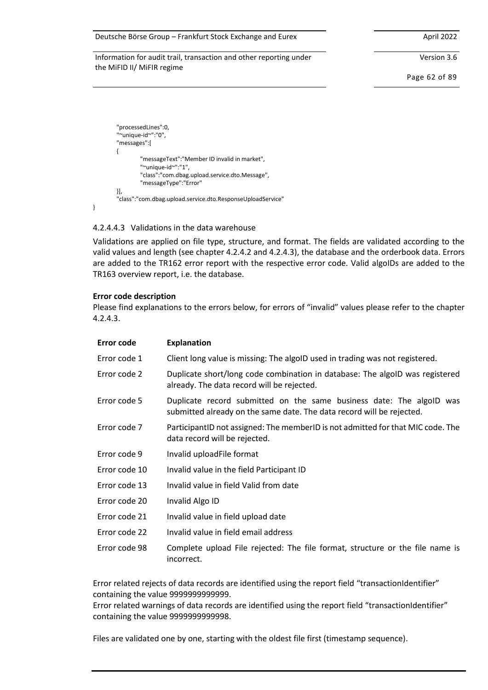#### Deutsche Börse Group – Frankfurt Stock Exchange and Eurex April 2022

Information for audit trail, transaction and other reporting under the MiFID II/ MiFIR regime

Version 3.6

Page 62 of 89

```
 "processedLines":0,
 "~unique-id~":"0",
 "messages":[
 {
          "messageText":"Member ID invalid in market",
          "~unique-id~":"1",
          "class":"com.dbag.upload.service.dto.Message",
          "messageType":"Error"
 }],
 "class":"com.dbag.upload.service.dto.ResponseUploadService"
```
<span id="page-61-0"></span>4.2.4.4.3 Validations in the data warehouse

Validations are applied on file type, structure, and format. The fields are validated according to the valid values and length (see chapter [4.2.4.2](#page-58-0) an[d 4.2.4.3\)](#page-59-0), the database and the orderbook data. Errors are added to the TR162 error report with the respective error code. Valid algoIDs are added to the TR163 overview report, i.e. the database.

#### **Error code description**

}

Please find explanations to the errors below, for errors of "invalid" values please refer to the chapter [4.2.4.3.](#page-59-0)

| Error code    | <b>Explanation</b>                                                                                                                            |
|---------------|-----------------------------------------------------------------------------------------------------------------------------------------------|
| Error code 1  | Client long value is missing: The algoID used in trading was not registered.                                                                  |
| Error code 2  | Duplicate short/long code combination in database: The algoID was registered<br>already. The data record will be rejected.                    |
| Error code 5  | Duplicate record submitted on the same business date: The algoID was<br>submitted already on the same date. The data record will be rejected. |
| Error code 7  | ParticipantID not assigned: The memberID is not admitted for that MIC code. The<br>data record will be rejected.                              |
| Error code 9  | Invalid uploadFile format                                                                                                                     |
| Error code 10 | Invalid value in the field Participant ID                                                                                                     |
| Error code 13 | Invalid value in field Valid from date                                                                                                        |
| Error code 20 | Invalid Algo ID                                                                                                                               |
| Error code 21 | Invalid value in field upload date                                                                                                            |
| Error code 22 | Invalid value in field email address                                                                                                          |
| Error code 98 | Complete upload File rejected: The file format, structure or the file name is<br>incorrect.                                                   |

Error related rejects of data records are identified using the report field "transactionIdentifier" containing the value 9999999999999.

Error related warnings of data records are identified using the report field "transactionIdentifier" containing the value 9999999999998.

Files are validated one by one, starting with the oldest file first (timestamp sequence).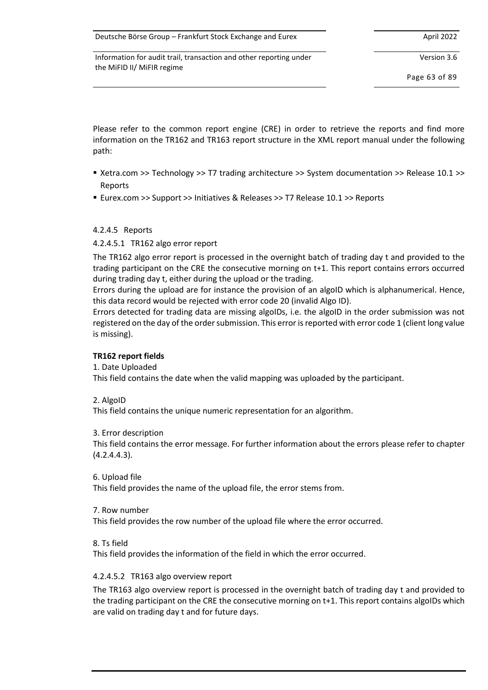| Deutsche Börse Group - Frankfurt Stock Exchange and Eurex | April 2022 |
|-----------------------------------------------------------|------------|
|-----------------------------------------------------------|------------|

Version 3.6

Page 63 of 89

Please refer to the common report engine (CRE) in order to retrieve the reports and find more information on the TR162 and TR163 report structure in the XML report manual under the following path:

- Xetra.com >> Technology >> T7 trading architecture >> System documentation >> Release 10.1 >> Reports
- Eurex.com >> Support >> Initiatives & Releases >> T7 Release 10.1 >> Reports

# 4.2.4.5 Reports

4.2.4.5.1 TR162 algo error report

The TR162 algo error report is processed in the overnight batch of trading day t and provided to the trading participant on the CRE the consecutive morning on t+1. This report contains errors occurred during trading day t, either during the upload or the trading.

Errors during the upload are for instance the provision of an algoID which is alphanumerical. Hence, this data record would be rejected with error code 20 (invalid Algo ID).

Errors detected for trading data are missing algoIDs, i.e. the algoID in the order submission was not registered on the day of the order submission. This error is reported with error code 1 (client long value is missing).

# **TR162 report fields**

# 1. Date Uploaded

This field contains the date when the valid mapping was uploaded by the participant.

2. AlgoID

This field contains the unique numeric representation for an algorithm.

## 3. Error description

This field contains the error message. For further information about the errors please refer to chapter [\(4.2.4.4.3\)](#page-61-0).

## 6. Upload file

This field provides the name of the upload file, the error stems from.

## 7. Row number

This field provides the row number of the upload file where the error occurred.

8. Ts field

This field provides the information of the field in which the error occurred.

## 4.2.4.5.2 TR163 algo overview report

The TR163 algo overview report is processed in the overnight batch of trading day t and provided to the trading participant on the CRE the consecutive morning on t+1. This report contains algoIDs which are valid on trading day t and for future days.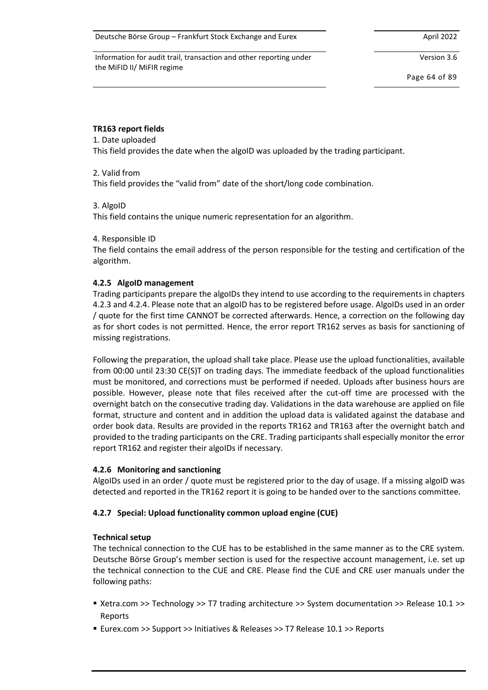Version 3.6

Page 64 of 89

#### **TR163 report fields**

#### 1. Date uploaded

This field provides the date when the algoID was uploaded by the trading participant.

#### 2. Valid from

This field provides the "valid from" date of the short/long code combination.

## 3. AlgoID

This field contains the unique numeric representation for an algorithm.

#### 4. Responsible ID

The field contains the email address of the person responsible for the testing and certification of the algorithm.

## **4.2.5 AlgoID management**

Trading participants prepare the algoIDs they intend to use according to the requirements in chapters [4.2.3](#page-56-0) and [4.2.4.](#page-57-0) Please note that an algoID has to be registered before usage. AlgoIDs used in an order / quote for the first time CANNOT be corrected afterwards. Hence, a correction on the following day as for short codes is not permitted. Hence, the error report TR162 serves as basis for sanctioning of missing registrations.

Following the preparation, the upload shall take place. Please use the upload functionalities, available from 00:00 until 23:30 CE(S)T on trading days. The immediate feedback of the upload functionalities must be monitored, and corrections must be performed if needed. Uploads after business hours are possible. However, please note that files received after the cut-off time are processed with the overnight batch on the consecutive trading day. Validations in the data warehouse are applied on file format, structure and content and in addition the upload data is validated against the database and order book data. Results are provided in the reports TR162 and TR163 after the overnight batch and provided to the trading participants on the CRE. Trading participants shall especially monitor the error report TR162 and register their algoIDs if necessary.

## **4.2.6 Monitoring and sanctioning**

AlgoIDs used in an order / quote must be registered prior to the day of usage. If a missing algoID was detected and reported in the TR162 report it is going to be handed over to the sanctions committee.

## **4.2.7 Special: Upload functionality common upload engine (CUE)**

## **Technical setup**

The technical connection to the CUE has to be established in the same manner as to the CRE system. Deutsche Börse Group's member section is used for the respective account management, i.e. set up the technical connection to the CUE and CRE. Please find the CUE and CRE user manuals under the following paths:

- Xetra.com >> Technology >> T7 trading architecture >> System documentation >> Release 10.1 >> Reports
- Eurex.com >> Support >> Initiatives & Releases >> T7 Release 10.1 >> Reports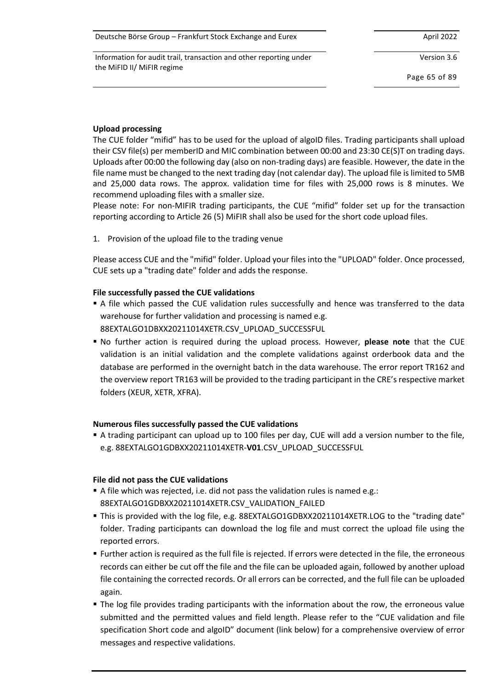| Deutsche Börse Group – Frankfurt Stock Exchange and Eurex | April 2022 |
|-----------------------------------------------------------|------------|
|-----------------------------------------------------------|------------|

Version 3.6

Page 65 of 89

## **Upload processing**

The CUE folder "mifid" has to be used for the upload of algoID files. Trading participants shall upload their CSV file(s) per memberID and MIC combination between 00:00 and 23:30 CE(S)T on trading days. Uploads after 00:00 the following day (also on non-trading days) are feasible. However, the date in the file name must be changed to the next trading day (not calendar day). The upload file is limited to 5MB and 25,000 data rows. The approx. validation time for files with 25,000 rows is 8 minutes. We recommend uploading files with a smaller size.

Please note: For non-MIFIR trading participants, the CUE "mifid" folder set up for the transaction reporting according to Article 26 (5) MiFIR shall also be used for the short code upload files.

1. Provision of the upload file to the trading venue

Please access CUE and the "mifid" folder. Upload your files into the "UPLOAD" folder. Once processed, CUE sets up a "trading date" folder and adds the response.

# **File successfully passed the CUE validations**

- A file which passed the CUE validation rules successfully and hence was transferred to the data warehouse for further validation and processing is named e.g. 88EXTALGO1DBXX20211014XETR.CSV\_UPLOAD\_SUCCESSFUL
- No further action is required during the upload process. However, **please note** that the CUE validation is an initial validation and the complete validations against orderbook data and the database are performed in the overnight batch in the data warehouse. The error report TR162 and the overview report TR163 will be provided to the trading participant in the CRE's respective market folders (XEUR, XETR, XFRA).

## **Numerous files successfully passed the CUE validations**

▪ A trading participant can upload up to 100 files per day, CUE will add a version number to the file, e.g. 88EXTALGO1GDBXX20211014XETR-**V01**.CSV\_UPLOAD\_SUCCESSFUL

## **File did not pass the CUE validations**

- A file which was rejected, i.e. did not pass the validation rules is named e.g.: 88EXTALGO1GDBXX20211014XETR.CSV\_VALIDATION\_FAILED
- This is provided with the log file, e.g. 88EXTALGO1GDBXX20211014XETR.LOG to the "trading date" folder. Trading participants can download the log file and must correct the upload file using the reported errors.
- Further action is required as the full file is rejected. If errors were detected in the file, the erroneous records can either be cut off the file and the file can be uploaded again, followed by another upload file containing the corrected records. Or all errors can be corrected, and the full file can be uploaded again.
- **•** The log file provides trading participants with the information about the row, the erroneous value submitted and the permitted values and field length. Please refer to the "CUE validation and file specification Short code and algoID" document (link below) for a comprehensive overview of error messages and respective validations.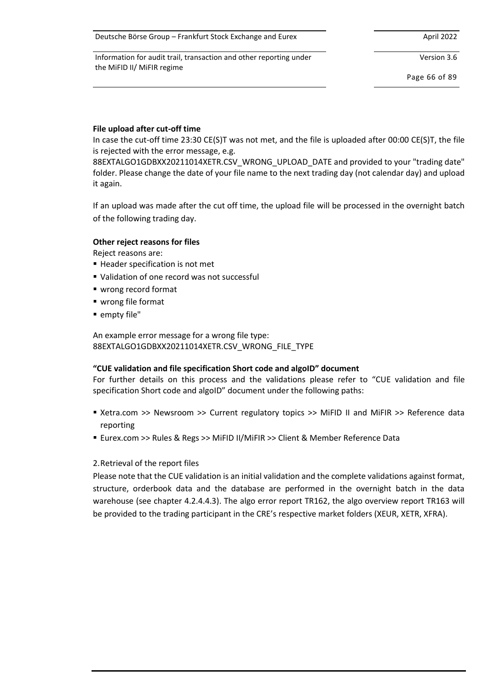Deutsche Börse Group – Frankfurt Stock Exchange and Eurex April 2022

Information for audit trail, transaction and other reporting under the MiFID II/ MiFIR regime

Version 3.6

Page 66 of 89

## **File upload after cut-off time**

In case the cut-off time 23:30 CE(S)T was not met, and the file is uploaded after 00:00 CE(S)T, the file is rejected with the error message, e.g.

88EXTALGO1GDBXX20211014XETR.CSV\_WRONG\_UPLOAD\_DATE and provided to your "trading date" folder. Please change the date of your file name to the next trading day (not calendar day) and upload it again.

If an upload was made after the cut off time, the upload file will be processed in the overnight batch of the following trading day.

## **Other reject reasons for files**

Reject reasons are:

- Header specification is not met
- Validation of one record was not successful
- wrong record format
- wrong file format
- empty file"

An example error message for a wrong file type: 88EXTALGO1GDBXX20211014XETR.CSV\_WRONG\_FILE\_TYPE

## **"CUE validation and file specification Short code and algoID" document**

For further details on this process and the validations please refer to "CUE validation and file specification Short code and algoID" document under the following paths:

- Xetra.com >> Newsroom >> Current regulatory topics >> MiFID II and MiFIR >> Reference data reporting
- Eurex.com >> Rules & Regs >> MiFID II/MiFIR >> Client & Member Reference Data

# 2.Retrieval of the report files

Please note that the CUE validation is an initial validation and the complete validations against format, structure, orderbook data and the database are performed in the overnight batch in the data warehouse (see chapter [4.2.4.4.3\)](#page-61-0). The algo error report TR162, the algo overview report TR163 will be provided to the trading participant in the CRE's respective market folders (XEUR, XETR, XFRA).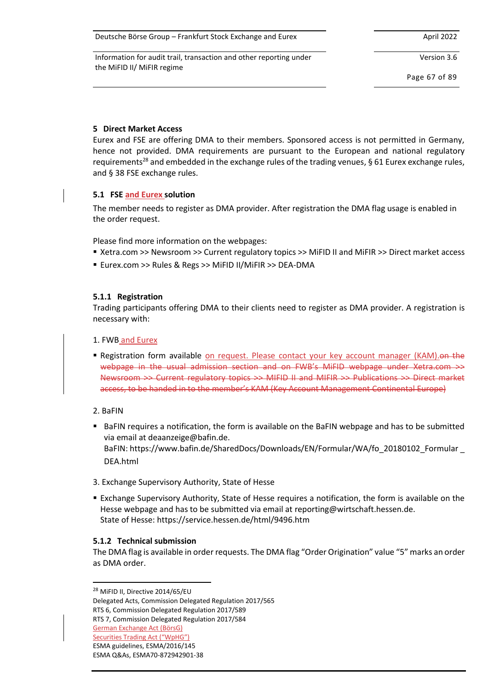| Deutsche Börse Group - Frankfurt Stock Exchange and Eurex | April 2022 |
|-----------------------------------------------------------|------------|
|-----------------------------------------------------------|------------|

Version 3.6

Page 67 of 89

## **5 Direct Market Access**

Eurex and FSE are offering DMA to their members. Sponsored access is not permitted in Germany, hence not provided. DMA requirements are pursuant to the European and national regulatory requirements<sup>28</sup> and embedded in the exchange rules of the trading venues, § 61 Eurex exchange rules, and § 38 FSE exchange rules.

# **5.1 FSE and Eurex solution**

The member needs to register as DMA provider. After registration the DMA flag usage is enabled in the order request.

Please find more information on the webpages:

- Xetra.com >> Newsroom >> Current regulatory topics >> MiFID II and MiFIR >> Direct market access
- Eurex.com >> Rules & Regs >> MiFID II/MiFIR >> DEA-DMA

# **5.1.1 Registration**

Trading participants offering DMA to their clients need to register as DMA provider. A registration is necessary with:

## 1. FWB and Eurex

- **E** Registration form available on request. Please contact your key account manager (KAM). On the webpage in the usual admission section and on FWB's MiFID webpage under Xetra.com >> Newsroom >> Current regulatory topics >> MIFID II and MIFIR >> Publications >> Direct market access, to be handed in to the member's KAM (Key Account Management Continental Europe)
- 2. BaFIN
- BaFIN requires a notification, the form is available on the BaFIN webpage and has to be submitted via email at deaanzeige@bafin.de. BaFIN: https://www.bafin.de/SharedDocs/Downloads/EN/Formular/WA/fo\_20180102\_Formular \_ DEA.html
- 3. Exchange Supervisory Authority, State of Hesse
- **Exchange Supervisory Authority, State of Hesse requires a notification, the form is available on the** Hesse webpage and has to be submitted via email a[t reporting@wirtschaft.hessen.de.](mailto:reporting@wirtschaft.hessen.de) State of Hesse: https://service.hessen.de/html/9496.htm

## **5.1.2 Technical submission**

The DMA flag is available in order requests. The DMA flag "Order Origination" value "5" marks an order as DMA order.

<sup>28</sup> MiFID II, Directive 2014/65/EU

Delegated Acts, Commission Delegated Regulation 2017/565 RTS 6, Commission Delegated Regulation 2017/589

RTS 7, Commission Delegated Regulation 2017/584

German Exchange Act (BörsG)

Securities Trading Act ("WpHG") ESMA guidelines, ESMA/2016/145

ESMA Q&As, ESMA70-872942901-38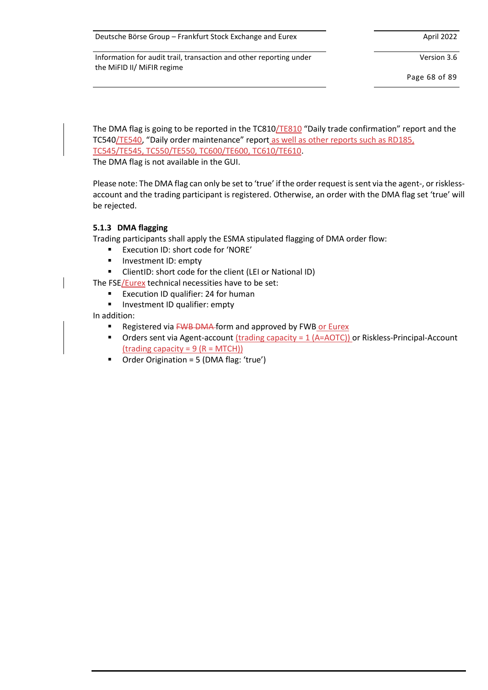Version 3.6

Page 68 of 89

The DMA flag is going to be reported in the TC810/TE810 "Daily trade confirmation" report and the TC540/TE540, "Daily order maintenance" report as well as other reports such as RD185, TC545/TE545, TC550/TE550, TC600/TE600, TC610/TE610.

The DMA flag is not available in the GUI.

Please note: The DMA flag can only be set to 'true' if the order request is sent via the agent-, or risklessaccount and the trading participant is registered. Otherwise, an order with the DMA flag set 'true' will be rejected.

#### **5.1.3 DMA flagging**

Trading participants shall apply the ESMA stipulated flagging of DMA order flow:

- Execution ID: short code for 'NORE'
- Investment ID: empty
- ClientID: short code for the client (LEI or National ID)

The FSE/Eurex technical necessities have to be set:

- Execution ID qualifier: 24 for human
- Investment ID qualifier: empty

In addition:

- Registered via FWB DMA form and approved by FWB or Eurex
- **•** Orders sent via Agent-account  $($ trading capacity =  $1$   $(A= AOTC)$ ) or Riskless-Principal-Account (trading capacity =  $9 (R = MTCH)$ )
- Order Origination = 5 (DMA flag: 'true')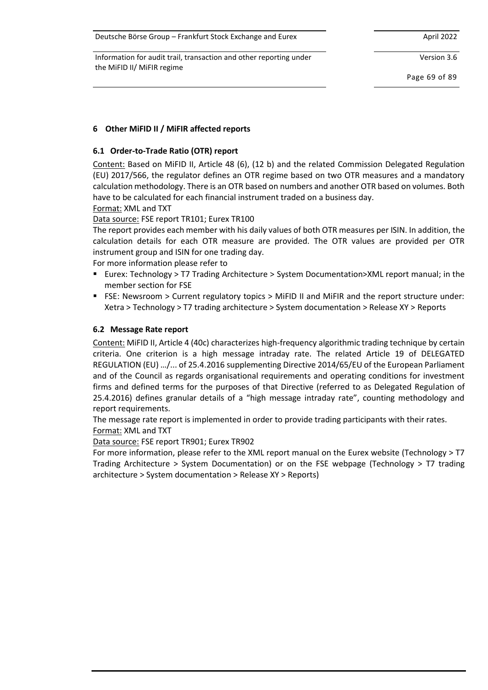Deutsche Börse Group – Frankfurt Stock Exchange and Eurex April 2022 April 2022

Information for audit trail, transaction and other reporting under the MiFID II/ MiFIR regime

Version 3.6

Page 69 of 89

# **6 Other MiFID II / MiFIR affected reports**

# **6.1 Order-to-Trade Ratio (OTR) report**

Content: Based on MiFID II, Article 48 (6), (12 b) and the related Commission Delegated Regulation (EU) 2017/566, the regulator defines an OTR regime based on two OTR measures and a mandatory calculation methodology. There is an OTR based on numbers and another OTR based on volumes. Both have to be calculated for each financial instrument traded on a business day.

Format: XML and TXT

Data source: FSE report TR101; Eurex TR100

The report provides each member with his daily values of both OTR measures per ISIN. In addition, the calculation details for each OTR measure are provided. The OTR values are provided per OTR instrument group and ISIN for one trading day.

For more information please refer to

- Eurex: Technology > T7 Trading Architecture > System Documentation>XML report manual; in the member section for FSE
- FSE: Newsroom > Current regulatory topics > MiFID II and MiFIR and the report structure under: Xetra > Technology > T7 trading architecture > System documentation > Release XY > Reports

# **6.2 Message Rate report**

Content: MiFID II, Article 4 (40c) characterizes high-frequency algorithmic trading technique by certain criteria. One criterion is a high message intraday rate. The related Article 19 of DELEGATED REGULATION (EU) …/... of 25.4.2016 supplementing Directive 2014/65/EU of the European Parliament and of the Council as regards organisational requirements and operating conditions for investment firms and defined terms for the purposes of that Directive (referred to as Delegated Regulation of 25.4.2016) defines granular details of a "high message intraday rate", counting methodology and report requirements.

The message rate report is implemented in order to provide trading participants with their rates. Format: XML and TXT

Data source: FSE report TR901; Eurex TR902

For more information, please refer to the XML report manual on the Eurex website (Technology > T7 Trading Architecture > System Documentation) or on the FSE webpage (Technology > T7 trading architecture > System documentation > Release XY > Reports)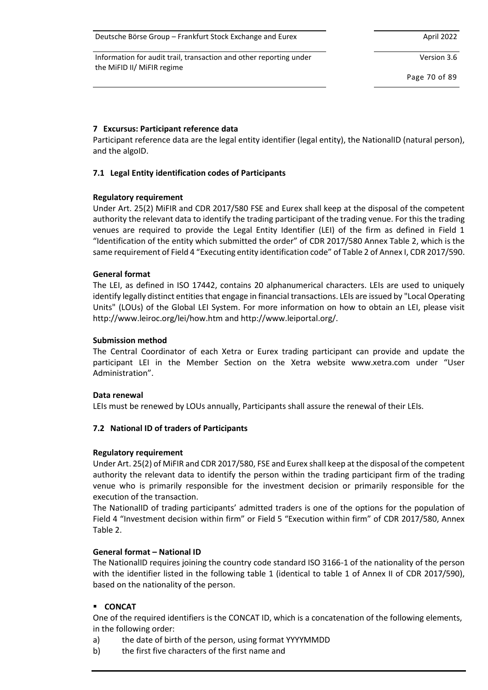| Deutsche Börse Group - Frankfurt Stock Exchange and Eurex | April 2022 |
|-----------------------------------------------------------|------------|
|-----------------------------------------------------------|------------|

Version 3.6

Page 70 of 89

## <span id="page-69-0"></span>**7 Excursus: Participant reference data**

Participant reference data are the legal entity identifier (legal entity), the NationalID (natural person), and the algoID.

# **7.1 Legal Entity identification codes of Participants**

## **Regulatory requirement**

Under Art. 25(2) MiFIR and CDR 2017/580 FSE and Eurex shall keep at the disposal of the competent authority the relevant data to identify the trading participant of the trading venue. For this the trading venues are required to provide the Legal Entity Identifier (LEI) of the firm as defined in Field 1 "Identification of the entity which submitted the order" of CDR 2017/580 Annex Table 2, which is the same requirement of Field 4 "Executing entity identification code" of Table 2 of Annex I, CDR 2017/590.

## **General format**

The LEI, as defined in ISO 17442, contains 20 alphanumerical characters. LEIs are used to uniquely identify legally distinct entities that engage in financial transactions. LEIs are issued by "Local Operating Units" (LOUs) of the Global LEI System. For more information on how to obtain an LEI, please visit http://www.leiroc.org/lei/how.htm and http://www.leiportal.org/.

## **Submission method**

The Central Coordinator of each Xetra or Eurex trading participant can provide and update the participant LEI in the Member Section on the Xetra website www.xetra.com under "User Administration".

## **Data renewal**

LEIs must be renewed by LOUs annually, Participants shall assure the renewal of their LEIs.

# **7.2 National ID of traders of Participants**

## **Regulatory requirement**

Under Art. 25(2) of MiFIR and CDR 2017/580, FSE and Eurex shall keep at the disposal of the competent authority the relevant data to identify the person within the trading participant firm of the trading venue who is primarily responsible for the investment decision or primarily responsible for the execution of the transaction.

The NationalID of trading participants' admitted traders is one of the options for the population of Field 4 "Investment decision within firm" or Field 5 "Execution within firm" of CDR 2017/580, Annex Table 2.

## **General format – National ID**

The NationalID requires joining the country code standard ISO 3166-1 of the nationality of the person with the identifier listed in the following table 1 (identical to table 1 of Annex II of CDR 2017/590), based on the nationality of the person.

# ▪ **CONCAT**

One of the required identifiers is the CONCAT ID, which is a concatenation of the following elements, in the following order:

- a) the date of birth of the person, using format YYYYMMDD
- b) the first five characters of the first name and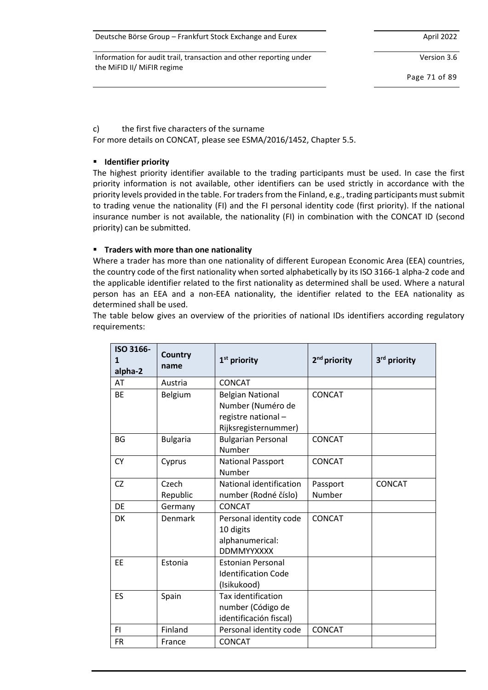Deutsche Börse Group – Frankfurt Stock Exchange and Eurex April 2022

Information for audit trail, transaction and other reporting under the MiFID II/ MiFIR regime

Version 3.6

Page 71 of 89

c) the first five characters of the surname

For more details on CONCAT, please see ESMA/2016/1452, Chapter 5.5.

# ▪ **Identifier priority**

The highest priority identifier available to the trading participants must be used. In case the first priority information is not available, other identifiers can be used strictly in accordance with the priority levels provided in the table. For traders from the Finland, e.g., trading participants must submit to trading venue the nationality (FI) and the FI personal identity code (first priority). If the national insurance number is not available, the nationality (FI) in combination with the CONCAT ID (second priority) can be submitted.

# ▪ **Traders with more than one nationality**

Where a trader has more than one nationality of different European Economic Area (EEA) countries, the country code of the first nationality when sorted alphabetically by its ISO 3166-1 alpha-2 code and the applicable identifier related to the first nationality as determined shall be used. Where a natural person has an EEA and a non-EEA nationality, the identifier related to the EEA nationality as determined shall be used.

The table below gives an overview of the priorities of national IDs identifiers according regulatory requirements:

| ISO 3166-<br>1<br>alpha-2 | <b>Country</b><br>name | 1 <sup>st</sup> priority                                                                   | 2 <sup>nd</sup> priority | 3 <sup>rd</sup> priority |
|---------------------------|------------------------|--------------------------------------------------------------------------------------------|--------------------------|--------------------------|
| AT                        | Austria                | <b>CONCAT</b>                                                                              |                          |                          |
| <b>BE</b>                 | Belgium                | <b>Belgian National</b><br>Number (Numéro de<br>registre national-<br>Rijksregisternummer) | <b>CONCAT</b>            |                          |
| <b>BG</b>                 | <b>Bulgaria</b>        | <b>Bulgarian Personal</b><br>Number                                                        | <b>CONCAT</b>            |                          |
| <b>CY</b>                 | Cyprus                 | <b>National Passport</b><br>Number                                                         | <b>CONCAT</b>            |                          |
| <b>CZ</b>                 | Czech<br>Republic      | National identification<br>number (Rodné číslo)                                            | Passport<br>Number       | <b>CONCAT</b>            |
| DE                        | Germany                | <b>CONCAT</b>                                                                              |                          |                          |
| <b>DK</b>                 | Denmark                | Personal identity code<br>10 digits<br>alphanumerical:<br><b>DDMMYYXXXX</b>                | <b>CONCAT</b>            |                          |
| EE                        | Estonia                | <b>Estonian Personal</b><br><b>Identification Code</b><br>(Isikukood)                      |                          |                          |
| ES                        | Spain                  | Tax identification<br>number (Código de<br>identificación fiscal)                          |                          |                          |
| FI.                       | Finland                | Personal identity code                                                                     | <b>CONCAT</b>            |                          |
| <b>FR</b>                 | France                 | <b>CONCAT</b>                                                                              |                          |                          |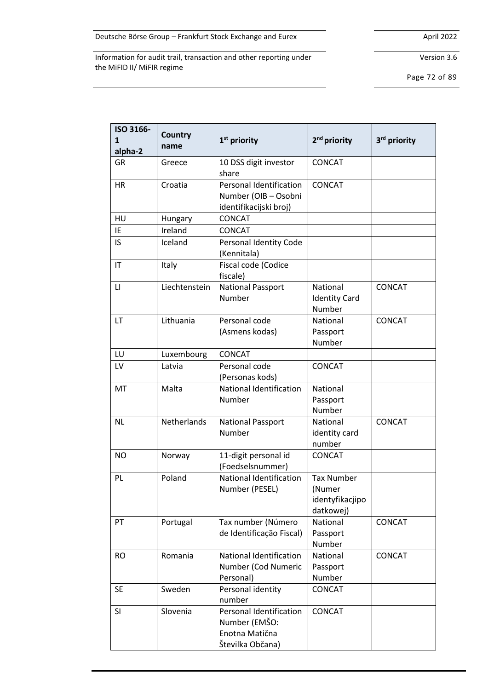Version 3.6

Page 72 of 89

| ISO 3166-<br>1<br>alpha-2 | Country<br>name | 1 <sup>st</sup> priority                                                         | 2 <sup>nd</sup> priority                                    | 3 <sup>rd</sup> priority |
|---------------------------|-----------------|----------------------------------------------------------------------------------|-------------------------------------------------------------|--------------------------|
| GR                        | Greece          | 10 DSS digit investor<br>share                                                   | CONCAT                                                      |                          |
| <b>HR</b>                 | Croatia         | <b>Personal Identification</b><br>Number (OIB - Osobni<br>identifikacijski broj) | <b>CONCAT</b>                                               |                          |
| HU                        | Hungary         | CONCAT                                                                           |                                                             |                          |
| IE                        | Ireland         | CONCAT                                                                           |                                                             |                          |
| IS                        | Iceland         | Personal Identity Code<br>(Kennitala)                                            |                                                             |                          |
| IT                        | Italy           | Fiscal code (Codice<br>fiscale)                                                  |                                                             |                          |
| LI                        | Liechtenstein   | <b>National Passport</b><br>Number                                               | National<br><b>Identity Card</b><br>Number                  | <b>CONCAT</b>            |
| LT                        | Lithuania       | Personal code<br>(Asmens kodas)                                                  | National<br>Passport<br>Number                              | <b>CONCAT</b>            |
| LU                        | Luxembourg      | <b>CONCAT</b>                                                                    |                                                             |                          |
| LV                        | Latvia          | Personal code<br>(Personas kods)                                                 | CONCAT                                                      |                          |
| MT                        | Malta           | National Identification<br>Number                                                | National<br>Passport<br>Number                              |                          |
| <b>NL</b>                 | Netherlands     | <b>National Passport</b><br>Number                                               | National<br>identity card<br>number                         | <b>CONCAT</b>            |
| <b>NO</b>                 | Norway          | 11-digit personal id<br>(Foedselsnummer)                                         | CONCAT                                                      |                          |
| PL                        | Poland          | National Identification<br>Number (PESEL)                                        | <b>Tax Number</b><br>(Numer<br>identyfikacjipo<br>datkowej) |                          |
| PT                        | Portugal        | Tax number (Número<br>de Identificação Fiscal)                                   | <b>National</b><br>Passport<br>Number                       | CONCAT                   |
| <b>RO</b>                 | Romania         | <b>National Identification</b><br>Number (Cod Numeric<br>Personal)               | National<br>Passport<br>Number                              | CONCAT                   |
| <b>SE</b>                 | Sweden          | Personal identity<br>number                                                      | CONCAT                                                      |                          |
| <b>SI</b>                 | Slovenia        | Personal Identification<br>Number (EMŠO:<br>Enotna Matična<br>Številka Občana)   | <b>CONCAT</b>                                               |                          |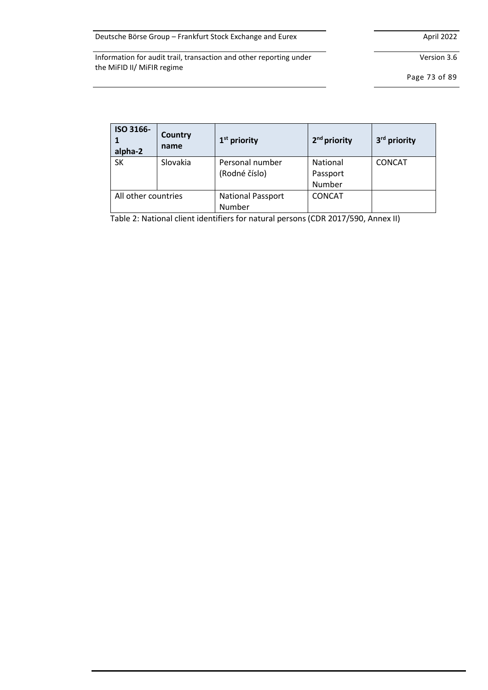Version 3.6

Page 73 of 89

| ISO 3166-<br>alpha-2 | Country<br>name | $1st$ priority                     | 2 <sup>nd</sup> priority       | 3 <sup>rd</sup> priority |
|----------------------|-----------------|------------------------------------|--------------------------------|--------------------------|
| <b>SK</b>            | Slovakia        | Personal number<br>(Rodné číslo)   | National<br>Passport<br>Number | <b>CONCAT</b>            |
| All other countries  |                 | <b>National Passport</b><br>Number | <b>CONCAT</b>                  |                          |

Table 2: National client identifiers for natural persons (CDR 2017/590, Annex II)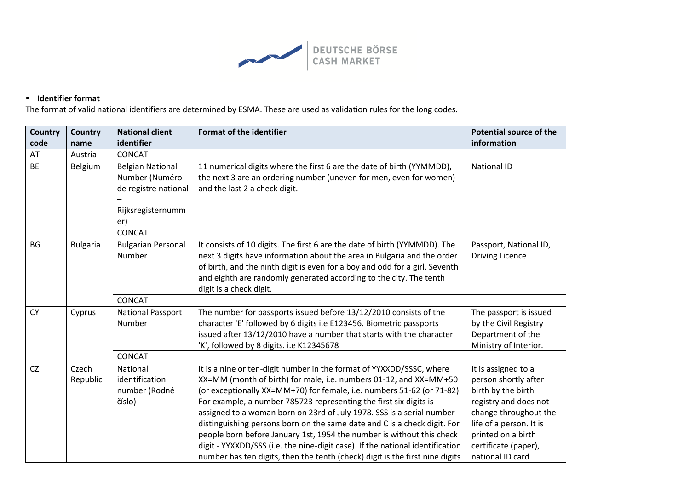

## ▪ **Identifier format**

The format of valid national identifiers are determined by ESMA. These are used as validation rules for the long codes.

| <b>Country</b> | <b>Country</b>  | <b>National client</b>    | <b>Format of the identifier</b>                                               | <b>Potential source of the</b> |
|----------------|-----------------|---------------------------|-------------------------------------------------------------------------------|--------------------------------|
| code           | name            | identifier                |                                                                               | information                    |
| AT             | Austria         | <b>CONCAT</b>             |                                                                               |                                |
| <b>BE</b>      | Belgium         | <b>Belgian National</b>   | 11 numerical digits where the first 6 are the date of birth (YYMMDD),         | <b>National ID</b>             |
|                |                 | Number (Numéro            | the next 3 are an ordering number (uneven for men, even for women)            |                                |
|                |                 | de registre national      | and the last 2 a check digit.                                                 |                                |
|                |                 |                           |                                                                               |                                |
|                |                 | Rijksregisternumm         |                                                                               |                                |
|                |                 | er)                       |                                                                               |                                |
|                |                 | <b>CONCAT</b>             |                                                                               |                                |
| <b>BG</b>      | <b>Bulgaria</b> | <b>Bulgarian Personal</b> | It consists of 10 digits. The first 6 are the date of birth (YYMMDD). The     | Passport, National ID,         |
|                |                 | Number                    | next 3 digits have information about the area in Bulgaria and the order       | <b>Driving Licence</b>         |
|                |                 |                           | of birth, and the ninth digit is even for a boy and odd for a girl. Seventh   |                                |
|                |                 |                           | and eighth are randomly generated according to the city. The tenth            |                                |
|                |                 |                           | digit is a check digit.                                                       |                                |
|                |                 | <b>CONCAT</b>             |                                                                               |                                |
| <b>CY</b>      | Cyprus          | <b>National Passport</b>  | The number for passports issued before 13/12/2010 consists of the             | The passport is issued         |
|                |                 | Number                    | character 'E' followed by 6 digits i.e E123456. Biometric passports           | by the Civil Registry          |
|                |                 |                           | issued after 13/12/2010 have a number that starts with the character          | Department of the              |
|                |                 |                           | 'K', followed by 8 digits. i.e K12345678                                      | Ministry of Interior.          |
|                |                 | <b>CONCAT</b>             |                                                                               |                                |
| CZ             | Czech           | National                  | It is a nine or ten-digit number in the format of YYXXDD/SSSC, where          | It is assigned to a            |
|                | Republic        | identification            | XX=MM (month of birth) for male, i.e. numbers 01-12, and XX=MM+50             | person shortly after           |
|                |                 | number (Rodné             | (or exceptionally XX=MM+70) for female, i.e. numbers 51-62 (or 71-82).        | birth by the birth             |
|                |                 | číslo)                    | For example, a number 785723 representing the first six digits is             | registry and does not          |
|                |                 |                           | assigned to a woman born on 23rd of July 1978. SSS is a serial number         | change throughout the          |
|                |                 |                           | distinguishing persons born on the same date and C is a check digit. For      | life of a person. It is        |
|                |                 |                           | people born before January 1st, 1954 the number is without this check         | printed on a birth             |
|                |                 |                           | digit - YYXXDD/SSS (i.e. the nine-digit case). If the national identification | certificate (paper),           |
|                |                 |                           | number has ten digits, then the tenth (check) digit is the first nine digits  | national ID card               |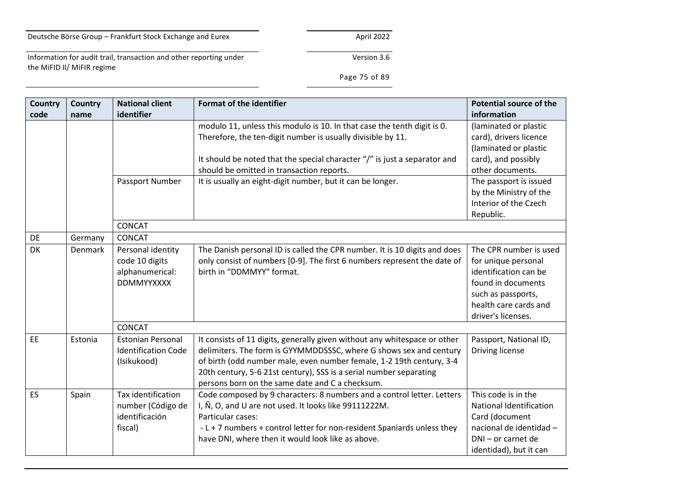the MiFID II/ MiFIR regime

# Information for audit trail, transaction and other reporting under

## Page 75 of 89

| <b>Country</b> | Country | <b>National client</b>                                                      | <b>Format of the identifier</b>                                                                                                                                                                                                                                                                                                                  | <b>Potential source of the</b>                                                                                                                                    |
|----------------|---------|-----------------------------------------------------------------------------|--------------------------------------------------------------------------------------------------------------------------------------------------------------------------------------------------------------------------------------------------------------------------------------------------------------------------------------------------|-------------------------------------------------------------------------------------------------------------------------------------------------------------------|
| code           | name    | identifier                                                                  |                                                                                                                                                                                                                                                                                                                                                  | information                                                                                                                                                       |
|                |         |                                                                             | modulo 11, unless this modulo is 10. In that case the tenth digit is 0.<br>Therefore, the ten-digit number is usually divisible by 11.<br>It should be noted that the special character "/" is just a separator and<br>should be omitted in transaction reports.                                                                                 | (laminated or plastic<br>card), drivers licence<br>(laminated or plastic<br>card), and possibly<br>other documents.                                               |
|                |         | Passport Number                                                             | It is usually an eight-digit number, but it can be longer.                                                                                                                                                                                                                                                                                       | The passport is issued<br>by the Ministry of the<br>Interior of the Czech<br>Republic.                                                                            |
|                |         | CONCAT                                                                      |                                                                                                                                                                                                                                                                                                                                                  |                                                                                                                                                                   |
| DE             | Germany | CONCAT                                                                      |                                                                                                                                                                                                                                                                                                                                                  |                                                                                                                                                                   |
| DK             | Denmark | Personal identity<br>code 10 digits<br>alphanumerical:<br><b>DDMMYYXXXX</b> | The Danish personal ID is called the CPR number. It is 10 digits and does<br>only consist of numbers [0-9]. The first 6 numbers represent the date of<br>birth in "DDMMYY" format.                                                                                                                                                               | The CPR number is used<br>for unique personal<br>identification can be<br>found in documents<br>such as passports,<br>health care cards and<br>driver's licenses. |
|                |         | CONCAT                                                                      |                                                                                                                                                                                                                                                                                                                                                  |                                                                                                                                                                   |
| EE             | Estonia | <b>Estonian Personal</b><br><b>Identification Code</b><br>(Isikukood)       | It consists of 11 digits, generally given without any whitespace or other<br>delimiters. The form is GYYMMDDSSSC, where G shows sex and century<br>of birth (odd number male, even number female, 1-2 19th century, 3-4<br>20th century, 5-6 21st century), SSS is a serial number separating<br>persons born on the same date and C a checksum. | Passport, National ID,<br>Driving license                                                                                                                         |
| ES             | Spain   | Tax identification<br>number (Código de<br>identificación<br>fiscal)        | Code composed by 9 characters: 8 numbers and a control letter. Letters<br>I, Ñ, O, and U are not used. It looks like 99111222M.<br>Particular cases:<br>- L + 7 numbers + control letter for non-resident Spaniards unless they<br>have DNI, where then it would look like as above.                                                             | This code is in the<br>National Identification<br>Card (document<br>nacional de identidad -<br>DNI - or carnet de<br>identidad), but it can                       |

Version 3.6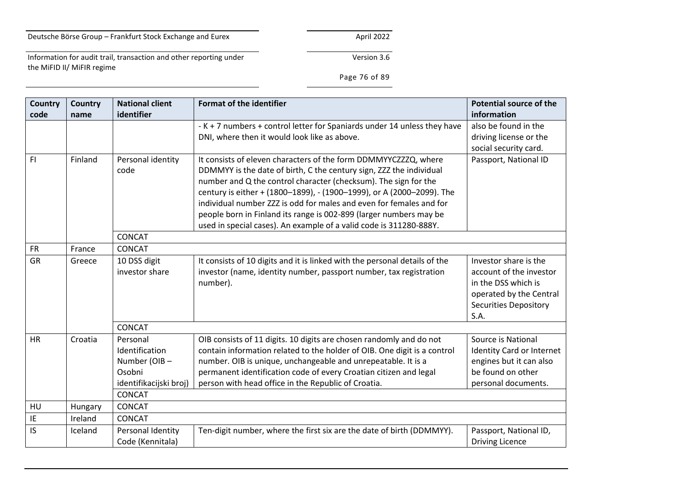Information for audit trail, transaction and other reporting under the MiFID II/ MiFIR regime

Page 76 of 89

| <b>Country</b> | <b>Country</b> | <b>National client</b> | <b>Format of the identifier</b>                                            | <b>Potential source of the</b>   |
|----------------|----------------|------------------------|----------------------------------------------------------------------------|----------------------------------|
| code           | name           | identifier             |                                                                            | information                      |
|                |                |                        | - K + 7 numbers + control letter for Spaniards under 14 unless they have   | also be found in the             |
|                |                |                        | DNI, where then it would look like as above.                               | driving license or the           |
|                |                |                        |                                                                            | social security card.            |
| F1             | Finland        | Personal identity      | It consists of eleven characters of the form DDMMYYCZZZQ, where            | Passport, National ID            |
|                |                | code                   | DDMMYY is the date of birth, C the century sign, ZZZ the individual        |                                  |
|                |                |                        | number and Q the control character (checksum). The sign for the            |                                  |
|                |                |                        | century is either + (1800-1899), - (1900-1999), or A (2000-2099). The      |                                  |
|                |                |                        | individual number ZZZ is odd for males and even for females and for        |                                  |
|                |                |                        | people born in Finland its range is 002-899 (larger numbers may be         |                                  |
|                |                |                        | used in special cases). An example of a valid code is 311280-888Y.         |                                  |
|                |                | <b>CONCAT</b>          |                                                                            |                                  |
| <b>FR</b>      | France         | <b>CONCAT</b>          |                                                                            |                                  |
| GR             | Greece         | 10 DSS digit           | It consists of 10 digits and it is linked with the personal details of the | Investor share is the            |
|                |                | investor share         | investor (name, identity number, passport number, tax registration         | account of the investor          |
|                |                |                        | number).                                                                   | in the DSS which is              |
|                |                |                        |                                                                            | operated by the Central          |
|                |                |                        |                                                                            | <b>Securities Depository</b>     |
|                |                |                        |                                                                            | S.A.                             |
|                |                | <b>CONCAT</b>          |                                                                            |                                  |
| <b>HR</b>      | Croatia        | Personal               | OIB consists of 11 digits. 10 digits are chosen randomly and do not        | Source is National               |
|                |                | Identification         | contain information related to the holder of OIB. One digit is a control   | <b>Identity Card or Internet</b> |
|                |                | Number (OIB-           | number. OIB is unique, unchangeable and unrepeatable. It is a              | engines but it can also          |
|                |                | Osobni                 | permanent identification code of every Croatian citizen and legal          | be found on other                |
|                |                | identifikacijski broj) | person with head office in the Republic of Croatia.                        | personal documents.              |
|                |                | <b>CONCAT</b>          |                                                                            |                                  |
| HU             | Hungary        | <b>CONCAT</b>          |                                                                            |                                  |
| IE             | Ireland        | <b>CONCAT</b>          |                                                                            |                                  |
| IS             | Iceland        | Personal Identity      | Ten-digit number, where the first six are the date of birth (DDMMYY).      | Passport, National ID,           |
|                |                | Code (Kennitala)       |                                                                            | <b>Driving Licence</b>           |

# Version 3.6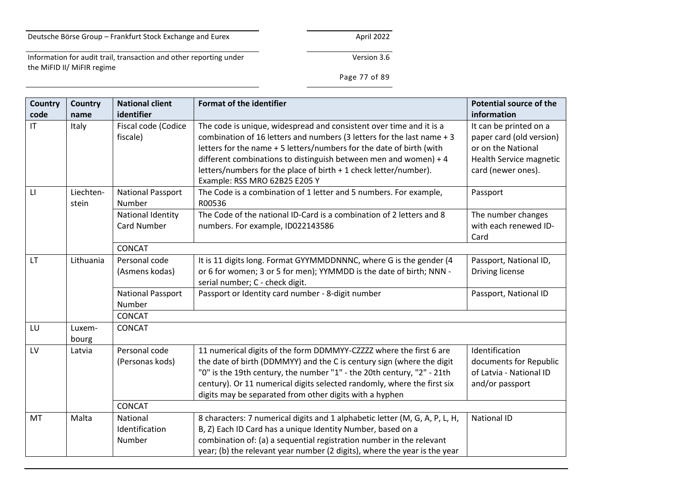Version 3.6

Information for audit trail, transaction and other reporting under the MiFID II/ MiFIR regime

Page 77 of 89

| Country                | Country            | <b>National client</b>                  | <b>Format of the identifier</b>                                                                                                                                                                                                                                                                                                                                                                | <b>Potential source of the</b>                                                                                            |
|------------------------|--------------------|-----------------------------------------|------------------------------------------------------------------------------------------------------------------------------------------------------------------------------------------------------------------------------------------------------------------------------------------------------------------------------------------------------------------------------------------------|---------------------------------------------------------------------------------------------------------------------------|
| code                   | name               | identifier                              |                                                                                                                                                                                                                                                                                                                                                                                                | information                                                                                                               |
| $\mathsf{I}\mathsf{T}$ | Italy              | Fiscal code (Codice<br>fiscale)         | The code is unique, widespread and consistent over time and it is a<br>combination of 16 letters and numbers (3 letters for the last name + 3<br>letters for the name + 5 letters/numbers for the date of birth (with<br>different combinations to distinguish between men and women) + 4<br>letters/numbers for the place of birth + 1 check letter/number).<br>Example: RSS MRO 62B25 E205 Y | It can be printed on a<br>paper card (old version)<br>or on the National<br>Health Service magnetic<br>card (newer ones). |
| $\mathsf{L}$           | Liechten-<br>stein | <b>National Passport</b><br>Number      | The Code is a combination of 1 letter and 5 numbers. For example,<br>R00536                                                                                                                                                                                                                                                                                                                    | Passport                                                                                                                  |
|                        |                    | National Identity<br><b>Card Number</b> | The Code of the national ID-Card is a combination of 2 letters and 8<br>numbers. For example, ID022143586                                                                                                                                                                                                                                                                                      | The number changes<br>with each renewed ID-<br>Card                                                                       |
|                        |                    | <b>CONCAT</b>                           |                                                                                                                                                                                                                                                                                                                                                                                                |                                                                                                                           |
| <b>LT</b>              | Lithuania          | Personal code<br>(Asmens kodas)         | It is 11 digits long. Format GYYMMDDNNNC, where G is the gender (4<br>or 6 for women; 3 or 5 for men); YYMMDD is the date of birth; NNN -<br>serial number; C - check digit.                                                                                                                                                                                                                   | Passport, National ID,<br>Driving license                                                                                 |
|                        |                    | <b>National Passport</b><br>Number      | Passport or Identity card number - 8-digit number                                                                                                                                                                                                                                                                                                                                              | Passport, National ID                                                                                                     |
|                        |                    | <b>CONCAT</b>                           |                                                                                                                                                                                                                                                                                                                                                                                                |                                                                                                                           |
| LU                     | Luxem-<br>bourg    | CONCAT                                  |                                                                                                                                                                                                                                                                                                                                                                                                |                                                                                                                           |
| LV                     | Latvia             | Personal code<br>(Personas kods)        | 11 numerical digits of the form DDMMYY-CZZZZ where the first 6 are<br>the date of birth (DDMMYY) and the C is century sign (where the digit<br>"0" is the 19th century, the number "1" - the 20th century, "2" - 21th<br>century). Or 11 numerical digits selected randomly, where the first six<br>digits may be separated from other digits with a hyphen                                    | Identification<br>documents for Republic<br>of Latvia - National ID<br>and/or passport                                    |
|                        |                    | <b>CONCAT</b>                           |                                                                                                                                                                                                                                                                                                                                                                                                |                                                                                                                           |
| MT                     | Malta              | National<br>Identification<br>Number    | 8 characters: 7 numerical digits and 1 alphabetic letter (M, G, A, P, L, H,<br>B, Z) Each ID Card has a unique Identity Number, based on a<br>combination of: (a) a sequential registration number in the relevant<br>year; (b) the relevant year number (2 digits), where the year is the year                                                                                                | <b>National ID</b>                                                                                                        |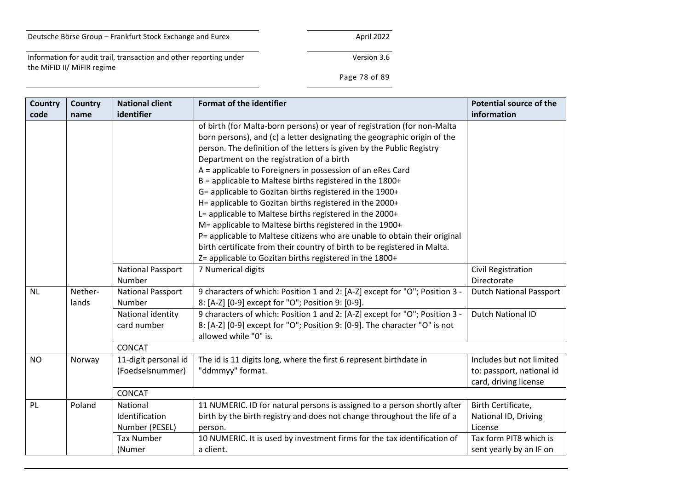the MiFID II/ MiFIR regime

# Information for audit trail, transaction and other reporting under

# Page 78 of 89

| <b>Country</b> | <b>Country</b>   | <b>National client</b>                       | <b>Format of the identifier</b>                                                                                                                                                                                                                                                                                                                                                                                                                                                                                                                                                                                                                                                                                                                                                                           | <b>Potential source of the</b>                                                 |
|----------------|------------------|----------------------------------------------|-----------------------------------------------------------------------------------------------------------------------------------------------------------------------------------------------------------------------------------------------------------------------------------------------------------------------------------------------------------------------------------------------------------------------------------------------------------------------------------------------------------------------------------------------------------------------------------------------------------------------------------------------------------------------------------------------------------------------------------------------------------------------------------------------------------|--------------------------------------------------------------------------------|
| code           | name             | identifier                                   |                                                                                                                                                                                                                                                                                                                                                                                                                                                                                                                                                                                                                                                                                                                                                                                                           | information                                                                    |
|                |                  |                                              | of birth (for Malta-born persons) or year of registration (for non-Malta<br>born persons), and (c) a letter designating the geographic origin of the<br>person. The definition of the letters is given by the Public Registry<br>Department on the registration of a birth<br>A = applicable to Foreigners in possession of an eRes Card<br>B = applicable to Maltese births registered in the 1800+<br>G= applicable to Gozitan births registered in the 1900+<br>H= applicable to Gozitan births registered in the 2000+<br>L= applicable to Maltese births registered in the 2000+<br>M= applicable to Maltese births registered in the 1900+<br>P= applicable to Maltese citizens who are unable to obtain their original<br>birth certificate from their country of birth to be registered in Malta. |                                                                                |
|                |                  |                                              | Z= applicable to Gozitan births registered in the 1800+                                                                                                                                                                                                                                                                                                                                                                                                                                                                                                                                                                                                                                                                                                                                                   |                                                                                |
|                |                  | <b>National Passport</b><br>Number           | 7 Numerical digits                                                                                                                                                                                                                                                                                                                                                                                                                                                                                                                                                                                                                                                                                                                                                                                        | Civil Registration<br>Directorate                                              |
| <b>NL</b>      | Nether-<br>lands | <b>National Passport</b><br>Number           | 9 characters of which: Position 1 and 2: [A-Z] except for "O"; Position 3 -<br>8: [A-Z] [0-9] except for "O"; Position 9: [0-9].                                                                                                                                                                                                                                                                                                                                                                                                                                                                                                                                                                                                                                                                          | <b>Dutch National Passport</b>                                                 |
|                |                  | National identity<br>card number             | 9 characters of which: Position 1 and 2: [A-Z] except for "O"; Position 3 -<br>8: [A-Z] [0-9] except for "O"; Position 9: [0-9]. The character "O" is not<br>allowed while "0" is.                                                                                                                                                                                                                                                                                                                                                                                                                                                                                                                                                                                                                        | <b>Dutch National ID</b>                                                       |
|                |                  | <b>CONCAT</b>                                |                                                                                                                                                                                                                                                                                                                                                                                                                                                                                                                                                                                                                                                                                                                                                                                                           |                                                                                |
| <b>NO</b>      | Norway           | 11-digit personal id<br>(Foedselsnummer)     | The id is 11 digits long, where the first 6 represent birthdate in<br>"ddmmyy" format.                                                                                                                                                                                                                                                                                                                                                                                                                                                                                                                                                                                                                                                                                                                    | Includes but not limited<br>to: passport, national id<br>card, driving license |
|                |                  | <b>CONCAT</b>                                |                                                                                                                                                                                                                                                                                                                                                                                                                                                                                                                                                                                                                                                                                                                                                                                                           |                                                                                |
| PL             | Poland           | National<br>Identification<br>Number (PESEL) | 11 NUMERIC. ID for natural persons is assigned to a person shortly after<br>birth by the birth registry and does not change throughout the life of a<br>person.                                                                                                                                                                                                                                                                                                                                                                                                                                                                                                                                                                                                                                           | Birth Certificate,<br>National ID, Driving<br>License                          |
|                |                  | <b>Tax Number</b><br>(Numer                  | 10 NUMERIC. It is used by investment firms for the tax identification of<br>a client.                                                                                                                                                                                                                                                                                                                                                                                                                                                                                                                                                                                                                                                                                                                     | Tax form PIT8 which is<br>sent yearly by an IF on                              |

Version 3.6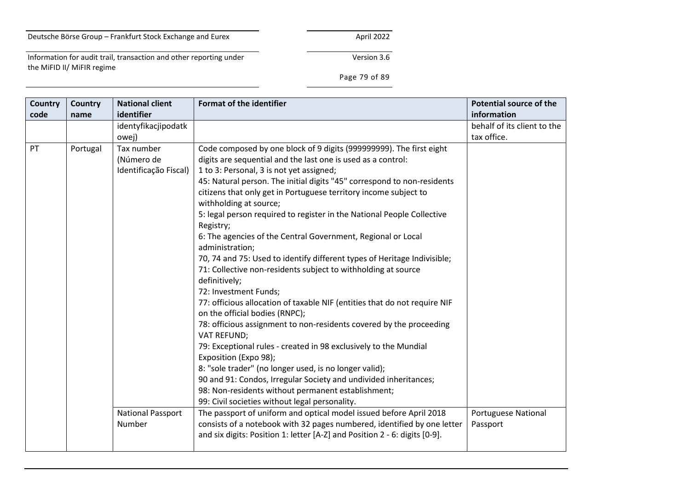Version 3.6

Information for audit trail, transaction and other reporting under the MiFID II/ MiFIR regime

Page 79 of 89

| <b>Country</b><br>code | Country<br>name | <b>National client</b><br>identifier                       | <b>Format of the identifier</b>                                                                                                                                                                                                                                                                                                                                                                                                                                                                                                                                                                                                                                                                                                                                                                                                                                                                                                                                                                                                                                                                                                                           | <b>Potential source of the</b><br>information |
|------------------------|-----------------|------------------------------------------------------------|-----------------------------------------------------------------------------------------------------------------------------------------------------------------------------------------------------------------------------------------------------------------------------------------------------------------------------------------------------------------------------------------------------------------------------------------------------------------------------------------------------------------------------------------------------------------------------------------------------------------------------------------------------------------------------------------------------------------------------------------------------------------------------------------------------------------------------------------------------------------------------------------------------------------------------------------------------------------------------------------------------------------------------------------------------------------------------------------------------------------------------------------------------------|-----------------------------------------------|
|                        |                 | identyfikacjipodatk                                        |                                                                                                                                                                                                                                                                                                                                                                                                                                                                                                                                                                                                                                                                                                                                                                                                                                                                                                                                                                                                                                                                                                                                                           | behalf of its client to the                   |
| PT                     | Portugal        | owej)<br>Tax number<br>(Número de<br>Identificação Fiscal) | Code composed by one block of 9 digits (999999999). The first eight<br>digits are sequential and the last one is used as a control:<br>1 to 3: Personal, 3 is not yet assigned;<br>45: Natural person. The initial digits "45" correspond to non-residents<br>citizens that only get in Portuguese territory income subject to<br>withholding at source;<br>5: legal person required to register in the National People Collective<br>Registry;<br>6: The agencies of the Central Government, Regional or Local<br>administration;<br>70, 74 and 75: Used to identify different types of Heritage Indivisible;<br>71: Collective non-residents subject to withholding at source<br>definitively;<br>72: Investment Funds;<br>77: officious allocation of taxable NIF (entities that do not require NIF<br>on the official bodies (RNPC);<br>78: officious assignment to non-residents covered by the proceeding<br>VAT REFUND;<br>79: Exceptional rules - created in 98 exclusively to the Mundial<br>Exposition (Expo 98);<br>8: "sole trader" (no longer used, is no longer valid);<br>90 and 91: Condos, Irregular Society and undivided inheritances; | tax office.                                   |
|                        |                 | <b>National Passport</b><br>Number                         | 98: Non-residents without permanent establishment;<br>99: Civil societies without legal personality.<br>The passport of uniform and optical model issued before April 2018<br>consists of a notebook with 32 pages numbered, identified by one letter<br>and six digits: Position 1: letter [A-Z] and Position 2 - 6: digits [0-9].                                                                                                                                                                                                                                                                                                                                                                                                                                                                                                                                                                                                                                                                                                                                                                                                                       | <b>Portuguese National</b><br>Passport        |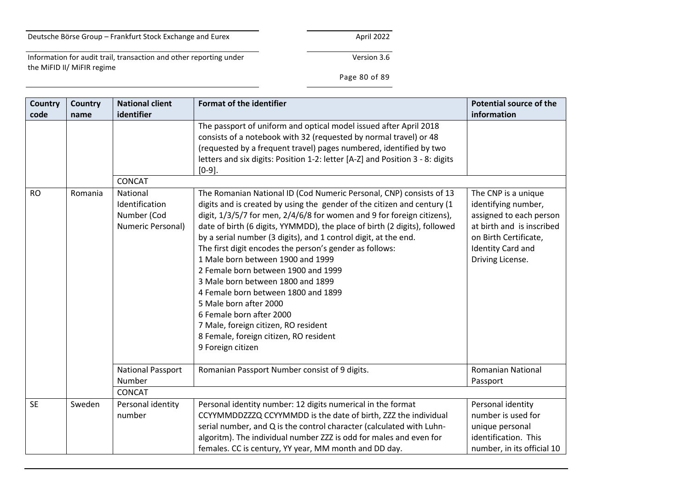Information for audit trail, transaction and other reporting under the MiFID II/ MiFIR regime

Version 3.6

Page 80 of 89

| <b>Country</b><br>code | Country<br>name | <b>National client</b><br>identifier               | <b>Format of the identifier</b>                                                                                                                                                                                                                                                                                                                                                                                                                                                                                                                                                                                                                                                   | <b>Potential source of the</b><br>information                                                                                                        |
|------------------------|-----------------|----------------------------------------------------|-----------------------------------------------------------------------------------------------------------------------------------------------------------------------------------------------------------------------------------------------------------------------------------------------------------------------------------------------------------------------------------------------------------------------------------------------------------------------------------------------------------------------------------------------------------------------------------------------------------------------------------------------------------------------------------|------------------------------------------------------------------------------------------------------------------------------------------------------|
|                        |                 | <b>CONCAT</b>                                      | The passport of uniform and optical model issued after April 2018<br>consists of a notebook with 32 (requested by normal travel) or 48<br>(requested by a frequent travel) pages numbered, identified by two<br>letters and six digits: Position 1-2: letter [A-Z] and Position 3 - 8: digits<br>$[0-9]$ .                                                                                                                                                                                                                                                                                                                                                                        |                                                                                                                                                      |
| <b>RO</b>              | Romania         | National                                           | The Romanian National ID (Cod Numeric Personal, CNP) consists of 13                                                                                                                                                                                                                                                                                                                                                                                                                                                                                                                                                                                                               | The CNP is a unique                                                                                                                                  |
|                        |                 | Identification<br>Number (Cod<br>Numeric Personal) | digits and is created by using the gender of the citizen and century (1<br>digit, 1/3/5/7 for men, 2/4/6/8 for women and 9 for foreign citizens),<br>date of birth (6 digits, YYMMDD), the place of birth (2 digits), followed<br>by a serial number (3 digits), and 1 control digit, at the end.<br>The first digit encodes the person's gender as follows:<br>1 Male born between 1900 and 1999<br>2 Female born between 1900 and 1999<br>3 Male born between 1800 and 1899<br>4 Female born between 1800 and 1899<br>5 Male born after 2000<br>6 Female born after 2000<br>7 Male, foreign citizen, RO resident<br>8 Female, foreign citizen, RO resident<br>9 Foreign citizen | identifying number,<br>assigned to each person<br>at birth and is inscribed<br>on Birth Certificate,<br><b>Identity Card and</b><br>Driving License. |
|                        |                 | <b>National Passport</b><br>Number                 | Romanian Passport Number consist of 9 digits.                                                                                                                                                                                                                                                                                                                                                                                                                                                                                                                                                                                                                                     | <b>Romanian National</b><br>Passport                                                                                                                 |
|                        |                 | <b>CONCAT</b>                                      |                                                                                                                                                                                                                                                                                                                                                                                                                                                                                                                                                                                                                                                                                   |                                                                                                                                                      |
| <b>SE</b>              | Sweden          | Personal identity<br>number                        | Personal identity number: 12 digits numerical in the format<br>CCYYMMDDZZZQ CCYYMMDD is the date of birth, ZZZ the individual<br>serial number, and Q is the control character (calculated with Luhn-<br>algoritm). The individual number ZZZ is odd for males and even for<br>females. CC is century, YY year, MM month and DD day.                                                                                                                                                                                                                                                                                                                                              | Personal identity<br>number is used for<br>unique personal<br>identification. This<br>number, in its official 10                                     |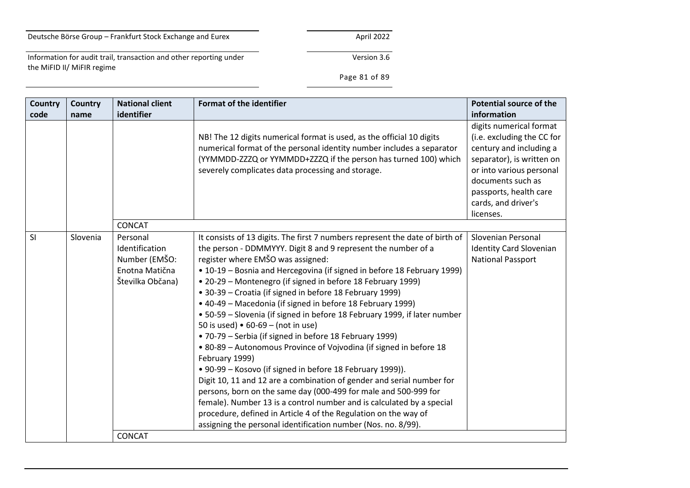Information for audit trail, transaction and other reporting under the MiFID II/ MiFIR regime

Version 3.6

# Page 81 of 89

| <b>Country</b><br>code | Country<br>name | <b>National client</b><br>identifier                                                               | <b>Format of the identifier</b>                                                                                                                                                                                                                                                                                                                                                                                                                                                                                                                                                                                                                                                                                                                                                                                                                                                                                                                                                                                                                                                                                                                            | <b>Potential source of the</b><br>information                                                                                                                                                                                |
|------------------------|-----------------|----------------------------------------------------------------------------------------------------|------------------------------------------------------------------------------------------------------------------------------------------------------------------------------------------------------------------------------------------------------------------------------------------------------------------------------------------------------------------------------------------------------------------------------------------------------------------------------------------------------------------------------------------------------------------------------------------------------------------------------------------------------------------------------------------------------------------------------------------------------------------------------------------------------------------------------------------------------------------------------------------------------------------------------------------------------------------------------------------------------------------------------------------------------------------------------------------------------------------------------------------------------------|------------------------------------------------------------------------------------------------------------------------------------------------------------------------------------------------------------------------------|
|                        |                 |                                                                                                    | NB! The 12 digits numerical format is used, as the official 10 digits<br>numerical format of the personal identity number includes a separator<br>(YYMMDD-ZZZQ or YYMMDD+ZZZQ if the person has turned 100) which<br>severely complicates data processing and storage.                                                                                                                                                                                                                                                                                                                                                                                                                                                                                                                                                                                                                                                                                                                                                                                                                                                                                     | digits numerical format<br>(i.e. excluding the CC for<br>century and including a<br>separator), is written on<br>or into various personal<br>documents such as<br>passports, health care<br>cards, and driver's<br>licenses. |
|                        |                 | <b>CONCAT</b>                                                                                      |                                                                                                                                                                                                                                                                                                                                                                                                                                                                                                                                                                                                                                                                                                                                                                                                                                                                                                                                                                                                                                                                                                                                                            |                                                                                                                                                                                                                              |
| SI                     | Slovenia        | Personal<br>Identification<br>Number (EMŠO:<br>Enotna Matična<br>Številka Občana)<br><b>CONCAT</b> | It consists of 13 digits. The first 7 numbers represent the date of birth of<br>the person - DDMMYYY. Digit 8 and 9 represent the number of a<br>register where EMŠO was assigned:<br>• 10-19 - Bosnia and Hercegovina (if signed in before 18 February 1999)<br>• 20-29 – Montenegro (if signed in before 18 February 1999)<br>• 30-39 – Croatia (if signed in before 18 February 1999)<br>• 40-49 - Macedonia (if signed in before 18 February 1999)<br>• 50-59 - Slovenia (if signed in before 18 February 1999, if later number<br>50 is used) $\bullet$ 60-69 - (not in use)<br>• 70-79 – Serbia (if signed in before 18 February 1999)<br>• 80-89 - Autonomous Province of Vojvodina (if signed in before 18<br>February 1999)<br>• 90-99 – Kosovo (if signed in before 18 February 1999)).<br>Digit 10, 11 and 12 are a combination of gender and serial number for<br>persons, born on the same day (000-499 for male and 500-999 for<br>female). Number 13 is a control number and is calculated by a special<br>procedure, defined in Article 4 of the Regulation on the way of<br>assigning the personal identification number (Nos. no. 8/99). | Slovenian Personal<br><b>Identity Card Slovenian</b><br><b>National Passport</b>                                                                                                                                             |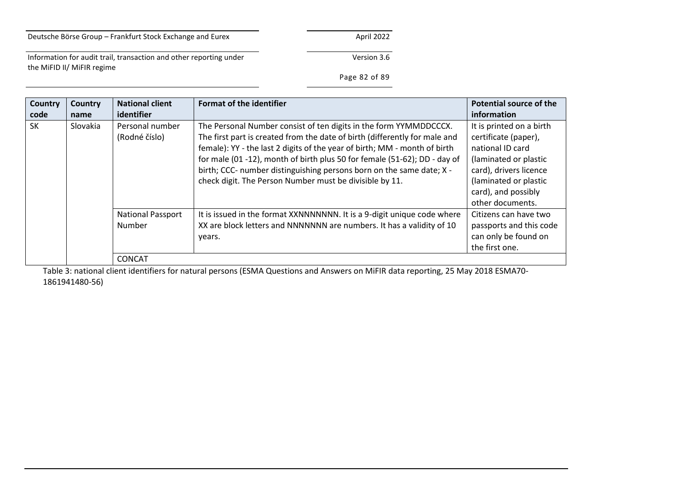Version 3.6

Information for audit trail, transaction and other reporting under the MiFID II/ MiFIR regime

# Page 82 of 89

| <b>Country</b><br>code | Country<br>name | <b>National client</b><br>identifier      | <b>Format of the identifier</b>                                                                                                                                                                                                                                                                                                                                                                                                              | <b>Potential source of the</b><br>information                                                                                                                                               |
|------------------------|-----------------|-------------------------------------------|----------------------------------------------------------------------------------------------------------------------------------------------------------------------------------------------------------------------------------------------------------------------------------------------------------------------------------------------------------------------------------------------------------------------------------------------|---------------------------------------------------------------------------------------------------------------------------------------------------------------------------------------------|
| <b>SK</b>              | Slovakia        | Personal number<br>(Rodné číslo)          | The Personal Number consist of ten digits in the form YYMMDDCCCX.<br>The first part is created from the date of birth (differently for male and<br>female): YY - the last 2 digits of the year of birth; MM - month of birth<br>for male (01 -12), month of birth plus 50 for female (51-62); DD - day of<br>birth; CCC- number distinguishing persons born on the same date; X -<br>check digit. The Person Number must be divisible by 11. | It is printed on a birth<br>certificate (paper),<br>national ID card<br>(laminated or plastic<br>card), drivers licence<br>(laminated or plastic<br>card), and possibly<br>other documents. |
|                        |                 | <b>National Passport</b><br><b>Number</b> | It is issued in the format XXNNNNNNNN. It is a 9-digit unique code where<br>XX are block letters and NNNNNNN are numbers. It has a validity of 10<br>years.                                                                                                                                                                                                                                                                                  | Citizens can have two<br>passports and this code<br>can only be found on<br>the first one.                                                                                                  |
|                        |                 | <b>CONCAT</b>                             |                                                                                                                                                                                                                                                                                                                                                                                                                                              |                                                                                                                                                                                             |

Table 3: national client identifiers for natural persons (ESMA Questions and Answers on MiFIR data reporting, 25 May 2018 ESMA70- 1861941480-56)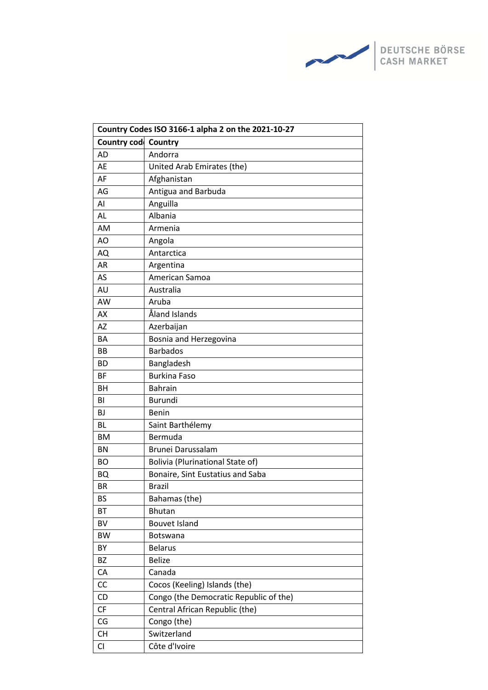

| Country Codes ISO 3166-1 alpha 2 on the 2021-10-27 |                                         |  |  |
|----------------------------------------------------|-----------------------------------------|--|--|
| Country code                                       | <b>Country</b>                          |  |  |
| <b>AD</b>                                          | Andorra                                 |  |  |
| AE                                                 | United Arab Emirates (the)              |  |  |
| AF                                                 | Afghanistan                             |  |  |
| AG                                                 | Antigua and Barbuda                     |  |  |
| AI                                                 | Anguilla                                |  |  |
| AL                                                 | Albania                                 |  |  |
| AM                                                 | Armenia                                 |  |  |
| AO                                                 | Angola                                  |  |  |
| AQ                                                 | Antarctica                              |  |  |
| AR                                                 | Argentina                               |  |  |
| AS                                                 | American Samoa                          |  |  |
| AU                                                 | Australia                               |  |  |
| AW                                                 | Aruba                                   |  |  |
| AX                                                 | Åland Islands                           |  |  |
| <b>AZ</b>                                          | Azerbaijan                              |  |  |
| BA                                                 | Bosnia and Herzegovina                  |  |  |
| <b>BB</b>                                          | <b>Barbados</b>                         |  |  |
| <b>BD</b>                                          | Bangladesh                              |  |  |
| <b>BF</b>                                          | <b>Burkina Faso</b>                     |  |  |
| BH                                                 | <b>Bahrain</b>                          |  |  |
| BI                                                 | <b>Burundi</b>                          |  |  |
| BJ                                                 | <b>Benin</b>                            |  |  |
| <b>BL</b>                                          | Saint Barthélemy                        |  |  |
| <b>BM</b>                                          | Bermuda                                 |  |  |
| <b>BN</b>                                          | Brunei Darussalam                       |  |  |
| <b>BO</b>                                          | <b>Bolivia (Plurinational State of)</b> |  |  |
| BQ                                                 | Bonaire, Sint Eustatius and Saba        |  |  |
| BR                                                 | <b>Brazil</b>                           |  |  |
| <b>BS</b>                                          | Bahamas (the)                           |  |  |
| BT                                                 | <b>Bhutan</b>                           |  |  |
| <b>BV</b>                                          | <b>Bouvet Island</b>                    |  |  |
| <b>BW</b>                                          | <b>Botswana</b>                         |  |  |
| BY                                                 | <b>Belarus</b>                          |  |  |
| <b>BZ</b>                                          | <b>Belize</b>                           |  |  |
| CA                                                 | Canada                                  |  |  |
| CC                                                 | Cocos (Keeling) Islands (the)           |  |  |
| CD                                                 | Congo (the Democratic Republic of the)  |  |  |
| CF                                                 | Central African Republic (the)          |  |  |
| CG                                                 | Congo (the)                             |  |  |
| <b>CH</b>                                          | Switzerland                             |  |  |
| CI                                                 | Côte d'Ivoire                           |  |  |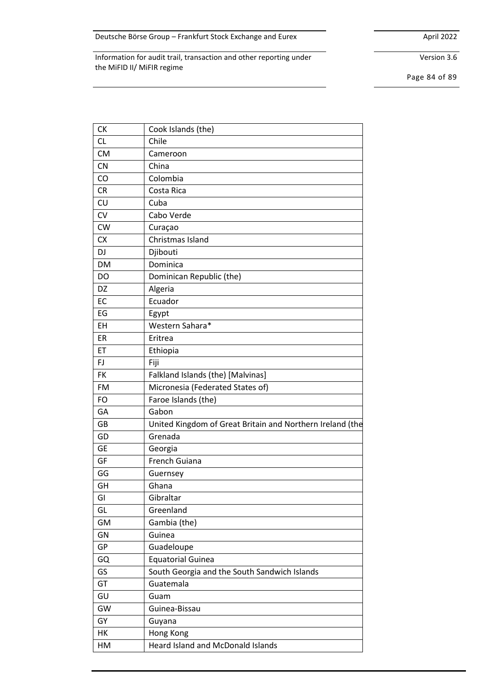Version 3.6

Page 84 of 89

| СK        | Cook Islands (the)                                        |
|-----------|-----------------------------------------------------------|
| <b>CL</b> | Chile                                                     |
| <b>CM</b> | Cameroon                                                  |
| <b>CN</b> | China                                                     |
| CO        | Colombia                                                  |
| <b>CR</b> | Costa Rica                                                |
| CU        | Cuba                                                      |
| CV        | Cabo Verde                                                |
| <b>CW</b> | Curaçao                                                   |
| <b>CX</b> | Christmas Island                                          |
| DJ        | Djibouti                                                  |
| DM        | Dominica                                                  |
| DO        | Dominican Republic (the)                                  |
| DZ        | Algeria                                                   |
| EC        | Ecuador                                                   |
| EG        | Egypt                                                     |
| EH        | Western Sahara*                                           |
| ER        | Eritrea                                                   |
| ET        | Ethiopia                                                  |
| FJ        | Fiji                                                      |
| <b>FK</b> | Falkland Islands (the) [Malvinas]                         |
| FM        | Micronesia (Federated States of)                          |
| <b>FO</b> | Faroe Islands (the)                                       |
| GA        | Gabon                                                     |
| GB        | United Kingdom of Great Britain and Northern Ireland (the |
| GD        | Grenada                                                   |
| <b>GE</b> | Georgia                                                   |
| GF        | French Guiana                                             |
| GG        | Guernsey                                                  |
| GH        | Ghana                                                     |
| GI        | Gibraltar                                                 |
| GL        | Greenland                                                 |
| GM        | Gambia (the)                                              |
| GN        | Guinea                                                    |
| GP        | Guadeloupe                                                |
| GQ        | <b>Equatorial Guinea</b>                                  |
| GS        | South Georgia and the South Sandwich Islands              |
| GT        | Guatemala                                                 |
| GU        | Guam                                                      |
| GW        | Guinea-Bissau                                             |
| GY        | Guyana                                                    |
| HK        | Hong Kong                                                 |
| НM        | <b>Heard Island and McDonald Islands</b>                  |
|           |                                                           |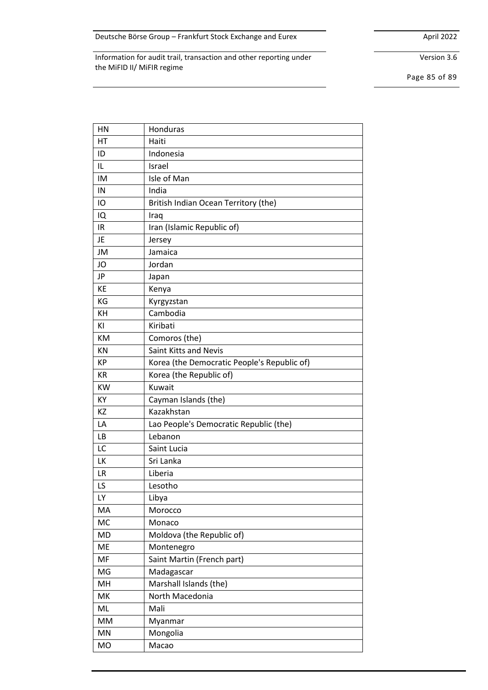Version 3.6

Page 85 of 89

| HN        | Honduras                                    |
|-----------|---------------------------------------------|
| HT        | Haiti                                       |
| ID        | Indonesia                                   |
| IL        | Israel                                      |
| IM        | Isle of Man                                 |
| IN        | India                                       |
| IO        | British Indian Ocean Territory (the)        |
| IQ        | Iraq                                        |
| IR        | Iran (Islamic Republic of)                  |
| JE        | Jersey                                      |
| JM        | Jamaica                                     |
| JO        | Jordan                                      |
| JP        | Japan                                       |
| KE        | Kenya                                       |
| KG        | Kyrgyzstan                                  |
| KH        | Cambodia                                    |
| ΚI        | Kiribati                                    |
| KM        | Comoros (the)                               |
| KN        | Saint Kitts and Nevis                       |
| <b>KP</b> | Korea (the Democratic People's Republic of) |
| KR        | Korea (the Republic of)                     |
| <b>KW</b> | Kuwait                                      |
| KY        | Cayman Islands (the)                        |
| KZ        | Kazakhstan                                  |
| LA        | Lao People's Democratic Republic (the)      |
| LB        | Lebanon                                     |
| LC        | Saint Lucia                                 |
| LK        | Sri Lanka                                   |
| LR        | Liberia                                     |
| LS        | Lesotho                                     |
| LY        | Libya                                       |
| MA        | Morocco                                     |
| MC        | Monaco                                      |
| <b>MD</b> | Moldova (the Republic of)                   |
| ME        | Montenegro                                  |
| MF        | Saint Martin (French part)                  |
| MG        | Madagascar                                  |
| MH        | Marshall Islands (the)                      |
| MK        | North Macedonia                             |
| ML        | Mali                                        |
| MM        | Myanmar                                     |
| MN        | Mongolia                                    |
| MO        | Macao                                       |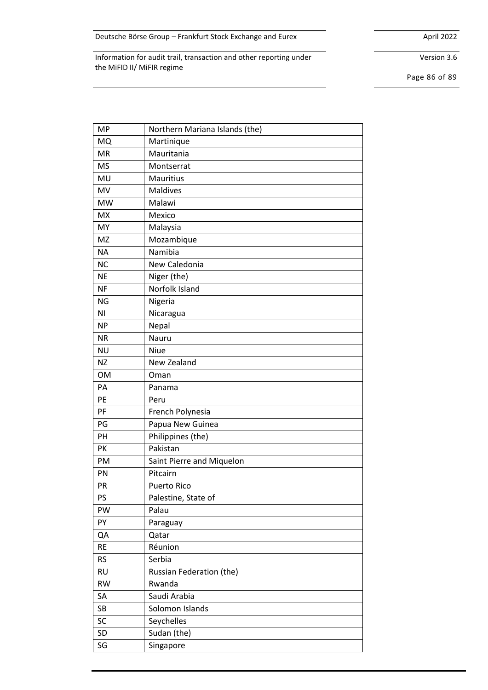Version 3.6

Page 86 of 89

| <b>MP</b> | Northern Mariana Islands (the) |
|-----------|--------------------------------|
| MQ        | Martinique                     |
| <b>MR</b> | Mauritania                     |
| <b>MS</b> | Montserrat                     |
| MU        | <b>Mauritius</b>               |
| MV        | <b>Maldives</b>                |
| <b>MW</b> | Malawi                         |
| <b>MX</b> | Mexico                         |
| MY        | Malaysia                       |
| <b>MZ</b> | Mozambique                     |
| <b>NA</b> | Namibia                        |
| <b>NC</b> | New Caledonia                  |
| <b>NE</b> | Niger (the)                    |
| <b>NF</b> | Norfolk Island                 |
| <b>NG</b> | Nigeria                        |
| ΝI        | Nicaragua                      |
| <b>NP</b> | Nepal                          |
| <b>NR</b> | Nauru                          |
| <b>NU</b> | Niue                           |
| <b>NZ</b> | New Zealand                    |
| <b>OM</b> | Oman                           |
| PA        | Panama                         |
| PE        | Peru                           |
| PF        | French Polynesia               |
| PG        | Papua New Guinea               |
| PH        | Philippines (the)              |
| PK        | Pakistan                       |
| PM        | Saint Pierre and Miquelon      |
| PN        | Pitcairn                       |
| PR        | <b>Puerto Rico</b>             |
| PS        | Palestine, State of            |
| PW        | Palau                          |
| PY        | Paraguay                       |
| QA        | Qatar                          |
| <b>RE</b> | Réunion                        |
| <b>RS</b> | Serbia                         |
| <b>RU</b> | Russian Federation (the)       |
| <b>RW</b> | Rwanda                         |
| SA        | Saudi Arabia                   |
| SB        | Solomon Islands                |
| SC        | Seychelles                     |
| <b>SD</b> | Sudan (the)                    |
|           |                                |
| SG        | Singapore                      |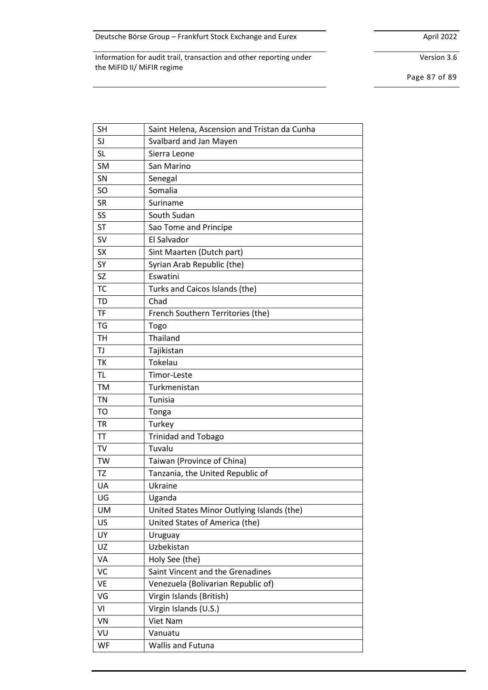Version 3.6

Page 87 of 89

| <b>SH</b>      | Saint Helena, Ascension and Tristan da Cunha |
|----------------|----------------------------------------------|
| SJ             | Svalbard and Jan Mayen                       |
| <b>SL</b>      | Sierra Leone                                 |
| <b>SM</b>      | San Marino                                   |
| SN             | Senegal                                      |
| <b>SO</b>      | Somalia                                      |
| <b>SR</b>      | Suriname                                     |
| SS             | South Sudan                                  |
| <b>ST</b>      | Sao Tome and Principe                        |
| <b>SV</b>      | El Salvador                                  |
| <b>SX</b>      | Sint Maarten (Dutch part)                    |
| SY             | Syrian Arab Republic (the)                   |
| <b>SZ</b>      | Eswatini                                     |
| <b>TC</b>      | Turks and Caicos Islands (the)               |
| <b>TD</b>      | Chad                                         |
| <b>TF</b>      | French Southern Territories (the)            |
| <b>TG</b>      | Togo                                         |
| <b>TH</b>      | Thailand                                     |
| TJ             | Tajikistan                                   |
| <b>TK</b>      | Tokelau                                      |
| <b>TL</b>      | Timor-Leste                                  |
| <b>TM</b>      | Turkmenistan                                 |
| <b>TN</b>      | Tunisia                                      |
| T <sub>O</sub> | Tonga                                        |
| <b>TR</b>      | Turkey                                       |
| <b>TT</b>      | <b>Trinidad and Tobago</b>                   |
| <b>TV</b>      | Tuvalu                                       |
| <b>TW</b>      | Taiwan (Province of China)                   |
| <b>TZ</b>      | Tanzania, the United Republic of             |
| UA             | Ukraine                                      |
| UG             | Uganda                                       |
| <b>UM</b>      | United States Minor Outlying Islands (the)   |
| <b>US</b>      | United States of America (the)               |
| UY             | Uruguay                                      |
| UZ             | Uzbekistan                                   |
| VA             | Holy See (the)                               |
| VC             | Saint Vincent and the Grenadines             |
| <b>VE</b>      | Venezuela (Bolivarian Republic of)           |
| VG             | Virgin Islands (British)                     |
| VI             | Virgin Islands (U.S.)                        |
| VN             | Viet Nam                                     |
| VU             | Vanuatu                                      |
| WF             | Wallis and Futuna                            |
|                |                                              |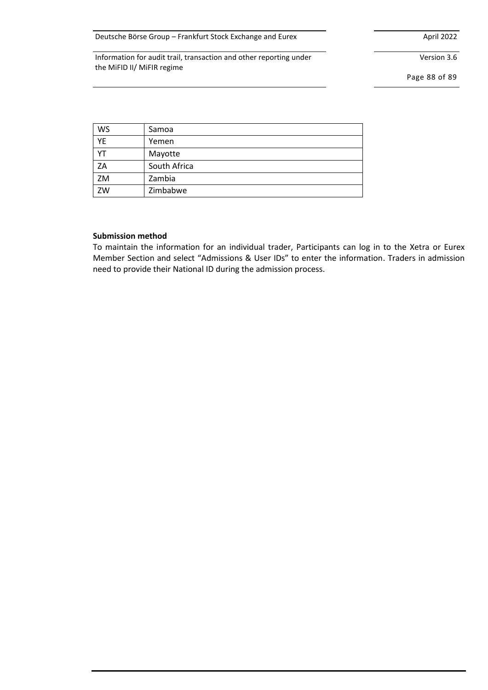Version 3.6

Page 88 of 89

| WS | Samoa        |
|----|--------------|
| YE | Yemen        |
| YT | Mayotte      |
| ZA | South Africa |
| ZM | Zambia       |
| ZW | Zimbabwe     |

#### **Submission method**

To maintain the information for an individual trader, Participants can log in to the Xetra or Eurex Member Section and select "Admissions & User IDs" to enter the information. Traders in admission need to provide their National ID during the admission process.